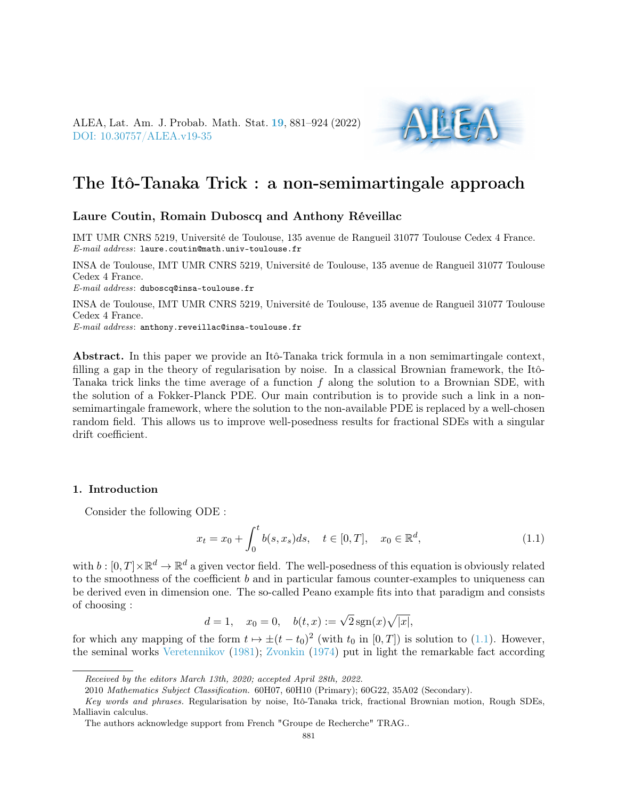ALEA, Lat. Am. J. Probab. Math. Stat. [19](http://alea.impa.br/english/index_v19.htm), 881–924 (2022) [DOI: 10.30757/ALEA.v19-35](https://doi.org/10.30757/ALEA.v19-35)



# The Itô-Tanaka Trick : a non-semimartingale approach

#### Laure Coutin, Romain Duboscq and Anthony Réveillac

IMT UMR CNRS 5219, Université de Toulouse, 135 avenue de Rangueil 31077 Toulouse Cedex 4 France. E-mail address: laure.coutin@math.univ-toulouse.fr

INSA de Toulouse, IMT UMR CNRS 5219, Université de Toulouse, 135 avenue de Rangueil 31077 Toulouse Cedex 4 France.

E-mail address: duboscq@insa-toulouse.fr

INSA de Toulouse, IMT UMR CNRS 5219, Université de Toulouse, 135 avenue de Rangueil 31077 Toulouse Cedex 4 France.

E-mail address: anthony.reveillac@insa-toulouse.fr

Abstract. In this paper we provide an Itô-Tanaka trick formula in a non semimartingale context, filling a gap in the theory of regularisation by noise. In a classical Brownian framework, the Itô-Tanaka trick links the time average of a function  $f$  along the solution to a Brownian SDE, with the solution of a Fokker-Planck PDE. Our main contribution is to provide such a link in a nonsemimartingale framework, where the solution to the non-available PDE is replaced by a well-chosen random field. This allows us to improve well-posedness results for fractional SDEs with a singular drift coefficient.

#### 1. Introduction

Consider the following ODE :

<span id="page-0-0"></span>
$$
x_t = x_0 + \int_0^t b(s, x_s) ds, \quad t \in [0, T], \quad x_0 \in \mathbb{R}^d,
$$
\n(1.1)

with  $b: [0,T] \times \mathbb{R}^d \to \mathbb{R}^d$  a given vector field. The well-posedness of this equation is obviously related to the smoothness of the coefficient b and in particular famous counter-examples to uniqueness can be derived even in dimension one. The so-called Peano example fits into that paradigm and consists of choosing :

$$
d = 1
$$
,  $x_0 = 0$ ,  $b(t, x) := \sqrt{2} \operatorname{sgn}(x) \sqrt{|x|}$ ,

for which any mapping of the form  $t \mapsto \pm (t - t_0)^2$  (with  $t_0$  in  $[0, T]$ ) is solution to [\(1.1\)](#page-0-0). However, the seminal works [Veretennikov](#page-43-0) [\(1981\)](#page-43-0); [Zvonkin](#page-43-1) [\(1974\)](#page-43-1) put in light the remarkable fact according

Received by the editors March 13th, 2020; accepted April 28th, 2022.

<sup>2010</sup> Mathematics Subject Classification. 60H07, 60H10 (Primary); 60G22, 35A02 (Secondary).

Key words and phrases. Regularisation by noise, Itô-Tanaka trick, fractional Brownian motion, Rough SDEs, Malliavin calculus.

The authors acknowledge support from French "Groupe de Recherche" TRAG..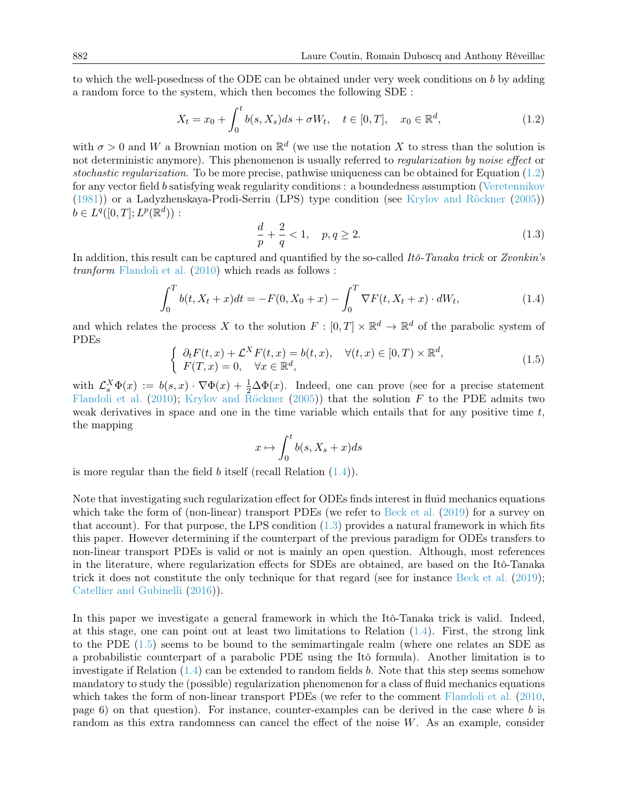to which the well-posedness of the ODE can be obtained under very week conditions on b by adding a random force to the system, which then becomes the following SDE :

<span id="page-1-0"></span>
$$
X_t = x_0 + \int_0^t b(s, X_s)ds + \sigma W_t, \quad t \in [0, T], \quad x_0 \in \mathbb{R}^d,
$$
\n(1.2)

with  $\sigma > 0$  and W a Brownian motion on  $\mathbb{R}^d$  (we use the notation X to stress than the solution is not deterministic anymore). This phenomenon is usually referred to *regularization by noise effect* or stochastic regularization. To be more precise, pathwise uniqueness can be obtained for Equation  $(1.2)$ for any vector field b satisfying weak regularity conditions : a boundedness assumption [\(Veretennikov](#page-43-0) [\(1981\)](#page-43-0)) or a Ladyzhenskaya-Prodi-Serrin (LPS) type condition (see [Krylov and Röckner](#page-43-2) [\(2005\)](#page-43-2))  $b \in L^q([0,T];L^p(\mathbb{R}^d))$ :

<span id="page-1-2"></span>
$$
\frac{d}{p} + \frac{2}{q} < 1, \quad p, q \ge 2. \tag{1.3}
$$

In addition, this result can be captured and quantified by the so-called Itô-Tanaka trick or Zvonkin's tranform [Flandoli et al.](#page-43-3) [\(2010\)](#page-43-3) which reads as follows :

<span id="page-1-1"></span>
$$
\int_0^T b(t, X_t + x)dt = -F(0, X_0 + x) - \int_0^T \nabla F(t, X_t + x) \cdot dW_t,
$$
\n(1.4)

and which relates the process X to the solution  $F : [0, T] \times \mathbb{R}^d \to \mathbb{R}^d$  of the parabolic system of PDEs

<span id="page-1-3"></span>
$$
\begin{cases}\n\partial_t F(t,x) + \mathcal{L}^X F(t,x) = b(t,x), & \forall (t,x) \in [0,T) \times \mathbb{R}^d, \\
F(T,x) = 0, & \forall x \in \mathbb{R}^d,\n\end{cases}
$$
\n(1.5)

with  $\mathcal{L}_s^X \Phi(x) := b(s,x) \cdot \nabla \Phi(x) + \frac{1}{2} \Delta \Phi(x)$ . Indeed, one can prove (see for a precise statement [Flandoli et al.](#page-43-3) [\(2010\)](#page-43-3); [Krylov and Röckner](#page-43-2) [\(2005\)](#page-43-2)) that the solution  $F$  to the PDE admits two weak derivatives in space and one in the time variable which entails that for any positive time  $t$ , the mapping

$$
x \mapsto \int_0^t b(s, X_s + x) ds
$$

is more regular than the field  $b$  itself (recall Relation  $(1.4)$ ).

Note that investigating such regularization effect for ODEs finds interest in fluid mechanics equations which take the form of (non-linear) transport PDEs (we refer to [Beck et al.](#page-43-4) [\(2019\)](#page-43-4) for a survey on that account). For that purpose, the LPS condition  $(1.3)$  provides a natural framework in which fits this paper. However determining if the counterpart of the previous paradigm for ODEs transfers to non-linear transport PDEs is valid or not is mainly an open question. Although, most references in the literature, where regularization effects for SDEs are obtained, are based on the Itô-Tanaka trick it does not constitute the only technique for that regard (see for instance [Beck et al.](#page-43-4) [\(2019\)](#page-43-4); [Catellier and Gubinelli](#page-43-5) [\(2016\)](#page-43-5)).

In this paper we investigate a general framework in which the Itô-Tanaka trick is valid. Indeed, at this stage, one can point out at least two limitations to Relation [\(1.4\)](#page-1-1). First, the strong link to the PDE [\(1.5\)](#page-1-3) seems to be bound to the semimartingale realm (where one relates an SDE as a probabilistic counterpart of a parabolic PDE using the Itô formula). Another limitation is to investigate if Relation  $(1.4)$  can be extended to random fields b. Note that this step seems somehow mandatory to study the (possible) regularization phenomenon for a class of fluid mechanics equations which takes the form of non-linear transport PDEs (we refer to the comment [Flandoli et al.](#page-43-3) [\(2010,](#page-43-3) page 6) on that question). For instance, counter-examples can be derived in the case where b is random as this extra randomness can cancel the effect of the noise W. As an example, consider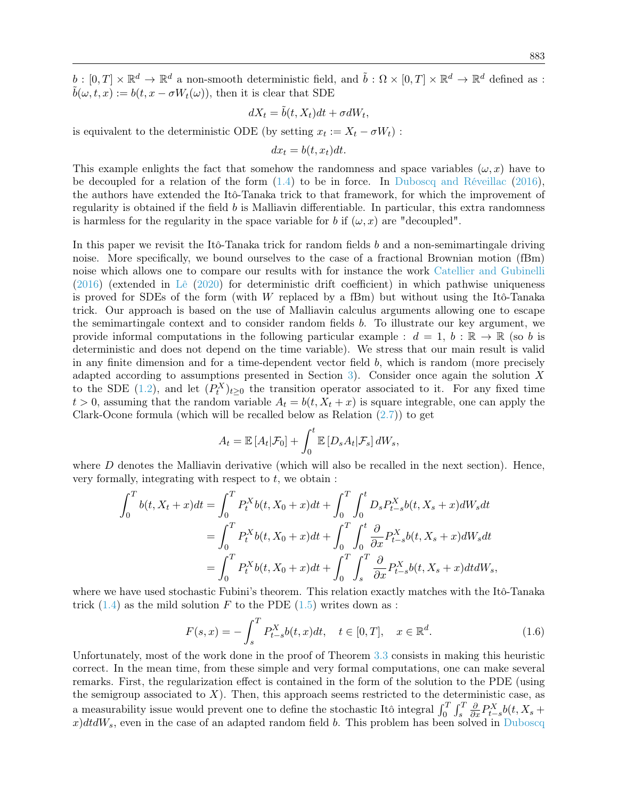$b: [0,T] \times \mathbb{R}^d \to \mathbb{R}^d$  a non-smooth deterministic field, and  $\tilde{b}: \Omega \times [0,T] \times \mathbb{R}^d \to \mathbb{R}^d$  defined as :  $\tilde{b}(\omega, t, x) := b(t, x - \sigma W_t(\omega))$ , then it is clear that SDE

$$
dX_t = \tilde{b}(t, X_t)dt + \sigma dW_t,
$$

is equivalent to the deterministic ODE (by setting  $x_t := X_t - \sigma W_t$ ):

$$
dx_t = b(t, x_t)dt.
$$

This example enlights the fact that somehow the randomness and space variables  $(\omega, x)$  have to be decoupled for a relation of the form [\(1.4\)](#page-1-1) to be in force. In [Duboscq and Réveillac](#page-43-6) [\(2016\)](#page-43-6), the authors have extended the Itô-Tanaka trick to that framework, for which the improvement of regularity is obtained if the field  $b$  is Malliavin differentiable. In particular, this extra randomness is harmless for the regularity in the space variable for b if  $(\omega, x)$  are "decoupled".

In this paper we revisit the Itô-Tanaka trick for random fields  $b$  and a non-semimartingale driving noise. More specifically, we bound ourselves to the case of a fractional Brownian motion (fBm) noise which allows one to compare our results with for instance the work [Catellier and Gubinelli](#page-43-5) [\(2016\)](#page-43-5) (extended in [Lê](#page-43-7) [\(2020\)](#page-43-7) for deterministic drift coefficient) in which pathwise uniqueness is proved for SDEs of the form (with  $W$  replaced by a fBm) but without using the Itô-Tanaka trick. Our approach is based on the use of Malliavin calculus arguments allowing one to escape the semimartingale context and to consider random fields b. To illustrate our key argument, we provide informal computations in the following particular example :  $d = 1, b : \mathbb{R} \to \mathbb{R}$  (so b is deterministic and does not depend on the time variable). We stress that our main result is valid in any finite dimension and for a time-dependent vector field b, which is random (more precisely adapted according to assumptions presented in Section [3\)](#page-7-0). Consider once again the solution X to the SDE [\(1.2\)](#page-1-0), and let  $(P_t^X)_{t\geq 0}$  the transition operator associated to it. For any fixed time  $t > 0$ , assuming that the random variable  $A_t = b(t, X_t + x)$  is square integrable, one can apply the Clark-Ocone formula (which will be recalled below as Relation  $(2.7)$ ) to get

$$
A_t = \mathbb{E}\left[A_t|\mathcal{F}_0\right] + \int_0^t \mathbb{E}\left[D_s A_t|\mathcal{F}_s\right]dW_s,
$$

where  $D$  denotes the Malliavin derivative (which will also be recalled in the next section). Hence, very formally, integrating with respect to  $t$ , we obtain :

$$
\int_{0}^{T} b(t, X_{t} + x)dt = \int_{0}^{T} P_{t}^{X} b(t, X_{0} + x)dt + \int_{0}^{T} \int_{0}^{t} D_{s} P_{t-s}^{X} b(t, X_{s} + x)dW_{s}dt
$$
  
= 
$$
\int_{0}^{T} P_{t}^{X} b(t, X_{0} + x)dt + \int_{0}^{T} \int_{0}^{t} \frac{\partial}{\partial x} P_{t-s}^{X} b(t, X_{s} + x)dW_{s}dt
$$
  
= 
$$
\int_{0}^{T} P_{t}^{X} b(t, X_{0} + x)dt + \int_{0}^{T} \int_{s}^{T} \frac{\partial}{\partial x} P_{t-s}^{X} b(t, X_{s} + x)dt dW_{s},
$$

where we have used stochastic Fubini's theorem. This relation exactly matches with the Itô-Tanaka trick  $(1.4)$  as the mild solution F to the PDE  $(1.5)$  writes down as :

<span id="page-2-0"></span>
$$
F(s,x) = -\int_{s}^{T} P_{t-s}^{X} b(t,x)dt, \quad t \in [0,T], \quad x \in \mathbb{R}^{d}.
$$
 (1.6)

Unfortunately, most of the work done in the proof of Theorem [3.3](#page-7-2) consists in making this heuristic correct. In the mean time, from these simple and very formal computations, one can make several remarks. First, the regularization effect is contained in the form of the solution to the PDE (using the semigroup associated to  $X$ ). Then, this approach seems restricted to the deterministic case, as a measurability issue would prevent one to define the stochastic Itô integral  $\int_0^T \int_s^T$  $\frac{\partial}{\partial x} P_{t-s}^X b(t, X_s +$  $x/dtdW<sub>s</sub>$ , even in the case of an adapted random field b. This problem has been solved in [Duboscq](#page-43-6)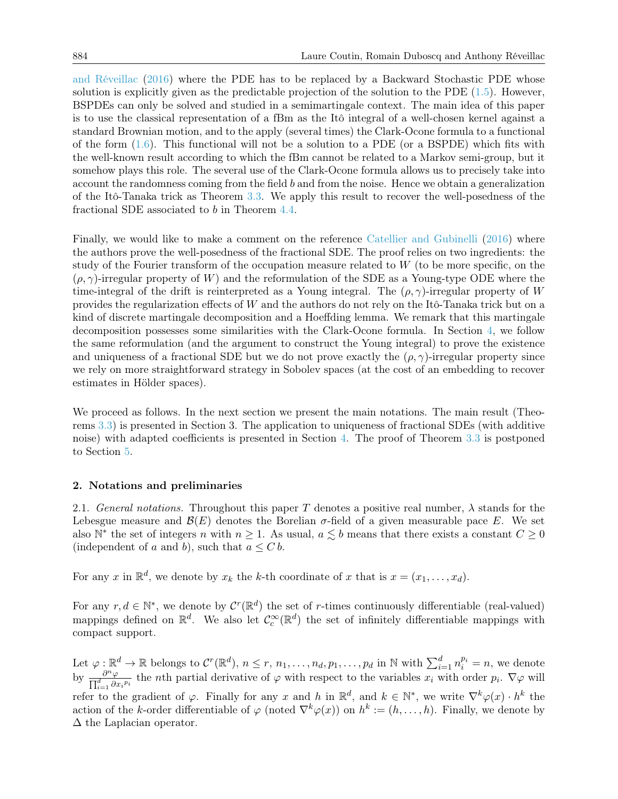[and Réveillac](#page-43-6) [\(2016\)](#page-43-6) where the PDE has to be replaced by a Backward Stochastic PDE whose solution is explicitly given as the predictable projection of the solution to the PDE  $(1.5)$ . However, BSPDEs can only be solved and studied in a semimartingale context. The main idea of this paper is to use the classical representation of a fBm as the Itô integral of a well-chosen kernel against a standard Brownian motion, and to the apply (several times) the Clark-Ocone formula to a functional of the form  $(1.6)$ . This functional will not be a solution to a PDE (or a BSPDE) which fits with the well-known result according to which the fBm cannot be related to a Markov semi-group, but it somehow plays this role. The several use of the Clark-Ocone formula allows us to precisely take into account the randomness coming from the field b and from the noise. Hence we obtain a generalization of the Itô-Tanaka trick as Theorem [3.3.](#page-7-2) We apply this result to recover the well-posedness of the fractional SDE associated to b in Theorem [4.4.](#page-9-0)

Finally, we would like to make a comment on the reference [Catellier and Gubinelli](#page-43-5) [\(2016\)](#page-43-5) where the authors prove the well-posedness of the fractional SDE. The proof relies on two ingredients: the study of the Fourier transform of the occupation measure related to  $W$  (to be more specific, on the  $(\rho, \gamma)$ -irregular property of W) and the reformulation of the SDE as a Young-type ODE where the time-integral of the drift is reinterpreted as a Young integral. The  $(\rho, \gamma)$ -irregular property of W provides the regularization effects of W and the authors do not rely on the Itô-Tanaka trick but on a kind of discrete martingale decomposition and a Hoeffding lemma. We remark that this martingale decomposition possesses some similarities with the Clark-Ocone formula. In Section [4,](#page-8-0) we follow the same reformulation (and the argument to construct the Young integral) to prove the existence and uniqueness of a fractional SDE but we do not prove exactly the  $(\rho, \gamma)$ -irregular property since we rely on more straightforward strategy in Sobolev spaces (at the cost of an embedding to recover estimates in Hölder spaces).

We proceed as follows. In the next section we present the main notations. The main result (Theorems [3.3\)](#page-7-2) is presented in Section 3. The application to uniqueness of fractional SDEs (with additive noise) with adapted coefficients is presented in Section [4.](#page-8-0) The proof of Theorem [3.3](#page-7-2) is postponed to Section [5.](#page-14-0)

#### 2. Notations and preliminaries

2.1. General notations. Throughout this paper T denotes a positive real number,  $\lambda$  stands for the Lebesgue measure and  $\mathcal{B}(E)$  denotes the Borelian  $\sigma$ -field of a given measurable pace E. We set also  $\mathbb{N}^*$  the set of integers n with  $n \geq 1$ . As usual,  $a \lesssim b$  means that there exists a constant  $C \geq 0$ (independent of a and b), such that  $a \leq C b$ .

For any x in  $\mathbb{R}^d$ , we denote by  $x_k$  the k-th coordinate of x that is  $x = (x_1, \ldots, x_d)$ .

For any  $r, d \in \mathbb{N}^*$ , we denote by  $\mathcal{C}^r(\mathbb{R}^d)$  the set of r-times continuously differentiable (real-valued) mappings defined on  $\mathbb{R}^d$ . We also let  $\mathcal{C}_c^{\infty}(\mathbb{R}^d)$  the set of infinitely differentiable mappings with compact support.

Let  $\varphi : \mathbb{R}^d \to \mathbb{R}$  belongs to  $\mathcal{C}^r(\mathbb{R}^d)$ ,  $n \leq r, n_1, \ldots, n_d, p_1, \ldots, p_d$  in  $\mathbb{N}$  with  $\sum_{i=1}^d n_i^{p_i} = n$ , we denote by  $\frac{\partial^n \varphi}{\partial \mathbf{d}}$  $\frac{\partial^n \varphi}{\prod_{i=1}^d \partial x_i^{p_i}}$  the *n*th partial derivative of  $\varphi$  with respect to the variables  $x_i$  with order  $p_i$ .  $\nabla \varphi$  will refer to the gradient of  $\varphi$ . Finally for any x and h in  $\mathbb{R}^d$ , and  $k \in \mathbb{N}^*$ , we write  $\nabla^k \varphi(x) \cdot h^k$  the action of the k-order differentiable of  $\varphi$  (noted  $\nabla^k \varphi(x)$ ) on  $h^k := (h, \ldots, h)$ . Finally, we denote by ∆ the Laplacian operator.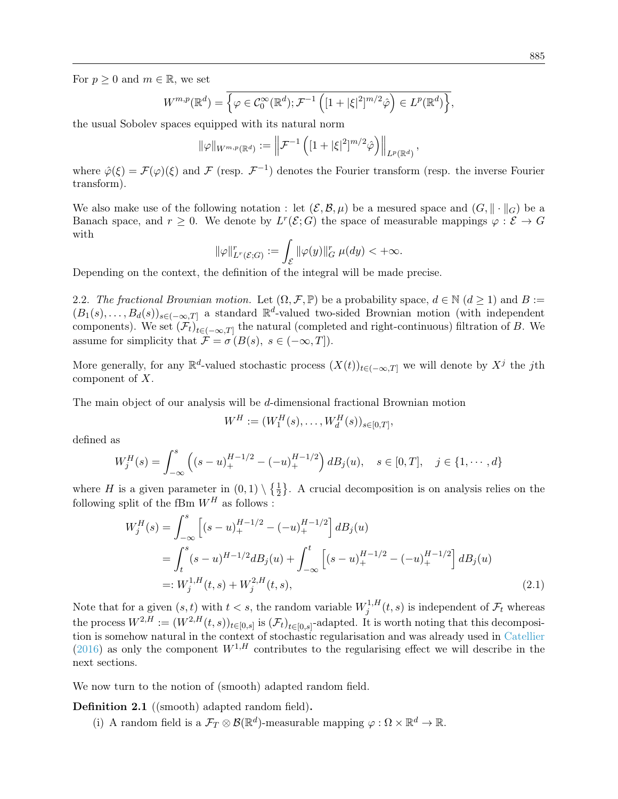For  $p \geq 0$  and  $m \in \mathbb{R}$ , we set

$$
W^{m,p}(\mathbb{R}^d) = \overline{\left\{\varphi \in \mathcal{C}_0^{\infty}(\mathbb{R}^d); \mathcal{F}^{-1}\left( [1+|\xi|^2]^{m/2}\hat{\varphi} \right) \in L^p(\mathbb{R}^d) \right\}},
$$

the usual Sobolev spaces equipped with its natural norm

$$
\|\varphi\|_{W^{m,p}(\mathbb{R}^d)} := \left\|\mathcal{F}^{-1}\left([1+|\xi|^2]^{m/2}\hat{\varphi}\right)\right\|_{L^p(\mathbb{R}^d)}
$$

,

where  $\hat{\varphi}(\xi) = \mathcal{F}(\varphi)(\xi)$  and  $\mathcal{F}$  (resp.  $\mathcal{F}^{-1}$ ) denotes the Fourier transform (resp. the inverse Fourier transform).

We also make use of the following notation : let  $(\mathcal{E}, \mathcal{B}, \mu)$  be a mesured space and  $(G, \|\cdot\|_G)$  be a Banach space, and  $r \geq 0$ . We denote by  $L^r(\mathcal{E}; G)$  the space of measurable mappings  $\varphi : \mathcal{E} \to G$ with

$$
\|\varphi\|_{L^r(\mathcal{E};G)}^r := \int_{\mathcal{E}} \|\varphi(y)\|_G^r \ \mu(dy) < +\infty.
$$

Depending on the context, the definition of the integral will be made precise.

2.2. The fractional Brownian motion. Let  $(\Omega, \mathcal{F}, \mathbb{P})$  be a probability space,  $d \in \mathbb{N}$   $(d \geq 1)$  and  $B :=$  $(B_1(s),...,B_d(s))_{s\in(-\infty,T]}$  a standard  $\mathbb{R}^d$ -valued two-sided Brownian motion (with independent components). We set  $(\mathcal{F}_t)_{t\in(-\infty,T]}$  the natural (completed and right-continuous) filtration of B. We assume for simplicity that  $\mathcal{F} = \sigma(B(s), s \in (-\infty, T]).$ 

More generally, for any  $\mathbb{R}^d$ -valued stochastic process  $(X(t))_{t\in(-\infty,T]}$  we will denote by  $X^j$  the jth component of X.

The main object of our analysis will be d-dimensional fractional Brownian motion

<span id="page-4-0"></span>
$$
W^H := (W_1^H(s), \dots, W_d^H(s))_{s \in [0,T]},
$$

defined as

$$
W_j^H(s) = \int_{-\infty}^s \left( (s - u)_+^{H-1/2} - (-u)_+^{H-1/2} \right) dB_j(u), \quad s \in [0, T], \quad j \in \{1, \cdots, d\}
$$

where H is a given parameter in  $(0,1) \setminus \{\frac{1}{2}\}\$ . A crucial decomposition is on analysis relies on the following split of the fBm  $W^H$  as follows :

$$
W_j^H(s) = \int_{-\infty}^s \left[ (s-u)_+^{H-1/2} - (-u)_+^{H-1/2} \right] dB_j(u)
$$
  
= 
$$
\int_t^s (s-u)^{H-1/2} dB_j(u) + \int_{-\infty}^t \left[ (s-u)_+^{H-1/2} - (-u)_+^{H-1/2} \right] dB_j(u)
$$
  
=: 
$$
W_j^{1,H}(t,s) + W_j^{2,H}(t,s),
$$
 (2.1)

Note that for a given  $(s, t)$  with  $t < s$ , the random variable  $W_i^{1,H}$  $j_j^{1,H}(t,s)$  is independent of  $\mathcal{F}_t$  whereas the process  $W^{2,H} := (W^{2,H}(t,s))_{t \in [0,s]}$  is  $(\mathcal{F}_t)_{t \in [0,s]}$ -adapted. It is worth noting that this decomposition is somehow natural in the context of stochastic regularisation and was already used in [Catellier](#page-43-8) [\(2016\)](#page-43-8) as only the component  $W^{1,H}$  contributes to the regularising effect we will describe in the next sections.

We now turn to the notion of (smooth) adapted random field.

Definition 2.1 ((smooth) adapted random field).

(i) A random field is a  $\mathcal{F}_T \otimes \mathcal{B}(\mathbb{R}^d)$ -measurable mapping  $\varphi : \Omega \times \mathbb{R}^d \to \mathbb{R}$ .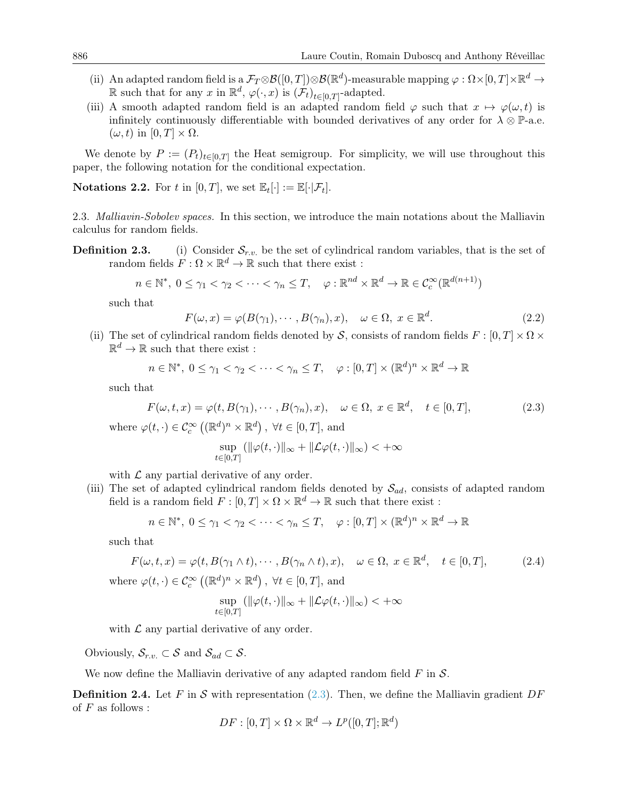- (ii) An adapted random field is a  $\mathcal{F}_T \otimes \mathcal{B}([0,T]) \otimes \mathcal{B}(\mathbb{R}^d)$ -measurable mapping  $\varphi : \Omega \times [0,T] \times \mathbb{R}^d \to$ R such that for any x in  $\mathbb{R}^d$ ,  $\varphi(\cdot, x)$  is  $(\mathcal{F}_t)_{t \in [0,T]}$ -adapted.
- (iii) A smooth adapted random field is an adapted random field  $\varphi$  such that  $x \mapsto \varphi(\omega, t)$  is infinitely continuously differentiable with bounded derivatives of any order for  $\lambda \otimes \mathbb{P}$ -a.e.  $(\omega, t)$  in  $[0, T] \times \Omega$ .

We denote by  $P := (P_t)_{t \in [0,T]}$  the Heat semigroup. For simplicity, we will use throughout this paper, the following notation for the conditional expectation.

**Notations 2.2.** For t in  $[0, T]$ , we set  $\mathbb{E}_t[\cdot] := \mathbb{E}[\cdot | \mathcal{F}_t].$ 

2.3. Malliavin-Sobolev spaces. In this section, we introduce the main notations about the Malliavin calculus for random fields.

**Definition 2.3.** (i) Consider  $S_{r.v.}$  be the set of cylindrical random variables, that is the set of random fields  $F: \Omega \times \mathbb{R}^d \to \mathbb{R}$  such that there exist :

$$
n \in \mathbb{N}^*, \ 0 \le \gamma_1 < \gamma_2 < \dots < \gamma_n \le T, \quad \varphi : \mathbb{R}^{nd} \times \mathbb{R}^d \to \mathbb{R} \in \mathcal{C}_c^{\infty}(\mathbb{R}^{d(n+1)})
$$

such that

$$
F(\omega, x) = \varphi(B(\gamma_1), \cdots, B(\gamma_n), x), \quad \omega \in \Omega, x \in \mathbb{R}^d.
$$
 (2.2)

(ii) The set of cylindrical random fields denoted by S, consists of random fields  $F : [0, T] \times \Omega \times$  $\mathbb{R}^d \to \mathbb{R}$  such that there exist :

$$
n \in \mathbb{N}^*, \ 0 \le \gamma_1 < \gamma_2 < \cdots < \gamma_n \le T, \quad \varphi : [0, T] \times (\mathbb{R}^d)^n \times \mathbb{R}^d \to \mathbb{R}
$$

such that

<span id="page-5-0"></span>
$$
F(\omega, t, x) = \varphi(t, B(\gamma_1), \cdots, B(\gamma_n), x), \quad \omega \in \Omega, \ x \in \mathbb{R}^d, \quad t \in [0, T], \tag{2.3}
$$

where  $\varphi(t, \cdot) \in \mathcal{C}_c^{\infty}((\mathbb{R}^d)^n \times \mathbb{R}^d)$ ,  $\forall t \in [0, T]$ , and

$$
\sup_{t\in[0,T]}(\|\varphi(t,\cdot)\|_{\infty}+\|\mathcal{L}\varphi(t,\cdot)\|_{\infty})<+\infty
$$

with  $\mathcal L$  any partial derivative of any order.

(iii) The set of adapted cylindrical random fields denoted by  $S_{ad}$ , consists of adapted random field is a random field  $F : [0, T] \times \Omega \times \mathbb{R}^d \to \mathbb{R}$  such that there exist :

$$
n \in \mathbb{N}^*, \ 0 \le \gamma_1 < \gamma_2 < \cdots < \gamma_n \le T, \quad \varphi : [0, T] \times (\mathbb{R}^d)^n \times \mathbb{R}^d \to \mathbb{R}
$$

such that

$$
F(\omega, t, x) = \varphi(t, B(\gamma_1 \wedge t), \cdots, B(\gamma_n \wedge t), x), \quad \omega \in \Omega, \ x \in \mathbb{R}^d, \quad t \in [0, T], \tag{2.4}
$$

where  $\varphi(t, \cdot) \in \mathcal{C}_c^{\infty}((\mathbb{R}^d)^n \times \mathbb{R}^d)$ ,  $\forall t \in [0, T]$ , and

$$
\sup_{t \in [0,T]} (\|\varphi(t, \cdot)\|_{\infty} + \|\mathcal{L}\varphi(t, \cdot)\|_{\infty}) < +\infty
$$

with  $\mathcal L$  any partial derivative of any order.

Obviously,  $\mathcal{S}_{r.v.} \subset \mathcal{S}$  and  $\mathcal{S}_{ad} \subset \mathcal{S}$ .

We now define the Malliavin derivative of any adapted random field  $F$  in  $\mathcal{S}$ .

**Definition 2.4.** Let F in S with representation [\(2.3\)](#page-5-0). Then, we define the Malliavin gradient DF of  $F$  as follows :

$$
DF : [0, T] \times \Omega \times \mathbb{R}^d \to L^p([0, T]; \mathbb{R}^d)
$$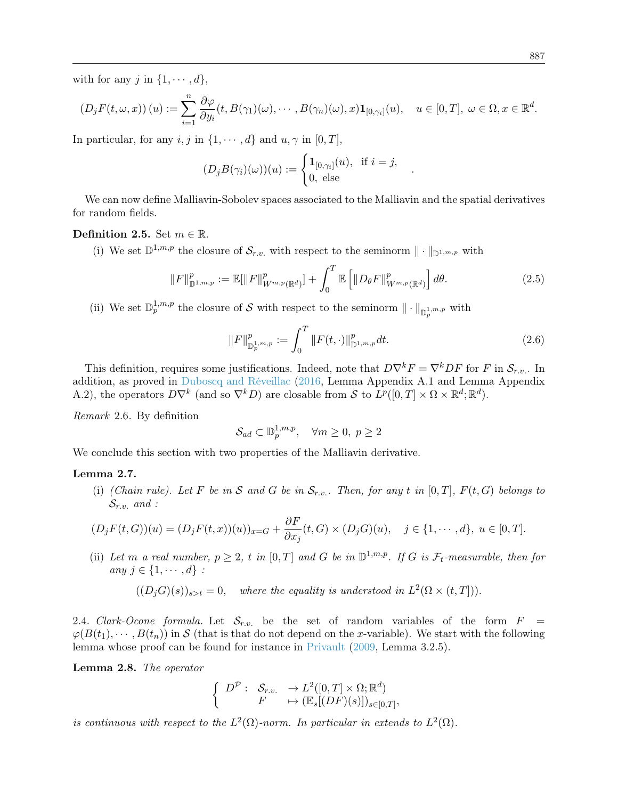with for any j in  $\{1, \dots, d\}$ ,

$$
(D_j F(t, \omega, x))(u) := \sum_{i=1}^n \frac{\partial \varphi}{\partial y_i}(t, B(\gamma_1)(\omega), \cdots, B(\gamma_n)(\omega), x) \mathbf{1}_{[0, \gamma_i]}(u), \quad u \in [0, T], \ \omega \in \Omega, x \in \mathbb{R}^d.
$$

In particular, for any i, j in  $\{1, \dots, d\}$  and  $u, \gamma$  in  $[0, T]$ ,

$$
(D_jB(\gamma_i)(\omega))(u) := \begin{cases} \mathbf{1}_{[0,\gamma_i]}(u), & \text{if } i = j, \\ 0, & \text{else} \end{cases}
$$

We can now define Malliavin-Sobolev spaces associated to the Malliavin and the spatial derivatives for random fields.

#### Definition 2.5. Set  $m \in \mathbb{R}$ .

(i) We set  $\mathbb{D}^{1,m,p}$  the closure of  $\mathcal{S}_{r.v.}$  with respect to the seminorm  $\|\cdot\|_{\mathbb{D}^{1,m,p}}$  with

$$
||F||_{\mathbb{D}^{1,m,p}}^{p} := \mathbb{E}[||F||_{W^{m,p}(\mathbb{R}^{d})}^{p}] + \int_{0}^{T} \mathbb{E}\left[||D_{\theta}F||_{W^{m,p}(\mathbb{R}^{d})}^{p}\right]d\theta.
$$
 (2.5)

(ii) We set  $\mathbb{D}_{p}^{1,m,p}$  the closure of S with respect to the seminorm  $\|\cdot\|_{\mathbb{D}_{p}^{1,m,p}}$  with

$$
||F||_{\mathbb{D}_{p}^{1,m,p}}^{p} := \int_{0}^{T} ||F(t,\cdot)||_{\mathbb{D}^{1,m,p}}^{p} dt.
$$
\n(2.6)

.

This definition, requires some justifications. Indeed, note that  $D\nabla^k F = \nabla^k DF$  for F in  $\mathcal{S}_{r.v.}$ . In addition, as proved in [Duboscq and Réveillac](#page-43-6) [\(2016,](#page-43-6) Lemma Appendix A.1 and Lemma Appendix A.2), the operators  $D\nabla^k$  (and so  $\nabla^k D$ ) are closable from S to  $L^p([0,T] \times \Omega \times \mathbb{R}^d; \mathbb{R}^d)$ .

Remark 2.6. By definition

$$
\mathcal{S}_{ad} \subset \mathbb{D}_{p}^{1,m,p}, \quad \forall m \ge 0, \ p \ge 2
$$

We conclude this section with two properties of the Malliavin derivative.

#### <span id="page-6-1"></span>Lemma 2.7.

(i) (Chain rule). Let F be in S and G be in  $S_{r.v.}$ . Then, for any t in [0, T],  $F(t, G)$  belongs to  $\mathcal{S}_{r.v.}$  and :

$$
(D_j F(t, G))(u) = (D_j F(t, x))(u))_{x = G} + \frac{\partial F}{\partial x_j}(t, G) \times (D_j G)(u), \quad j \in \{1, \cdots, d\}, u \in [0, T].
$$

(ii) Let m a real number,  $p \geq 2$ , t in  $[0, T]$  and G be in  $\mathbb{D}^{1,m,p}$ . If G is  $\mathcal{F}_t$ -measurable, then for any  $j \in \{1, \cdots, d\}$ :

$$
((D_j G)(s))_{s>t} = 0, \quad where the equality is understood in L2(\Omega \times (t, T))).
$$

2.4. Clark-Ocone formula. Let  $S_{r.v.}$  be the set of random variables of the form  $F =$  $\varphi(B(t_1),\dots, B(t_n))$  in S (that is that do not depend on the x-variable). We start with the following lemma whose proof can be found for instance in [Privault](#page-43-9) [\(2009,](#page-43-9) Lemma 3.2.5).

<span id="page-6-0"></span>Lemma 2.8. The operator

$$
\left\{\begin{array}{ccc} D^{\mathcal{P}} : & \mathcal{S}_{r.v.} & \rightarrow L^{2}([0,T]\times\Omega;\mathbb{R}^{d}) \\ & F & \mapsto (\mathbb{E}_{s}[(DF)(s)])_{s\in[0,T]}, \end{array}\right.
$$

is continuous with respect to the  $L^2(\Omega)$ -norm. In particular in extends to  $L^2(\Omega)$ .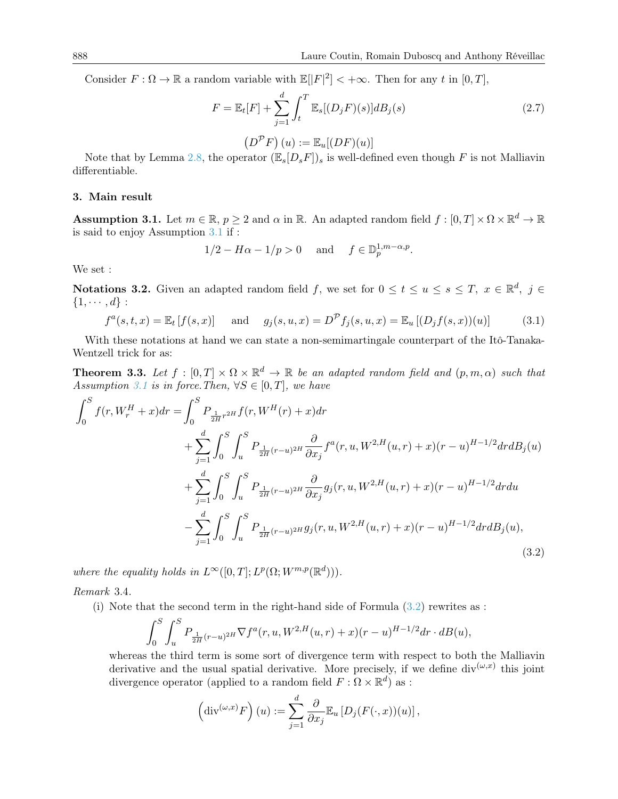Consider  $F: \Omega \to \mathbb{R}$  a random variable with  $\mathbb{E}(|F|^2| < +\infty$ . Then for any t in [0, T],

<span id="page-7-1"></span>
$$
F = \mathbb{E}_t[F] + \sum_{j=1}^d \int_t^T \mathbb{E}_s[(D_j F)(s)]dB_j(s)
$$
 (2.7)

$$
(D^{\mathcal{P}}F)(u) := \mathbb{E}_u[(DF)(u)]
$$

Note that by Lemma [2.8,](#page-6-0) the operator  $(\mathbb{E}_s[D_sF])_s$  is well-defined even though F is not Malliavin differentiable.

#### <span id="page-7-0"></span>3. Main result

<span id="page-7-3"></span>**Assumption 3.1.** Let  $m \in \mathbb{R}$ ,  $p \ge 2$  and  $\alpha$  in  $\mathbb{R}$ . An adapted random field  $f : [0, T] \times \Omega \times \mathbb{R}^d \to \mathbb{R}$ is said to enjoy Assumption [3.1](#page-7-3) if :

$$
1/2 - H\alpha - 1/p > 0
$$
 and  $f \in \mathbb{D}_p^{1,m-\alpha,p}$ .

We set :

Notations 3.2. Given an adapted random field f, we set for  $0 \le t \le u \le s \le T$ ,  $x \in \mathbb{R}^d$ ,  $j \in$  $\{1, \cdots, d\}$ :

<span id="page-7-5"></span>
$$
f^{a}(s,t,x) = \mathbb{E}_{t}[f(s,x)]
$$
 and  $g_{j}(s,u,x) = D^{\mathcal{P}}f_{j}(s,u,x) = \mathbb{E}_{u}[(D_{j}f(s,x))(u)]$  (3.1)

With these notations at hand we can state a non-semimartingale counterpart of the Itô-Tanaka-Wentzell trick for as:

<span id="page-7-2"></span>**Theorem 3.3.** Let  $f : [0,T] \times \Omega \times \mathbb{R}^d \to \mathbb{R}$  be an adapted random field and  $(p,m,\alpha)$  such that Assumption [3.1](#page-7-3) is in force. Then,  $\forall S \in [0, T]$ , we have

$$
\int_{0}^{S} f(r, W_{r}^{H} + x) dr = \int_{0}^{S} P_{\frac{1}{2H}r^{2H}} f(r, W^{H}(r) + x) dr \n+ \sum_{j=1}^{d} \int_{0}^{S} \int_{u}^{S} P_{\frac{1}{2H}(r-u)^{2H}} \frac{\partial}{\partial x_{j}} f^{a}(r, u, W^{2,H}(u, r) + x) (r - u)^{H-1/2} dr dB_{j}(u) \n+ \sum_{j=1}^{d} \int_{0}^{S} \int_{u}^{S} P_{\frac{1}{2H}(r-u)^{2H}} \frac{\partial}{\partial x_{j}} g_{j}(r, u, W^{2,H}(u, r) + x) (r - u)^{H-1/2} dr du \n- \sum_{j=1}^{d} \int_{0}^{S} \int_{u}^{S} P_{\frac{1}{2H}(r-u)^{2H}} g_{j}(r, u, W^{2,H}(u, r) + x) (r - u)^{H-1/2} dr dB_{j}(u),
$$
\n(3.2)

where the equality holds in  $L^{\infty}([0,T]; L^p(\Omega; W^{m,p}(\mathbb{R}^d)))$ .

<span id="page-7-6"></span>Remark 3.4.

(i) Note that the second term in the right-hand side of Formula [\(3.2\)](#page-7-4) rewrites as :

$$
\int_0^S \int_u^S P_{\frac{1}{2H}(r-u)^{2H}} \nabla f^a(r, u, W^{2,H}(u,r) + x)(r-u)^{H-1/2} dr \cdot dB(u),
$$

whereas the third term is some sort of divergence term with respect to both the Malliavin derivative and the usual spatial derivative. More precisely, if we define  $div^{(\omega,x)}$  this joint divergence operator (applied to a random field  $F : \Omega \times \mathbb{R}^d$ ) as :

<span id="page-7-4"></span>
$$
\left(\mathrm{div}^{(\omega,x)}F\right)(u) := \sum_{j=1}^d \frac{\partial}{\partial x_j} \mathbb{E}_u \left[D_j(F(\cdot,x))(u)\right],
$$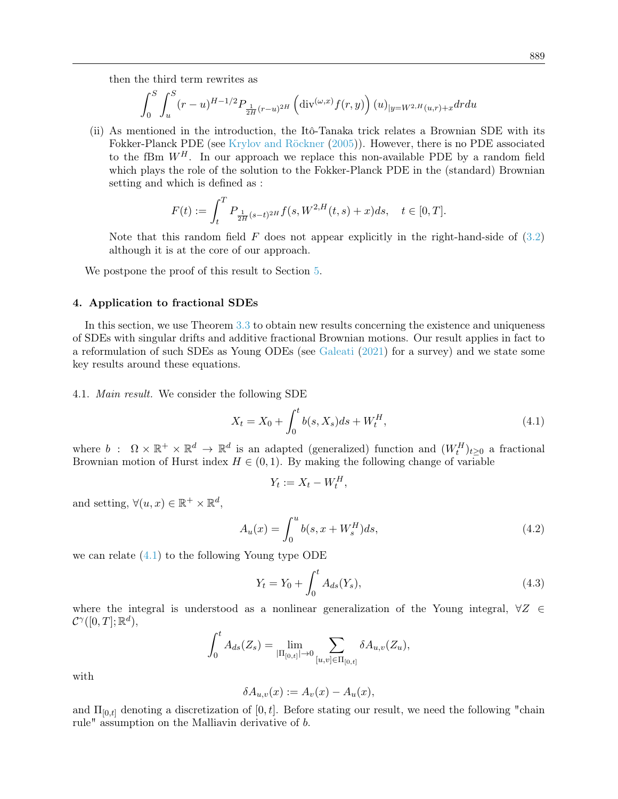then the third term rewrites as

$$
\int_0^S \int_u^S (r-u)^{H-1/2} P_{\frac{1}{2H}(r-u)^{2H}} \left( \text{div}^{(\omega,x)} f(r,y) \right) (u)_{|y=W^{2,H}(u,r)+x} dr du
$$

(ii) As mentioned in the introduction, the Itô-Tanaka trick relates a Brownian SDE with its Fokker-Planck PDE (see [Krylov and Röckner](#page-43-2) [\(2005\)](#page-43-2)). However, there is no PDE associated to the fBm  $W^H$ . In our approach we replace this non-available PDE by a random field which plays the role of the solution to the Fokker-Planck PDE in the (standard) Brownian setting and which is defined as :

$$
F(t) := \int_{t}^{T} P_{\frac{1}{2H}(s-t)^{2H}} f(s, W^{2,H}(t,s) + x) ds, \quad t \in [0, T].
$$

Note that this random field F does not appear explicitly in the right-hand-side of  $(3.2)$ although it is at the core of our approach.

We postpone the proof of this result to Section [5.](#page-14-0)

#### <span id="page-8-0"></span>4. Application to fractional SDEs

In this section, we use Theorem [3.3](#page-7-2) to obtain new results concerning the existence and uniqueness of SDEs with singular drifts and additive fractional Brownian motions. Our result applies in fact to a reformulation of such SDEs as Young ODEs (see [Galeati](#page-43-10) [\(2021\)](#page-43-10) for a survey) and we state some key results around these equations.

4.1. Main result. We consider the following SDE

<span id="page-8-1"></span>
$$
X_t = X_0 + \int_0^t b(s, X_s)ds + W_t^H,
$$
\n(4.1)

where  $b$ :  $\Omega \times \mathbb{R}^+ \times \mathbb{R}^d \to \mathbb{R}^d$  is an adapted (generalized) function and  $(W_t^H)_{t \geq 0}$  a fractional Brownian motion of Hurst index  $H \in (0, 1)$ . By making the following change of variable

$$
Y_t := X_t - W_t^H,
$$

and setting,  $\forall (u, x) \in \mathbb{R}^+ \times \mathbb{R}^d$ ,

<span id="page-8-3"></span>
$$
A_u(x) = \int_0^u b(s, x + W_s^H) ds,
$$
\n(4.2)

we can relate  $(4.1)$  to the following Young type ODE

<span id="page-8-2"></span>
$$
Y_t = Y_0 + \int_0^t A_{ds}(Y_s), \tag{4.3}
$$

where the integral is understood as a nonlinear generalization of the Young integral,  $\forall Z \in$  $\mathcal{C}^{\gamma}([0,T];\mathbb{R}^d),$ 

$$
\int_0^t A_{ds}(Z_s) = \lim_{|\Pi_{[0,t]}| \to 0} \sum_{[u,v] \in \Pi_{[0,t]}} \delta A_{u,v}(Z_u),
$$

with

$$
\delta A_{u,v}(x) := A_v(x) - A_u(x),
$$

and  $\Pi_{[0,t]}$  denoting a discretization of  $[0,t]$ . Before stating our result, we need the following "chain rule" assumption on the Malliavin derivative of b.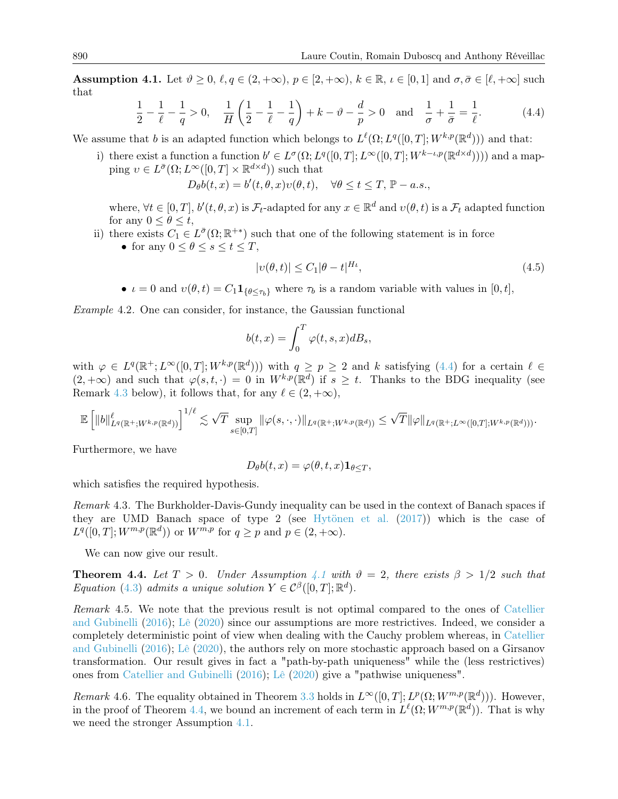<span id="page-9-3"></span>**Assumption 4.1.** Let  $\vartheta \ge 0$ ,  $\ell, q \in (2, +\infty)$ ,  $p \in [2, +\infty)$ ,  $k \in \mathbb{R}$ ,  $\iota \in [0, 1]$  and  $\sigma, \bar{\sigma} \in [\ell, +\infty]$  such that

<span id="page-9-1"></span>
$$
\frac{1}{2} - \frac{1}{\ell} - \frac{1}{q} > 0, \quad \frac{1}{H} \left( \frac{1}{2} - \frac{1}{\ell} - \frac{1}{q} \right) + k - \vartheta - \frac{d}{p} > 0 \quad \text{and} \quad \frac{1}{\sigma} + \frac{1}{\bar{\sigma}} = \frac{1}{\ell}. \tag{4.4}
$$

We assume that b is an adapted function which belongs to  $L^{\ell}(\Omega; L^q([0,T]; W^{k,p}(\mathbb{R}^d)))$  and that:

i) there exist a function a function  $b' \in L^{\sigma}(\Omega; L^q([0,T]; L^{\infty}([0,T]; W^{k-\iota,p}(\mathbb{R}^{d \times d}))))$  and a mapping  $v \in L^{\bar{\sigma}}(\Omega; L^{\infty}([0,T] \times \mathbb{R}^{d \times d}))$  such that  $D_{\theta}b(t,x) = b'(t, \theta, x)v(\theta, t), \quad \forall \theta \leq t \leq T, \mathbb{P}-a.s.,$ 

where,  $\forall t \in [0,T], b'(t,\theta,x)$  is  $\mathcal{F}_t$ -adapted for any  $x \in \mathbb{R}^d$  and  $v(\theta,t)$  is a  $\mathcal{F}_t$  adapted function for any  $0 \leq \theta \leq t$ ,

ii) there exists  $C_1 \in L^{\bar{\sigma}}(\Omega;\mathbb{R}^{+})$  such that one of the following statement is in force

• for any  $0 \leq \theta \leq s \leq t \leq T$ ,

$$
|v(\theta, t)| \le C_1 |\theta - t|^{H_\ell},\tag{4.5}
$$

•  $\iota = 0$  and  $v(\theta, t) = C_1 \mathbf{1}_{\{\theta \leq \tau_b\}}$  where  $\tau_b$  is a random variable with values in [0, t],

Example 4.2. One can consider, for instance, the Gaussian functional

$$
b(t,x) = \int_0^T \varphi(t,s,x) dB_s,
$$

with  $\varphi \in L^q(\mathbb{R}^+; L^{\infty}([0,T]; W^{k,p}(\mathbb{R}^d)))$  with  $q \geq p \geq 2$  and k satisfying  $(4.4)$  for a certain  $\ell \in$  $(2, +\infty)$  and such that  $\varphi(s, t, \cdot) = 0$  in  $W^{k,p}(\mathbb{R}^d)$  if  $s \geq t$ . Thanks to the BDG inequality (see Remark [4.3](#page-9-2) below), it follows that, for any  $\ell \in (2, +\infty)$ ,

$$
\mathbb{E}\left[\|b\|^{\ell}_{L^q(\mathbb{R}^+;W^{k,p}(\mathbb{R}^d))}\right]^{1/\ell} \lesssim \sqrt{T} \sup_{s\in[0,T]} \|\varphi(s,\cdot,\cdot)\|_{L^q(\mathbb{R}^+;W^{k,p}(\mathbb{R}^d))} \leq \sqrt{T} \|\varphi\|_{L^q(\mathbb{R}^+;L^\infty([0,T];W^{k,p}(\mathbb{R}^d)))}.
$$

Furthermore, we have

$$
D_{\theta}b(t,x) = \varphi(\theta,t,x)\mathbf{1}_{\theta \leq T},
$$

which satisfies the required hypothesis.

<span id="page-9-2"></span>Remark 4.3. The Burkholder-Davis-Gundy inequality can be used in the context of Banach spaces if they are UMD Banach space of type 2 (see [Hytönen et al.](#page-43-11) [\(2017\)](#page-43-11)) which is the case of  $L^q([0,T]; W^{m,p}(\mathbb{R}^d))$  or  $W^{m,p}$  for  $q \geq p$  and  $p \in (2, +\infty)$ .

We can now give our result.

<span id="page-9-0"></span>**Theorem 4.4.** Let  $T > 0$ . Under Assumption [4.1](#page-9-3) with  $\vartheta = 2$ , there exists  $\beta > 1/2$  such that Equation [\(4.3\)](#page-8-2) admits a unique solution  $Y \in C^{\beta}([0,T];\mathbb{R}^d)$ .

Remark 4.5. We note that the previous result is not optimal compared to the ones of [Catellier](#page-43-5) [and Gubinelli](#page-43-5) [\(2016\)](#page-43-5); [Lê](#page-43-7) [\(2020\)](#page-43-7) since our assumptions are more restrictives. Indeed, we consider a completely deterministic point of view when dealing with the Cauchy problem whereas, in [Catellier](#page-43-5) [and Gubinelli](#page-43-5) [\(2016\)](#page-43-5); [Lê](#page-43-7) [\(2020\)](#page-43-7), the authors rely on more stochastic approach based on a Girsanov transformation. Our result gives in fact a "path-by-path uniqueness" while the (less restrictives) ones from [Catellier and Gubinelli](#page-43-5) [\(2016\)](#page-43-5); [Lê](#page-43-7) [\(2020\)](#page-43-7) give a "pathwise uniqueness".

<span id="page-9-4"></span>Remark 4.6. The equality obtained in Theorem [3.3](#page-7-2) holds in  $L^{\infty}([0,T]; L^p(\Omega; W^{m,p}(\mathbb{R}^d)))$ . However, in the proof of Theorem [4.4,](#page-9-0) we bound an increment of each term in  $L^{\ell}(\Omega; W^{m,p}(\mathbb{R}^d))$ . That is why we need the stronger Assumption [4.1.](#page-9-3)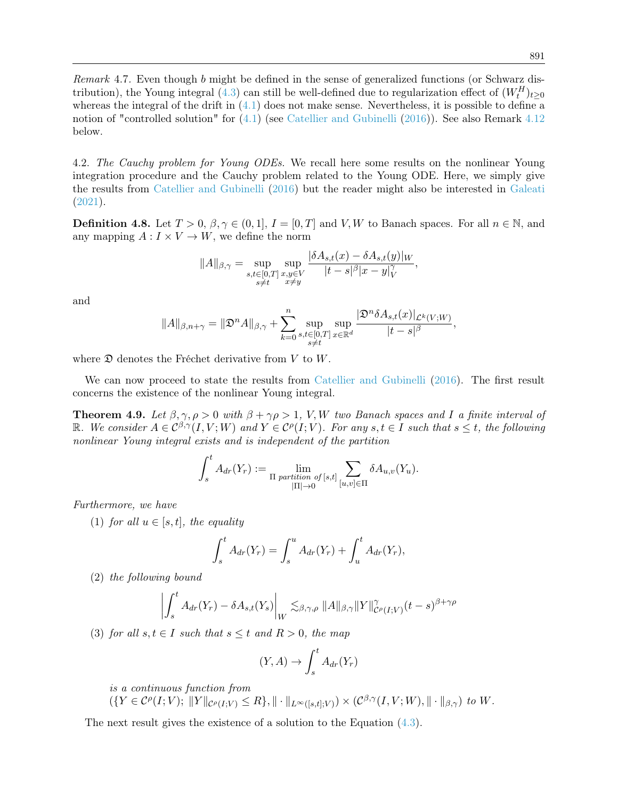Remark 4.7. Even though b might be defined in the sense of generalized functions (or Schwarz dis-tribution), the Young integral [\(4.3\)](#page-8-2) can still be well-defined due to regularization effect of  $(W_t^H)_{t\geq 0}$ whereas the integral of the drift in  $(4.1)$  does not make sense. Nevertheless, it is possible to define a notion of "controlled solution" for [\(4.1\)](#page-8-1) (see [Catellier and Gubinelli](#page-43-5) [\(2016\)](#page-43-5)). See also Remark [4.12](#page-11-0) below.

4.2. The Cauchy problem for Young ODEs. We recall here some results on the nonlinear Young integration procedure and the Cauchy problem related to the Young ODE. Here, we simply give the results from [Catellier and Gubinelli](#page-43-5) [\(2016\)](#page-43-5) but the reader might also be interested in [Galeati](#page-43-10) [\(2021\)](#page-43-10).

**Definition 4.8.** Let  $T > 0$ ,  $\beta, \gamma \in (0, 1], I = [0, T]$  and V, W to Banach spaces. For all  $n \in \mathbb{N}$ , and any mapping  $A: I \times V \to W$ , we define the norm

$$
||A||_{\beta,\gamma} = \sup_{\substack{s,t \in [0,T] \\ s \neq t}} \sup_{\substack{x,y \in V \\ x \neq y}} \frac{|\delta A_{s,t}(x) - \delta A_{s,t}(y)|_W}{|t-s|^\beta |x-y|^\gamma_V},
$$

and

$$
||A||_{\beta,n+\gamma} = ||\mathfrak{D}^n A||_{\beta,\gamma} + \sum_{k=0}^n \sup_{\substack{s,t \in [0,T] \\ s \neq t}} \sup_{x \in \mathbb{R}^d} \frac{|\mathfrak{D}^n \delta A_{s,t}(x)|_{\mathcal{L}^k(V;W)}}{|t-s|^\beta},
$$

where  $\mathfrak D$  denotes the Fréchet derivative from V to W.

We can now proceed to state the results from [Catellier and Gubinelli](#page-43-5) [\(2016\)](#page-43-5). The first result concerns the existence of the nonlinear Young integral.

**Theorem 4.9.** Let  $\beta, \gamma, \rho > 0$  with  $\beta + \gamma \rho > 1$ , V, W two Banach spaces and I a finite interval of R. We consider  $A \in C^{\beta,\gamma}(I,V;W)$  and  $Y \in C^{\rho}(I;V)$ . For any  $s,t \in I$  such that  $s \leq t$ , the following nonlinear Young integral exists and is independent of the partition

$$
\int_{s}^{t} A_{dr}(Y_r) := \lim_{\Pi \text{ partition of } [s,t]} \sum_{[u,v] \in \Pi} \delta A_{u,v}(Y_u).
$$

Furthermore, we have

(1) for all  $u \in [s, t]$ , the equality

$$
\int_{s}^{t} A_{dr}(Y_r) = \int_{s}^{u} A_{dr}(Y_r) + \int_{u}^{t} A_{dr}(Y_r),
$$

(2) the following bound

$$
\left| \int_s^t A_{dr}(Y_r) - \delta A_{s,t}(Y_s) \right|_W \lesssim_{\beta,\gamma,\rho} \|A\|_{\beta,\gamma} \|Y\|_{\mathcal{C}(\rho(I;V)}^\gamma (t-s)^{\beta+\gamma\rho}
$$

(3) for all  $s, t \in I$  such that  $s \leq t$  and  $R > 0$ , the map

$$
(Y, A) \to \int_s^t A_{dr}(Y_r)
$$

is a continuous function from

$$
(\{Y \in \mathcal{C}^{\rho}(I;V); \; \|Y\|_{\mathcal{C}^{\rho}(I;V)} \leq R\}, \|\cdot\|_{L^{\infty}([s,t];V)}) \times (\mathcal{C}^{\beta,\gamma}(I,V;W), \|\cdot\|_{\beta,\gamma}) \; \text{to} \; W.
$$

The next result gives the existence of a solution to the Equation [\(4.3\)](#page-8-2).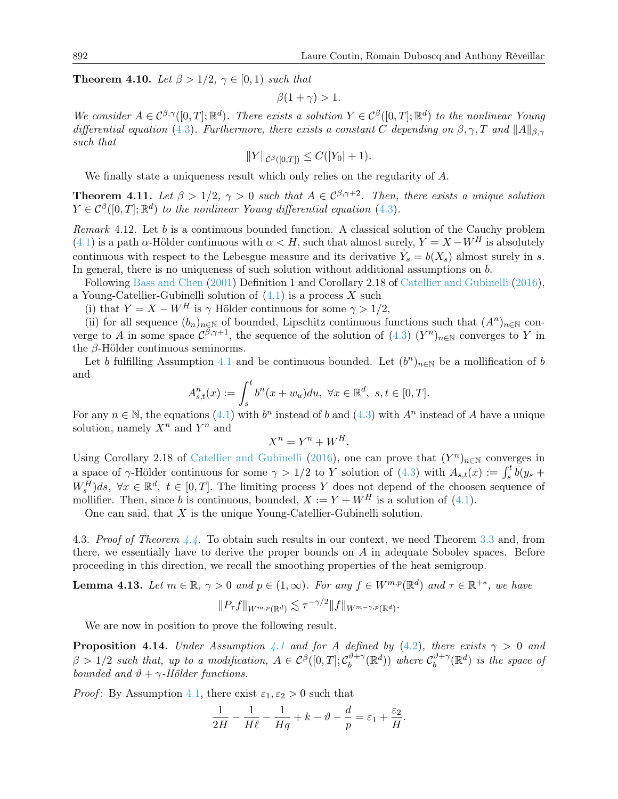**Theorem 4.10.** Let  $\beta > 1/2$ ,  $\gamma \in [0, 1)$  such that

$$
\beta(1+\gamma) > 1.
$$

We consider  $A \in C^{\beta,\gamma}([0,T];\mathbb{R}^d)$ . There exists a solution  $Y \in C^{\beta}([0,T];\mathbb{R}^d)$  to the nonlinear Young differential equation [\(4.3\)](#page-8-2). Furthermore, there exists a constant C depending on  $\beta, \gamma, T$  and  $||A||_{\beta, \gamma}$ such that

$$
||Y||_{\mathcal{C}^{\beta}([0,T])} \leq C(|Y_0|+1).
$$

We finally state a uniqueness result which only relies on the regularity of A.

<span id="page-11-2"></span>**Theorem 4.11.** Let  $\beta > 1/2$ ,  $\gamma > 0$  such that  $A \in C^{\beta, \gamma+2}$ . Then, there exists a unique solution  $Y \in \mathcal{C}^{\beta}([0,T];\mathbb{R}^d)$  to the nonlinear Young differential equation [\(4.3\)](#page-8-2).

<span id="page-11-0"></span>Remark 4.12. Let b is a continuous bounded function. A classical solution of the Cauchy problem [\(4.1\)](#page-8-1) is a path  $\alpha$ -Hölder continuous with  $\alpha < H$ , such that almost surely,  $Y = X - W^H$  is absolutely continuous with respect to the Lebesgue measure and its derivative  $\dot{Y}_s = b(X_s)$  almost surely in s. In general, there is no uniqueness of such solution without additional assumptions on b.

Following [Bass and Chen](#page-43-12) [\(2001\)](#page-43-12) Definition 1 and Corollary 2.18 of [Catellier and Gubinelli](#page-43-5) [\(2016\)](#page-43-5), a Young-Catellier-Gubinelli solution of  $(4.1)$  is a process X such

(i) that  $Y = X - W^H$  is  $\gamma$  Hölder continuous for some  $\gamma > 1/2$ ,

(ii) for all sequence  $(b_n)_{n\in\mathbb{N}}$  of bounded, Lipschitz continuous functions such that  $(A^n)_{n\in\mathbb{N}}$  converge to A in some space  $\mathcal{C}^{\beta,\gamma+1}$ , the sequence of the solution of  $(4.3)$   $(Y^n)_{n\in\mathbb{N}}$  converges to Y in the β-Hölder continuous seminorms.

Let b fulfilling Assumption [4.1](#page-9-3) and be continuous bounded. Let  $(b^n)_{n\in\mathbb{N}}$  be a mollification of b and

$$
A_{s,t}^n(x) := \int_s^t b^n(x + w_u) du, \ \forall x \in \mathbb{R}^d, \ s, t \in [0, T].
$$

For any  $n \in \mathbb{N}$ , the equations [\(4.1\)](#page-8-1) with  $b^n$  instead of b and [\(4.3\)](#page-8-2) with  $A^n$  instead of A have a unique solution, namely  $X^n$  and  $Y^n$  and

$$
X^n = Y^n + W^H.
$$

Using Corollary 2.18 of [Catellier and Gubinelli](#page-43-5) [\(2016\)](#page-43-5), one can prove that  $(Y^n)_{n\in\mathbb{N}}$  converges in a space of  $\gamma$ -Hölder continuous for some  $\gamma > 1/2$  to Y solution of [\(4.3\)](#page-8-2) with  $A_{s,t}(x) := \int_s^t b(y_s +$  $W_s^H$ )ds,  $\forall x \in \mathbb{R}^d$ ,  $t \in [0, T]$ . The limiting process Y does not depend of the choosen sequence of mollifier. Then, since b is continuous, bounded,  $X := Y + W^H$  is a solution of [\(4.1\)](#page-8-1).

One can said, that X is the unique Young-Catellier-Gubinelli solution.

4.3. Proof of Theorem [4.4.](#page-9-0) To obtain such results in our context, we need Theorem [3.3](#page-7-2) and, from there, we essentially have to derive the proper bounds on A in adequate Sobolev spaces. Before proceeding in this direction, we recall the smoothing properties of the heat semigroup.

<span id="page-11-1"></span>**Lemma 4.13.** Let 
$$
m \in \mathbb{R}
$$
,  $\gamma > 0$  and  $p \in (1, \infty)$ . For any  $f \in W^{m,p}(\mathbb{R}^d)$  and  $\tau \in \mathbb{R}^{+*}$ , we have  

$$
||P_{\tau}f||_{W^{m,p}(\mathbb{R}^d)} \lesssim \tau^{-\gamma/2}||f||_{W^{m-\gamma,p}(\mathbb{R}^d)}.
$$

We are now in position to prove the following result.

**Proposition [4.1](#page-9-3)4.** Under Assumption 4.1 and for A defined by [\(4.2\)](#page-8-3), there exists  $\gamma > 0$  and  $\beta > 1/2$  such that, up to a modification,  $A \in C^{\beta}([0,T]; C_b^{\vartheta + \gamma})$  $\mathcal{C}_b^{\vartheta + \gamma}(\mathbb{R}^d)$  where  $\mathcal{C}_b^{\vartheta + \gamma}$  $\int_b^{\vartheta+\gamma}(\mathbb{R}^d)$  is the space of bounded and  $\vartheta + \gamma$ -Hölder functions.

*Proof*: By Assumption [4.1,](#page-9-3) there exist  $\varepsilon_1, \varepsilon_2 > 0$  such that

$$
\frac{1}{2H} - \frac{1}{H\ell} - \frac{1}{Hq} + k - \vartheta - \frac{d}{p} = \varepsilon_1 + \frac{\varepsilon_2}{H}.
$$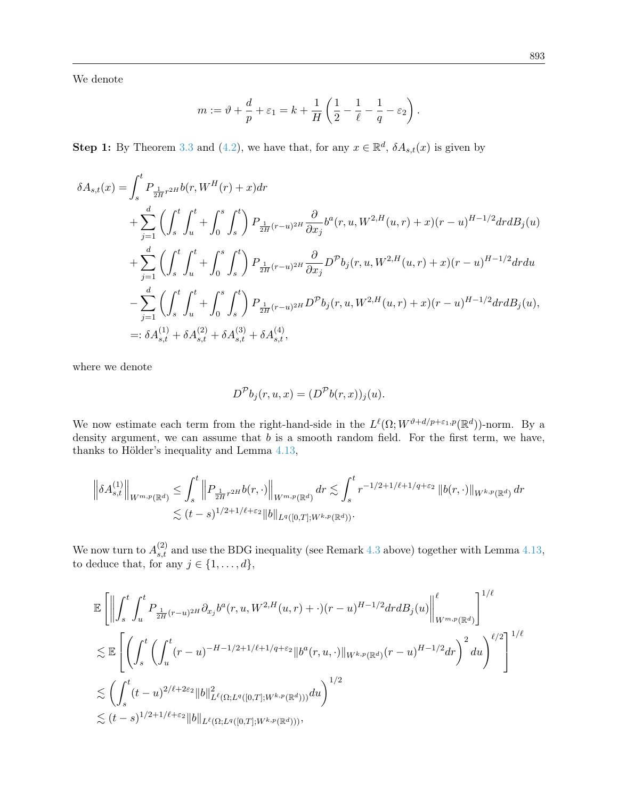We denote

$$
m := \vartheta + \frac{d}{p} + \varepsilon_1 = k + \frac{1}{H} \left( \frac{1}{2} - \frac{1}{\ell} - \frac{1}{q} - \varepsilon_2 \right).
$$

**Step 1:** By Theorem [3.3](#page-7-2) and [\(4.2\)](#page-8-3), we have that, for any  $x \in \mathbb{R}^d$ ,  $\delta A_{s,t}(x)$  is given by

$$
\delta A_{s,t}(x) = \int_{s}^{t} P_{\frac{1}{2H}r^{2H}} b(r, W^{H}(r) + x) dr
$$
  
+ 
$$
\sum_{j=1}^{d} \left( \int_{s}^{t} \int_{u}^{t} + \int_{0}^{s} \int_{s}^{t} \right) P_{\frac{1}{2H}(r-u)^{2H}} \frac{\partial}{\partial x_{j}} b^{a}(r, u, W^{2,H}(u,r) + x) (r-u)^{H-1/2} dr dB_{j}(u)
$$
  
+ 
$$
\sum_{j=1}^{d} \left( \int_{s}^{t} \int_{u}^{t} + \int_{0}^{s} \int_{s}^{t} \right) P_{\frac{1}{2H}(r-u)^{2H}} \frac{\partial}{\partial x_{j}} D^{p} b_{j}(r, u, W^{2,H}(u,r) + x) (r-u)^{H-1/2} dr du
$$
  
- 
$$
\sum_{j=1}^{d} \left( \int_{s}^{t} \int_{u}^{t} + \int_{0}^{s} \int_{s}^{t} \right) P_{\frac{1}{2H}(r-u)^{2H}} D^{p} b_{j}(r, u, W^{2,H}(u,r) + x) (r-u)^{H-1/2} dr dB_{j}(u),
$$
  
=: 
$$
\delta A_{s,t}^{(1)} + \delta A_{s,t}^{(2)} + \delta A_{s,t}^{(3)} + \delta A_{s,t}^{(4)},
$$

where we denote

$$
D^{\mathcal{P}}b_j(r, u, x) = (D^{\mathcal{P}}b(r, x))_j(u).
$$

We now estimate each term from the right-hand-side in the  $L^{\ell}(\Omega; W^{\vartheta+d/p+\varepsilon_1,p}(\mathbb{R}^d))$ -norm. By a density argument, we can assume that  $b$  is a smooth random field. For the first term, we have, thanks to Hölder's inequality and Lemma [4.13,](#page-11-1)

$$
\left\|\delta A_{s,t}^{(1)}\right\|_{W^{m,p}(\mathbb{R}^d)} \leq \int_s^t \left\|P_{\frac{1}{2H}r^{2H}} b(r,\cdot)\right\|_{W^{m,p}(\mathbb{R}^d)} dr \lesssim \int_s^t r^{-1/2+1/\ell+1/q+\varepsilon_2} \left\|b(r,\cdot)\right\|_{W^{k,p}(\mathbb{R}^d)} dr
$$
  

$$
\lesssim (t-s)^{1/2+1/\ell+\varepsilon_2} \|b\|_{L^q([0,T];W^{k,p}(\mathbb{R}^d))}.
$$

We now turn to  $A_{s,t}^{(2)}$  and use the BDG inequality (see Remark [4.3](#page-9-2) above) together with Lemma [4.13,](#page-11-1) to deduce that, for any  $j \in \{1, \ldots, d\}$ ,

$$
\mathbb{E}\left[\left\|\int_{s}^{t}\int_{u}^{t}P_{\frac{1}{2H}(r-u)^{2H}}\partial_{x_{j}}b^{a}(r,u,W^{2,H}(u,r)+\cdot)(r-u)^{H-1/2}drdB_{j}(u)\right\|_{W^{m,p}(\mathbb{R}^{d})}^{\ell}\right]^{1/\ell}
$$
  
\n
$$
\lesssim \mathbb{E}\left[\left(\int_{s}^{t}\left(\int_{u}^{t}(r-u)^{-H-1/2+1/\ell+1/q+\varepsilon_{2}}\|b^{a}(r,u,\cdot)\|_{W^{k,p}(\mathbb{R}^{d})}(r-u)^{H-1/2}dr\right)^{2}du\right)^{\ell/2}\right]^{1/\ell}
$$
  
\n
$$
\lesssim \left(\int_{s}^{t}(t-u)^{2/\ell+2\varepsilon_{2}}\|b\|_{L^{\ell}(\Omega;L^{q}([0,T];W^{k,p}(\mathbb{R}^{d})))}^{2}du\right)^{1/2}
$$
  
\n
$$
\lesssim (t-s)^{1/2+1/\ell+\varepsilon_{2}}\|b\|_{L^{\ell}(\Omega;L^{q}([0,T];W^{k,p}(\mathbb{R}^{d})))},
$$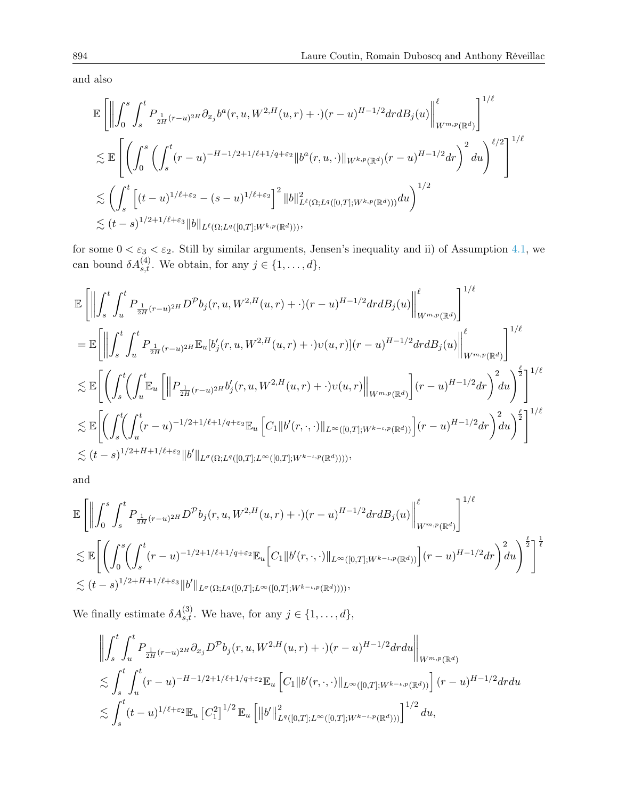and also

$$
\mathbb{E}\left[\left\|\int_{0}^{s}\int_{s}^{t}P_{\frac{1}{2H}(r-u)^{2H}}\partial_{x_{j}}b^{a}(r,u,W^{2,H}(u,r)+\cdot)(r-u)^{H-1/2}drdB_{j}(u)\right\|_{W^{m,p}(\mathbb{R}^{d})}^{\ell}\right]^{1/\ell}
$$
  
\n
$$
\lesssim \mathbb{E}\left[\left(\int_{0}^{s}\left(\int_{s}^{t}(r-u)^{-H-1/2+1/\ell+1/q+\varepsilon_{2}}\|b^{a}(r,u,\cdot)\|_{W^{k,p}(\mathbb{R}^{d})}(r-u)^{H-1/2}dr\right)^{2}du\right)^{\ell/2}\right]^{1/\ell}
$$
  
\n
$$
\lesssim \left(\int_{s}^{t}\left[(t-u)^{1/\ell+\varepsilon_{2}}-(s-u)^{1/\ell+\varepsilon_{2}}\right]^{2}\|b\|_{L^{\ell}(\Omega;L^{q}([0,T];W^{k,p}(\mathbb{R}^{d})))}^{1/2}du\right)^{1/2}
$$
  
\n
$$
\lesssim (t-s)^{1/2+1/\ell+\varepsilon_{3}}\|b\|_{L^{\ell}(\Omega;L^{q}([0,T];W^{k,p}(\mathbb{R}^{d})))},
$$

for some  $0 < \varepsilon_3 < \varepsilon_2$ . Still by similar arguments, Jensen's inequality and ii) of Assumption [4.1,](#page-9-3) we can bound  $\delta A_{s,t}^{(4)}$ . We obtain, for any  $j \in \{1, \ldots, d\}$ ,

$$
\mathbb{E}\left[\left\|\int_{s}^{t}\int_{u}^{t}P_{\frac{1}{2H}(r-u)^{2H}}D^{p}b_{j}(r,u,W^{2,H}(u,r)+\cdot)(r-u)^{H-1/2}drdB_{j}(u)\right\|_{W^{m,p}(\mathbb{R}^{d})}^{\ell}\right]^{1/\ell}
$$
\n
$$
=\mathbb{E}\left[\left\|\int_{s}^{t}\int_{u}^{t}P_{\frac{1}{2H}(r-u)^{2H}}\mathbb{E}_{u}[b'_{j}(r,u,W^{2,H}(u,r)+\cdot)v(u,r)](r-u)^{H-1/2}drdB_{j}(u)\right\|_{W^{m,p}(\mathbb{R}^{d})}^{\ell}\right]^{1/\ell}
$$
\n
$$
\lesssim \mathbb{E}\left[\left(\int_{s}^{t}\left(\int_{u}^{t}\mathbb{E}_{u}\left[\left\|P_{\frac{1}{2H}(r-u)^{2H}}b'_{j}(r,u,W^{2,H}(u,r)+\cdot)v(u,r)\right\|_{W^{m,p}(\mathbb{R}^{d})}\right](r-u)^{H-1/2}dr\right)^{2}du\right)^{\frac{\ell}{2}}\right]^{1/\ell}
$$
\n
$$
\lesssim \mathbb{E}\left[\left(\int_{s}^{t}\left(\int_{u}^{t}(r-u)^{-1/2+1/\ell+1/q+\varepsilon_{2}}\mathbb{E}_{u}\left[C_{1}\|b'(r,\cdot,\cdot)\|_{L^{\infty}([0,T];W^{k-\iota,p}(\mathbb{R}^{d}))}\right](r-u)^{H-1/2}dr\right)^{2}du\right)^{\frac{\ell}{2}}\right]^{1/\ell}
$$
\n
$$
\lesssim (t-s)^{1/2+H+1/\ell+\varepsilon_{2}}\|b'\|_{L^{\sigma}(\Omega;L^{q}([0,T];L^{\infty}([0,T];W^{k-\iota,p}(\mathbb{R}^{d}))))},
$$

and

$$
\mathbb{E}\left[\left\|\int_{0}^{s}\int_{s}^{t}P_{\frac{1}{2H}(r-u)^{2H}}D^{\mathcal{P}}b_{j}(r,u,W^{2,H}(u,r)+\cdot)(r-u)^{H-1/2}drdB_{j}(u)\right\|_{W^{m,p}(\mathbb{R}^{d})}^{\ell}\right]^{1/\ell}
$$
  

$$
\lesssim \mathbb{E}\left[\left(\int_{0}^{s}\left(\int_{s}^{t}(r-u)^{-1/2+1/\ell+1/q+\varepsilon_{2}}\mathbb{E}_{u}\left[C_{1}\|b'(r,\cdot,\cdot)\|_{L^{\infty}([0,T];W^{k-\iota,p}(\mathbb{R}^{d}))}\right](r-u)^{H-1/2}dr\right)^{2}d u\right)^{\frac{\ell}{2}}\right]^{\frac{1}{\ell}}
$$
  

$$
\lesssim (t-s)^{1/2+H+1/\ell+\varepsilon_{3}}\|b'\|_{L^{\sigma}(\Omega;L^{q}([0,T];L^{\infty}([0,T];W^{k-\iota,p}(\mathbb{R}^{d}))))},
$$

We finally estimate  $\delta A_{s,t}^{(3)}$ . We have, for any  $j \in \{1, \ldots, d\}$ ,

$$
\left\| \int_{s}^{t} \int_{u}^{t} P_{\frac{1}{2H}(r-u)^{2H}} \partial_{x_{j}} D^{\mathcal{P}} b_{j}(r, u, W^{2,H}(u, r) + \cdot)(r-u)^{H-1/2} dr du \right\|_{W^{m,p}(\mathbb{R}^{d})}
$$
  

$$
\lesssim \int_{s}^{t} \int_{u}^{t} (r-u)^{-H-1/2+1/\ell+1/q+\varepsilon_{2}} \mathbb{E}_{u} \left[ C_{1} \| b'(r, \cdot, \cdot) \|_{L^{\infty}([0,T]; W^{k-\iota,p}(\mathbb{R}^{d}))} \right] (r-u)^{H-1/2} dr du
$$
  

$$
\lesssim \int_{s}^{t} (t-u)^{1/\ell+\varepsilon_{2}} \mathbb{E}_{u} \left[ C_{1}^{2} \right]^{1/2} \mathbb{E}_{u} \left[ \| b' \|_{L^{q}([0,T]; L^{\infty}([0,T]; W^{k-\iota,p}(\mathbb{R}^{d})))}^{1/2} du,
$$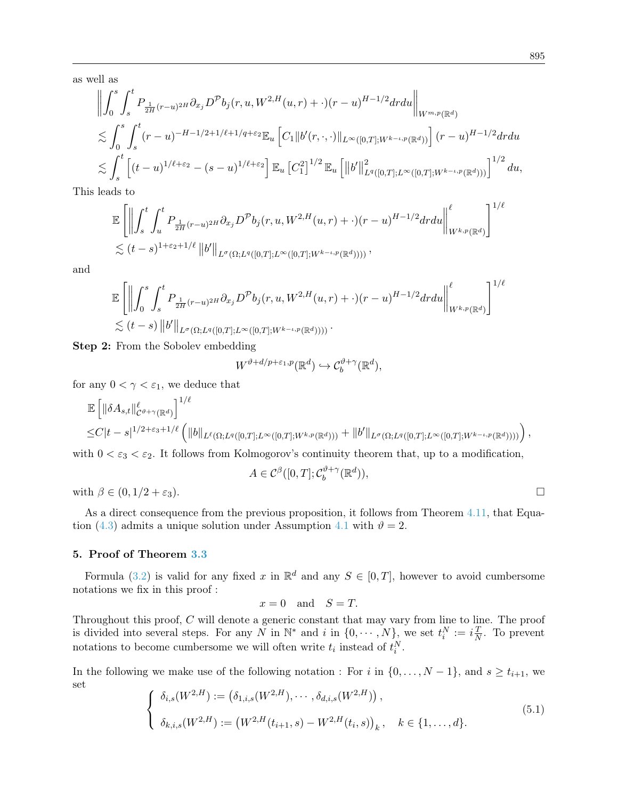as well as

$$
\left\| \int_{0}^{s} \int_{s}^{t} P_{\frac{1}{2H}(r-u)^{2H}} \partial_{x_{j}} D^{\mathcal{P}} b_{j}(r, u, W^{2,H}(u, r) + \cdot)(r-u)^{H-1/2} dr du \right\|_{W^{m,p}(\mathbb{R}^{d})}
$$
  

$$
\lesssim \int_{0}^{s} \int_{s}^{t} (r-u)^{-H-1/2+1/\ell+1/q+\varepsilon_{2}} \mathbb{E}_{u} \left[ C_{1} \| b'(r, \cdot, \cdot) \|_{L^{\infty}([0,T]; W^{k-\iota,p}(\mathbb{R}^{d}))} \right] (r-u)^{H-1/2} dr du
$$
  

$$
\lesssim \int_{s}^{t} \left[ (t-u)^{1/\ell+\varepsilon_{2}} - (s-u)^{1/\ell+\varepsilon_{2}} \right] \mathbb{E}_{u} \left[ C_{1}^{2} \right]^{1/2} \mathbb{E}_{u} \left[ \| b' \|_{L^{q}([0,T]; L^{\infty}([0,T]; W^{k-\iota,p}(\mathbb{R}^{d})))}^{1/2} du,
$$

This leads to

$$
\mathbb{E}\left[\left\|\int_{s}^{t}\int_{u}^{t}P_{\frac{1}{2H}(r-u)^{2H}}\partial_{x_{j}}D^{\mathcal{P}}b_{j}(r,u,W^{2,H}(u,r)+\cdot)(r-u)^{H-1/2}drdu\right\|_{W^{k,p}(\mathbb{R}^{d})}^{l} \right]^{1/\ell}
$$
  

$$
\lesssim (t-s)^{1+\varepsilon_{2}+1/\ell}\left\|b'\right\|_{L^{\sigma}(\Omega;L^{q}([0,T];L^{\infty}([0,T];W^{k-\iota,p}(\mathbb{R}^{d}))))},
$$

and

$$
\mathbb{E}\left[\left\|\int_{0}^{s}\int_{s}^{t}P_{\frac{1}{2H}(r-u)^{2H}}\partial_{x_{j}}D^{\mathcal{P}}b_{j}(r,u,W^{2,H}(u,r)+\cdot)(r-u)^{H-1/2}drdu\right\|_{W^{k,p}(\mathbb{R}^{d})}^{l} \right]^{1/\ell}
$$
  

$$
\lesssim (t-s)\left\|b'\right\|_{L^{\sigma}(\Omega;L^{q}([0,T];L^{\infty}([0,T];W^{k-\iota,p}(\mathbb{R}^{d}))))}.
$$

Step 2: From the Sobolev embedding

$$
W^{\vartheta+d/p+\varepsilon_1,p}(\mathbb{R}^d)\hookrightarrow \mathcal{C}_b^{\vartheta+\gamma}(\mathbb{R}^d),
$$

for any  $0 < \gamma < \varepsilon_1$ , we deduce that

$$
\mathbb{E} \left[ \|\delta A_{s,t}\|_{C^{\vartheta+\gamma}(\mathbb{R}^d)}^{\ell} \right]^{1/\ell} \leq C|t-s|^{1/2+\varepsilon_3+1/\ell} \left( \|b\|_{L^{\ell}(\Omega;L^q([0,T];L^{\infty}([0,T];W^{k,p}(\mathbb{R}^d)))} + \|b'\|_{L^{\sigma}(\Omega;L^q([0,T];L^{\infty}([0,T];W^{k-\iota,p}(\mathbb{R}^d))))} \right),
$$

with  $0 < \varepsilon_3 < \varepsilon_2$ . It follows from Kolmogorov's continuity theorem that, up to a modification,

$$
A \in \mathcal{C}^{\beta}([0,T]; \mathcal{C}_b^{\vartheta + \gamma}(\mathbb{R}^d)),
$$

with  $\beta \in (0, 1/2 + \varepsilon_3)$ .

As a direct consequence from the previous proposition, it follows from Theorem [4.11,](#page-11-2) that Equa-tion [\(4.3\)](#page-8-2) admits a unique solution under Assumption [4.1](#page-9-3) with  $\vartheta = 2$ .

#### <span id="page-14-0"></span>5. Proof of Theorem [3.3](#page-7-2)

Formula [\(3.2\)](#page-7-4) is valid for any fixed x in  $\mathbb{R}^d$  and any  $S \in [0,T]$ , however to avoid cumbersome notations we fix in this proof :

$$
x = 0 \quad \text{and} \quad S = T.
$$

Throughout this proof, C will denote a generic constant that may vary from line to line. The proof is divided into several steps. For any N in  $\mathbb{N}^*$  and i in  $\{0, \cdots, N\}$ , we set  $t_i^N := i \frac{T}{N}$  $\frac{T}{N}$ . To prevent notations to become cumbersome we will often write  $t_i$  instead of  $t_i^N$ .

In the following we make use of the following notation : For i in  $\{0, \ldots, N-1\}$ , and  $s \ge t_{i+1}$ , we set

<span id="page-14-1"></span>
$$
\begin{cases}\n\delta_{i,s}(W^{2,H}) := (\delta_{1,i,s}(W^{2,H}), \cdots, \delta_{d,i,s}(W^{2,H})) , \\
\delta_{k,i,s}(W^{2,H}) := (W^{2,H}(t_{i+1},s) - W^{2,H}(t_i,s))_k, \quad k \in \{1, \ldots, d\}.\n\end{cases}
$$
\n(5.1)

$$
\qquad \qquad \Box
$$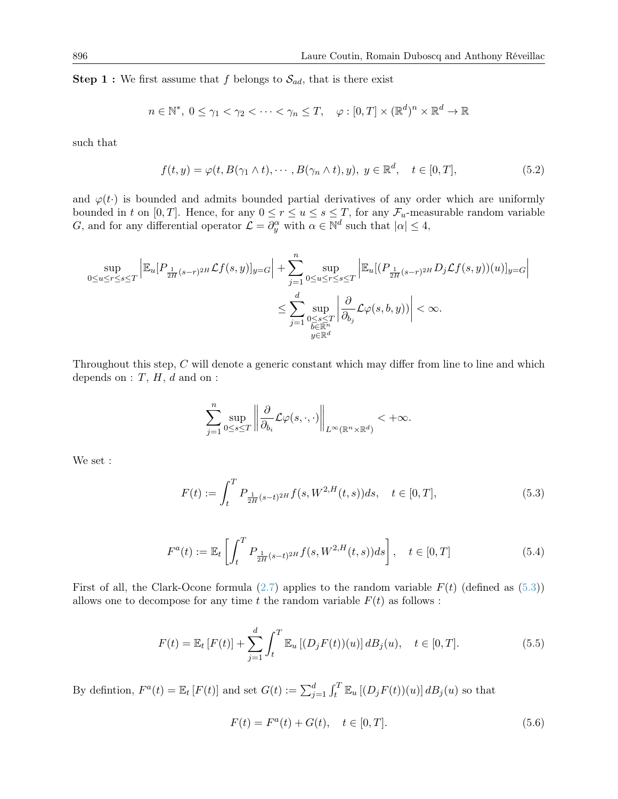**Step 1 :** We first assume that f belongs to  $\mathcal{S}_{ad}$ , that is there exist

$$
n \in \mathbb{N}^*, \ 0 \le \gamma_1 < \gamma_2 < \dots < \gamma_n \le T, \quad \varphi : [0, T] \times (\mathbb{R}^d)^n \times \mathbb{R}^d \to \mathbb{R}
$$

such that

<span id="page-15-2"></span>
$$
f(t,y) = \varphi(t, B(\gamma_1 \wedge t), \cdots, B(\gamma_n \wedge t), y), y \in \mathbb{R}^d, \quad t \in [0, T],
$$
\n
$$
(5.2)
$$

and  $\varphi(t)$  is bounded and admits bounded partial derivatives of any order which are uniformly bounded in t on [0, T]. Hence, for any  $0 \le r \le u \le s \le T$ , for any  $\mathcal{F}_u$ -measurable random variable G, and for any differential operator  $\mathcal{L} = \partial_y^{\alpha}$  with  $\alpha \in \mathbb{N}^d$  such that  $|\alpha| \leq 4$ ,

$$
\sup_{0\leq u\leq r\leq s\leq T}\left|\mathbb{E}_{u}[P_{\frac{1}{2H}(s-r)^{2H}}\mathcal{L}f(s,y)]_{y=G}\right|+\sum_{j=1}^{n}\sup_{0\leq u\leq r\leq s\leq T}\left|\mathbb{E}_{u}[(P_{\frac{1}{2H}(s-r)^{2H}}D_{j}\mathcal{L}f(s,y))(u)]_{y=G}\right|
$$
  

$$
\leq \sum_{j=1}^{d}\sup_{\substack{0\leq s\leq T\\b\in\mathbb{R}^{n}}} \left|\frac{\partial}{\partial_{b_{j}}}\mathcal{L}\varphi(s,b,y))\right|<\infty.
$$

Throughout this step, C will denote a generic constant which may differ from line to line and which depends on  $: T, H, d$  and on  $:$ 

$$
\sum_{j=1}^n \sup_{0\leq s\leq T} \left\|\frac{\partial}{\partial_{b_i}}\mathcal{L}\varphi(s,\cdot,\cdot)\right\|_{L^\infty(\mathbb{R}^n\times\mathbb{R}^d)} <+\infty.
$$

We set :

<span id="page-15-0"></span>
$$
F(t) := \int_{t}^{T} P_{\frac{1}{2H}(s-t)^{2H}} f(s, W^{2,H}(t,s)) ds, \quad t \in [0, T],
$$
\n(5.3)

$$
F^{a}(t) := \mathbb{E}_{t} \left[ \int_{t}^{T} P_{\frac{1}{2H}(s-t)^{2H}} f(s, W^{2,H}(t,s)) ds \right], \quad t \in [0, T]
$$
\n(5.4)

First of all, the Clark-Ocone formula  $(2.7)$  applies to the random variable  $F(t)$  (defined as  $(5.3)$ ) allows one to decompose for any time t the random variable  $F(t)$  as follows :

$$
F(t) = \mathbb{E}_t [F(t)] + \sum_{j=1}^d \int_t^T \mathbb{E}_u [(D_j F(t))(u)] \, dB_j(u), \quad t \in [0, T]. \tag{5.5}
$$

By definiton,  $F^a(t) = \mathbb{E}_t[F(t)]$  and set  $G(t) := \sum_{j=1}^d \int_t^T \mathbb{E}_u[(D_j F(t))(u)] dB_j(u)$  so that

<span id="page-15-1"></span>
$$
F(t) = F^{a}(t) + G(t), \quad t \in [0, T].
$$
\n(5.6)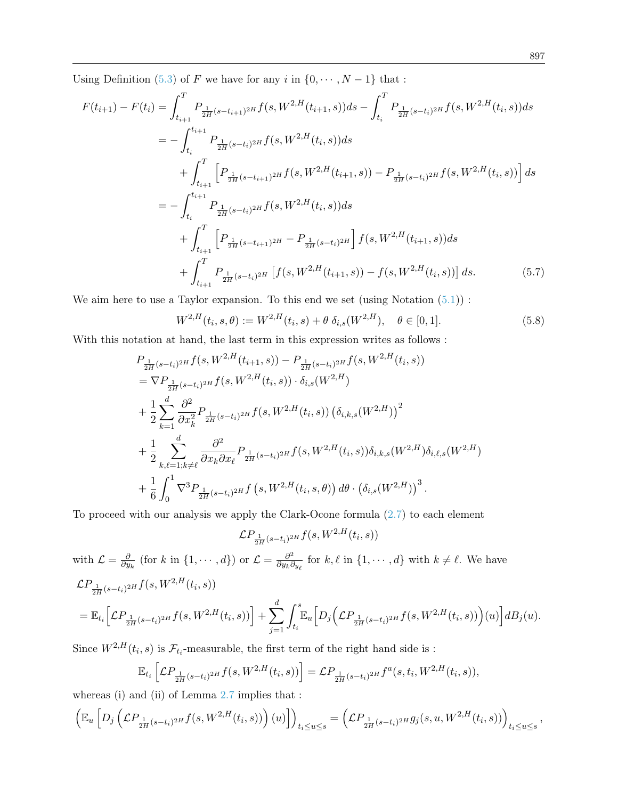Using Definition [\(5.3\)](#page-15-0) of F we have for any i in  $\{0, \dots, N-1\}$  that :

$$
F(t_{i+1}) - F(t_i) = \int_{t_{i+1}}^{T} P_{\frac{1}{2H}(s-t_{i+1})^{2H}} f(s, W^{2,H}(t_{i+1}, s)) ds - \int_{t_i}^{T} P_{\frac{1}{2H}(s-t_i)^{2H}} f(s, W^{2,H}(t_i, s)) ds
$$
  
\n
$$
= - \int_{t_i}^{t_{i+1}} P_{\frac{1}{2H}(s-t_i)^{2H}} f(s, W^{2,H}(t_i, s)) ds
$$
  
\n
$$
+ \int_{t_{i+1}}^{T} \left[ P_{\frac{1}{2H}(s-t_{i+1})^{2H}} f(s, W^{2,H}(t_{i+1}, s)) - P_{\frac{1}{2H}(s-t_i)^{2H}} f(s, W^{2,H}(t_i, s)) \right] ds
$$
  
\n
$$
= - \int_{t_i}^{t_{i+1}} P_{\frac{1}{2H}(s-t_i)^{2H}} f(s, W^{2,H}(t_i, s)) ds
$$
  
\n
$$
+ \int_{t_{i+1}}^{T} \left[ P_{\frac{1}{2H}(s-t_{i+1})^{2H}} - P_{\frac{1}{2H}(s-t_i)^{2H}} \right] f(s, W^{2,H}(t_{i+1}, s)) ds
$$
  
\n
$$
+ \int_{t_{i+1}}^{T} P_{\frac{1}{2H}(s-t_i)^{2H}} \left[ f(s, W^{2,H}(t_{i+1}, s)) - f(s, W^{2,H}(t_i, s)) \right] ds.
$$
 (5.7)

We aim here to use a Taylor expansion. To this end we set (using Notation  $(5.1)$ ):

<span id="page-16-1"></span><span id="page-16-0"></span>
$$
W^{2,H}(t_i,s,\theta) := W^{2,H}(t_i,s) + \theta \, \delta_{i,s}(W^{2,H}), \quad \theta \in [0,1]. \tag{5.8}
$$

With this notation at hand, the last term in this expression writes as follows :

$$
P_{\frac{1}{2H}(s-t_i)^{2H}}f(s, W^{2,H}(t_{i+1}, s)) - P_{\frac{1}{2H}(s-t_i)^{2H}}f(s, W^{2,H}(t_i, s))
$$
  
\n
$$
= \nabla P_{\frac{1}{2H}(s-t_i)^{2H}}f(s, W^{2,H}(t_i, s)) \cdot \delta_{i,s}(W^{2,H})
$$
  
\n
$$
+ \frac{1}{2} \sum_{k=1}^{d} \frac{\partial^2}{\partial x_k^2} P_{\frac{1}{2H}(s-t_i)^{2H}}f(s, W^{2,H}(t_i, s)) (\delta_{i,k,s}(W^{2,H}))^2
$$
  
\n
$$
+ \frac{1}{2} \sum_{k,\ell=1; k \neq \ell}^{d} \frac{\partial^2}{\partial x_k \partial x_\ell} P_{\frac{1}{2H}(s-t_i)^{2H}}f(s, W^{2,H}(t_i, s)) \delta_{i,k,s}(W^{2,H}) \delta_{i,\ell,s}(W^{2,H})
$$
  
\n
$$
+ \frac{1}{6} \int_0^1 \nabla^3 P_{\frac{1}{2H}(s-t_i)^{2H}}f(s, W^{2,H}(t_i, s, \theta)) d\theta \cdot (\delta_{i,s}(W^{2,H}))^3.
$$

To proceed with our analysis we apply the Clark-Ocone formula [\(2.7\)](#page-7-1) to each element

$$
\mathcal{L}P_{\frac{1}{2H}(s-t_i)^{2H}}f(s,W^{2,H}(t_i,s))
$$

with 
$$
\mathcal{L} = \frac{\partial}{\partial y_k}
$$
 (for  $k$  in  $\{1, \dots, d\}$ ) or  $\mathcal{L} = \frac{\partial^2}{\partial y_k \partial y_\ell}$  for  $k, \ell$  in  $\{1, \dots, d\}$  with  $k \neq \ell$ . We have\n
$$
\mathcal{L}P_{\frac{1}{2H}(s-t_i)^{2H}}f(s, W^{2,H}(t_i, s))
$$
\n
$$
= \mathbb{E}_{t_i}\Big[\mathcal{L}P_{\frac{1}{2H}(s-t_i)^{2H}}f(s, W^{2,H}(t_i, s))\Big] + \sum_{j=1}^d \int_{t_i}^s \mathbb{E}_u\Big[D_j\Big(\mathcal{L}P_{\frac{1}{2H}(s-t_i)^{2H}}f(s, W^{2,H}(t_i, s))\Big)(u)\Big]dB_j(u).
$$

Since  $W^{2,H}(t_i,s)$  is  $\mathcal{F}_{t_i}$ -measurable, the first term of the right hand side is :

$$
\mathbb{E}_{t_i}\left[\mathcal{L}P_{\frac{1}{2H}(s-t_i)^{2H}}f(s, W^{2,H}(t_i, s))\right] = \mathcal{L}P_{\frac{1}{2H}(s-t_i)^{2H}}f^a(s, t_i, W^{2,H}(t_i, s)),
$$

whereas (i) and (ii) of Lemma [2.7](#page-6-1) implies that :

$$
\left(\mathbb{E}_u\left[D_j\left(\mathcal{L}P_{\frac{1}{2H}(s-t_i)^{2H}}f(s,W^{2,H}(t_i,s))\right)(u)\right]\right)_{t_i\leq u\leq s}=\left(\mathcal{L}P_{\frac{1}{2H}(s-t_i)^{2H}}g_j(s,u,W^{2,H}(t_i,s))\right)_{t_i\leq u\leq s},
$$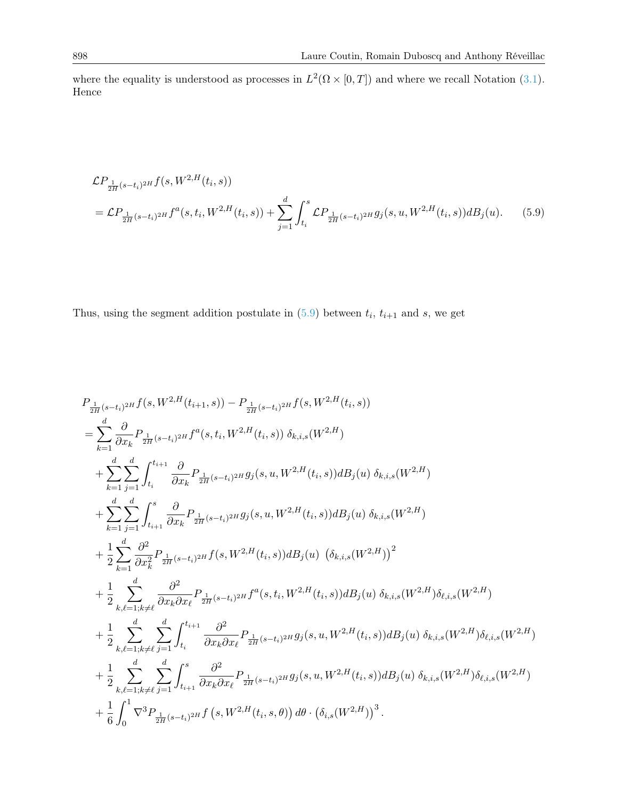where the equality is understood as processes in  $L^2(\Omega \times [0,T])$  and where we recall Notation [\(3.1\)](#page-7-5). Hence

<span id="page-17-0"></span>
$$
\mathcal{L}P_{\frac{1}{2H}(s-t_i)^{2H}}f(s, W^{2,H}(t_i, s))
$$
\n
$$
= \mathcal{L}P_{\frac{1}{2H}(s-t_i)^{2H}}f^a(s, t_i, W^{2,H}(t_i, s)) + \sum_{j=1}^d \int_{t_i}^s \mathcal{L}P_{\frac{1}{2H}(s-t_i)^{2H}}g_j(s, u, W^{2,H}(t_i, s))dB_j(u).
$$
\n(5.9)

Thus, using the segment addition postulate in  $(5.9)$  between  $t_i$ ,  $t_{i+1}$  and s, we get

$$
P_{\frac{1}{2H}(s-t_i)^{2H}}f(s, W^{2,H}(t_{i+1}, s)) - P_{\frac{1}{2H}(s-t_i)^{2H}}f(s, W^{2,H}(t_i, s))
$$
\n
$$
= \sum_{k=1}^{d} \frac{\partial}{\partial x_k} P_{\frac{1}{2H}(s-t_i)^{2H}}f^a(s, t_i, W^{2,H}(t_i, s)) \delta_{k,i,s}(W^{2,H})
$$
\n
$$
+ \sum_{k=1}^{d} \sum_{j=1}^{d} \int_{t_i}^{t_{i+1}} \frac{\partial}{\partial x_k} P_{\frac{1}{2H}(s-t_i)^{2H}}g_j(s, u, W^{2,H}(t_i, s)) dB_j(u) \delta_{k,i,s}(W^{2,H})
$$
\n
$$
+ \sum_{k=1}^{d} \sum_{j=1}^{d} \int_{t_{i+1}}^{s} \frac{\partial}{\partial x_k} P_{\frac{1}{2H}(s-t_i)^{2H}}g_j(s, u, W^{2,H}(t_i, s)) dB_j(u) \delta_{k,i,s}(W^{2,H})
$$
\n
$$
+ \frac{1}{2} \sum_{k=1}^{d} \frac{\partial^2}{\partial x_k^2} P_{\frac{1}{2H}(s-t_i)^{2H}}f(s, W^{2,H}(t_i, s)) dB_j(u) \left(\delta_{k,i,s}(W^{2,H})\right)^2
$$
\n
$$
+ \frac{1}{2} \sum_{k,\ell=1,k\neq\ell}^{d} \frac{\partial^2}{\partial x_k \partial x_\ell} P_{\frac{1}{2H}(s-t_i)^{2H}}f^a(s, t_i, W^{2,H}(t_i, s)) dB_j(u) \delta_{k,i,s}(W^{2,H})\delta_{\ell,i,s}(W^{2,H})
$$
\n
$$
+ \frac{1}{2} \sum_{k,\ell=1,k\neq\ell}^{d} \sum_{j=1}^{d} \int_{t_i}^{t_{i+1}} \frac{\partial^2}{\partial x_k \partial x_\ell} P_{\frac{1}{2H}(s-t_i)^{2H}}g_j(s, u, W^{2,H}(t_i, s)) dB_j(u) \delta_{k,i,s}(W^{2,H})\delta_{\ell,i,s}(W^{2,H})
$$
\n
$$
+ \frac{1}{2} \sum_{k,\ell=1,k\neq\ell}^{d} \sum_{j=1}^{d} \int_{t_{i+1}}
$$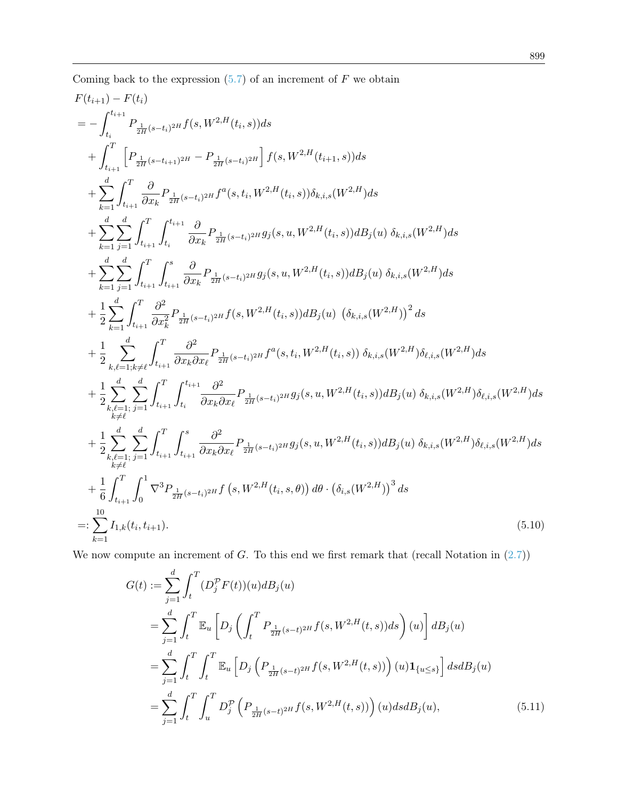Coming back to the expression  $(5.7)$  of an increment of  $F$  we obtain

$$
F(t_{i+1}) - F(t_{i})
$$
\n
$$
= - \int_{t_{i}}^{t_{i+1}} P_{\frac{1}{2H}(s-t_{i})^{2H}} f(s, W^{2,H}(t_{i}, s)) ds
$$
\n
$$
+ \int_{t_{i+1}}^{T} \left[ P_{\frac{1}{2H}(s-t_{i+1})^{2H}} - P_{\frac{1}{2H}(s-t_{i})^{2H}} \right] f(s, W^{2,H}(t_{i+1}, s)) ds
$$
\n
$$
+ \sum_{k=1}^{d} \int_{t_{i+1}}^{T} \frac{\partial}{\partial x_{k}} P_{\frac{1}{2H}(s-t_{i})^{2H}} f^{a}(s, t_{i}, W^{2,H}(t_{i}, s)) \delta_{k,i,s}(W^{2,H}) ds
$$
\n
$$
+ \sum_{k=1}^{d} \int_{\frac{1}{2}t_{i+1}}^{T} \int_{t_{i+1}}^{t_{i+1}} \frac{\partial}{\partial x_{k}} P_{\frac{1}{2H}(s-t_{i})^{2H}} g_{j}(s, u, W^{2,H}(t_{i}, s)) dB_{j}(u) \delta_{k,i,s}(W^{2,H}) ds
$$
\n
$$
+ \sum_{k=1}^{d} \int_{\frac{1}{2}t_{i+1}}^{T} \int_{t_{i+1}}^{s} \frac{\partial}{\partial x_{k}} P_{\frac{1}{2H}(s-t_{i})^{2H}} g_{j}(s, u, W^{2,H}(t_{i}, s)) dB_{j}(u) \delta_{k,i,s}(W^{2,H}) ds
$$
\n
$$
+ \frac{1}{2} \sum_{k=1}^{d} \int_{t_{i+1}}^{T} \frac{\partial^{2}}{\partial x_{k}^{2}} P_{\frac{1}{2H}(s-t_{i})^{2H}} f(s, W^{2,H}(t_{i}, s)) dB_{j}(u) (\delta_{k,i,s}(W^{2,H}))^{2} ds
$$
\n
$$
+ \frac{1}{2} \sum_{k,\ell=1,k\neq d}^{d} \int_{t_{i+1}}^{T} \frac{\partial^{2}}{\partial x_{k}^{2H}} P_{\frac{1}{2H}(s-t_{i})^{2H}} f^{a}(s, t_{i}, W^{2,H}(t_{i}, s)) \delta_{k,i,s}(W^{2,H}) \delta_{\ell,i,s}(W^{2,H}) ds
$$
\n
$$
+ \frac{1}{2
$$

We now compute an increment of  $G$ . To this end we first remark that (recall Notation in  $(2.7)$ )

<span id="page-18-0"></span>
$$
G(t) := \sum_{j=1}^{d} \int_{t}^{T} (D_{j}^{P} F(t))(u) dB_{j}(u)
$$
  
\n
$$
= \sum_{j=1}^{d} \int_{t}^{T} \mathbb{E}_{u} \left[ D_{j} \left( \int_{t}^{T} P_{\frac{1}{2H}(s-t)^{2H}} f(s, W^{2,H}(t, s)) ds \right)(u) \right] dB_{j}(u)
$$
  
\n
$$
= \sum_{j=1}^{d} \int_{t}^{T} \int_{t}^{T} \mathbb{E}_{u} \left[ D_{j} \left( P_{\frac{1}{2H}(s-t)^{2H}} f(s, W^{2,H}(t, s)) \right)(u) \mathbf{1}_{\{u \le s\}} \right] ds dB_{j}(u)
$$
  
\n
$$
= \sum_{j=1}^{d} \int_{t}^{T} \int_{u}^{T} D_{j}^{P} \left( P_{\frac{1}{2H}(s-t)^{2H}} f(s, W^{2,H}(t, s)) \right)(u) ds dB_{j}(u), \qquad (5.11)
$$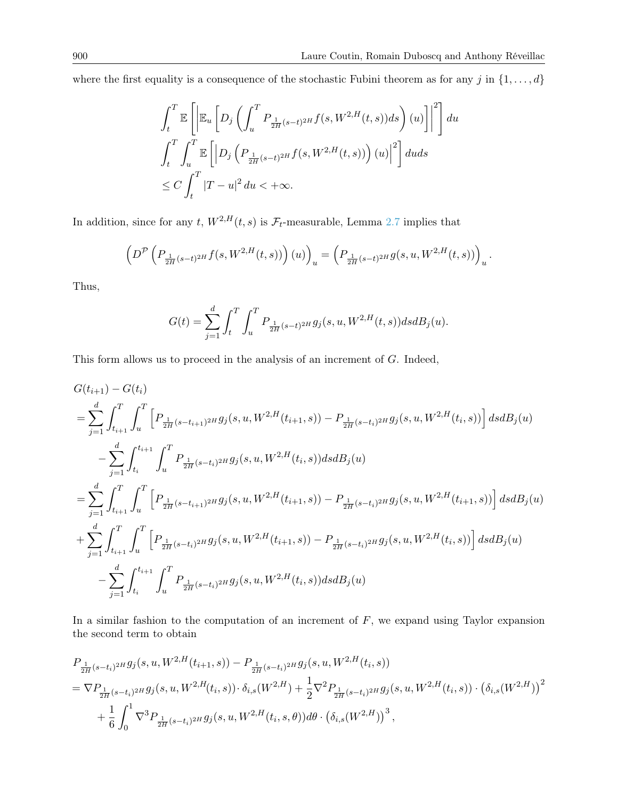where the first equality is a consequence of the stochastic Fubini theorem as for any j in  $\{1, \ldots, d\}$ 

$$
\int_{t}^{T} \mathbb{E}\left[\left|\mathbb{E}_{u}\left[D_{j}\left(\int_{u}^{T} P_{\frac{1}{2H}(s-t)^{2H}}f(s, W^{2,H}(t, s))ds\right)(u)\right|\right|^{2}\right]du
$$

$$
\int_{t}^{T} \int_{u}^{T} \mathbb{E}\left[\left|D_{j}\left(P_{\frac{1}{2H}(s-t)^{2H}}f(s, W^{2,H}(t, s))\right)(u)\right|^{2}\right]duds
$$

$$
\leq C \int_{t}^{T} |T - u|^{2} du < +\infty.
$$

In addition, since for any t,  $W^{2,H}(t,s)$  is  $\mathcal{F}_t$ -measurable, Lemma [2.7](#page-6-1) implies that

$$
\left(D^{\mathcal{P}}\left(P_{\frac{1}{2H}(s-t)^{2H}}f(s,W^{2,H}(t,s))\right)(u)\right)_u=\left(P_{\frac{1}{2H}(s-t)^{2H}}g(s,u,W^{2,H}(t,s))\right)_u.
$$

Thus,

$$
G(t) = \sum_{j=1}^{d} \int_{t}^{T} \int_{u}^{T} P_{\frac{1}{2H}(s-t)^{2H}} g_j(s, u, W^{2,H}(t, s)) ds dB_j(u).
$$

This form allows us to proceed in the analysis of an increment of G. Indeed,

$$
\begin{split} &G(t_{i+1})-G(t_i)\\ &=\sum_{j=1}^d\int_{t_{i+1}}^T\int_u^T\Big[P_{\frac{1}{2H}(s-t_{i+1})^{2H}}g_j(s,u,W^{2,H}(t_{i+1},s))-P_{\frac{1}{2H}(s-t_{i})^{2H}}g_j(s,u,W^{2,H}(t_i,s))\Big]\,dsdB_j(u)\\ &-\sum_{j=1}^d\int_{t_i}^{t_{i+1}}\int_u^T P_{\frac{1}{2H}(s-t_{i})^{2H}}g_j(s,u,W^{2,H}(t_i,s))\,dsdB_j(u)\\ &=\sum_{j=1}^d\int_{t_{i+1}}^T\int_u^T\Big[P_{\frac{1}{2H}(s-t_{i+1})^{2H}}g_j(s,u,W^{2,H}(t_{i+1},s))-P_{\frac{1}{2H}(s-t_{i})^{2H}}g_j(s,u,W^{2,H}(t_{i+1},s))\Big]\,dsdB_j(u)\\ &+\sum_{j=1}^d\int_{t_{i+1}}^T\int_u^T\Big[P_{\frac{1}{2H}(s-t_{i})^{2H}}g_j(s,u,W^{2,H}(t_{i+1},s))-P_{\frac{1}{2H}(s-t_{i})^{2H}}g_j(s,u,W^{2,H}(t_i,s))\Big]\,dsdB_j(u)\\ &-\sum_{j=1}^d\int_{t_i}^{t_{i+1}}\int_u^T P_{\frac{1}{2H}(s-t_{i})^{2H}}g_j(s,u,W^{2,H}(t_i,s))\,dsdB_j(u) \end{split}
$$

In a similar fashion to the computation of an increment of  $F$ , we expand using Taylor expansion the second term to obtain

$$
P_{\frac{1}{2H}(s-t_i)^{2H}} g_j(s, u, W^{2,H}(t_{i+1}, s)) - P_{\frac{1}{2H}(s-t_i)^{2H}} g_j(s, u, W^{2,H}(t_i, s))
$$
  
=  $\nabla P_{\frac{1}{2H}(s-t_i)^{2H}} g_j(s, u, W^{2,H}(t_i, s)) \cdot \delta_{i,s}(W^{2,H}) + \frac{1}{2} \nabla^2 P_{\frac{1}{2H}(s-t_i)^{2H}} g_j(s, u, W^{2,H}(t_i, s)) \cdot (\delta_{i,s}(W^{2,H}))^2$   
+  $\frac{1}{6} \int_0^1 \nabla^3 P_{\frac{1}{2H}(s-t_i)^{2H}} g_j(s, u, W^{2,H}(t_i, s, \theta)) d\theta \cdot (\delta_{i,s}(W^{2,H}))^3$ ,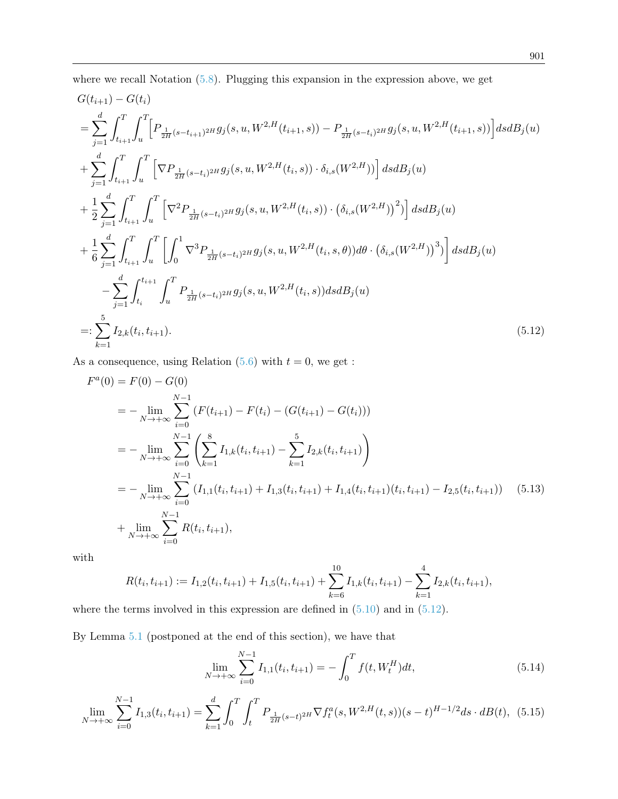where we recall Notation  $(5.8)$ . Plugging this expansion in the expression above, we get

$$
G(t_{i+1}) - G(t_i)
$$
\n
$$
= \sum_{j=1}^{d} \int_{t_{i+1}}^{T} \int_{u}^{T} \left[ P_{\frac{1}{2H}(s-t_{i+1})^{2H}} g_j(s, u, W^{2,H}(t_{i+1}, s)) - P_{\frac{1}{2H}(s-t_i)^{2H}} g_j(s, u, W^{2,H}(t_{i+1}, s)) \right] ds dB_j(u)
$$
\n
$$
+ \sum_{j=1}^{d} \int_{t_{i+1}}^{T} \int_{u}^{T} \left[ \nabla P_{\frac{1}{2H}(s-t_i)^{2H}} g_j(s, u, W^{2,H}(t_i, s)) \cdot \delta_{i,s}(W^{2,H}) \right] ds dB_j(u)
$$
\n
$$
+ \frac{1}{2} \sum_{j=1}^{d} \int_{t_{i+1}}^{T} \int_{u}^{T} \left[ \nabla^2 P_{\frac{1}{2H}(s-t_i)^{2H}} g_j(s, u, W^{2,H}(t_i, s)) \cdot (\delta_{i,s}(W^{2,H}))^2 \right] ds dB_j(u)
$$
\n
$$
+ \frac{1}{6} \sum_{j=1}^{d} \int_{t_{i+1}}^{T} \int_{u}^{T} \int_{u}^{T} \left[ \int_{0}^{1} \nabla^3 P_{\frac{1}{2H}(s-t_i)^{2H}} g_j(s, u, W^{2,H}(t_i, s, \theta)) d\theta \cdot (\delta_{i,s}(W^{2,H}))^3 \right] ds dB_j(u)
$$
\n
$$
- \sum_{j=1}^{d} \int_{t_i}^{t_{i+1}} \int_{u}^{T} P_{\frac{1}{2H}(s-t_i)^{2H}} g_j(s, u, W^{2,H}(t_i, s)) ds dB_j(u)
$$
\n
$$
=: \sum_{k=1}^{5} I_{2,k}(t_i, t_{i+1}). \tag{5.12}
$$

As a consequence, using Relation  $(5.6)$  with  $t = 0$ , we get :

<span id="page-20-0"></span>
$$
F^{a}(0) = F(0) - G(0)
$$
  
\n
$$
= -\lim_{N \to +\infty} \sum_{i=0}^{N-1} (F(t_{i+1}) - F(t_{i}) - (G(t_{i+1}) - G(t_{i})))
$$
  
\n
$$
= -\lim_{N \to +\infty} \sum_{i=0}^{N-1} \left( \sum_{k=1}^{8} I_{1,k}(t_{i}, t_{i+1}) - \sum_{k=1}^{5} I_{2,k}(t_{i}, t_{i+1}) \right)
$$
  
\n
$$
= -\lim_{N \to +\infty} \sum_{i=0}^{N-1} (I_{1,1}(t_{i}, t_{i+1}) + I_{1,3}(t_{i}, t_{i+1}) + I_{1,4}(t_{i}, t_{i+1})(t_{i}, t_{i+1}) - I_{2,5}(t_{i}, t_{i+1}))
$$
(5.13)  
\n
$$
+ \lim_{N \to +\infty} \sum_{i=0}^{N-1} R(t_{i}, t_{i+1}),
$$

with

$$
R(t_i, t_{i+1}) := I_{1,2}(t_i, t_{i+1}) + I_{1,5}(t_i, t_{i+1}) + \sum_{k=6}^{10} I_{1,k}(t_i, t_{i+1}) - \sum_{k=1}^{4} I_{2,k}(t_i, t_{i+1}),
$$

where the terms involved in this expression are defined in  $(5.10)$  and in  $(5.12)$ .

By Lemma [5.1](#page-22-0) (postponed at the end of this section), we have that

<span id="page-20-1"></span>
$$
\lim_{N \to +\infty} \sum_{i=0}^{N-1} I_{1,1}(t_i, t_{i+1}) = -\int_0^T f(t, W_t^H) dt,
$$
\n(5.14)

$$
\lim_{N \to +\infty} \sum_{i=0}^{N-1} I_{1,3}(t_i, t_{i+1}) = \sum_{k=1}^d \int_0^T \int_t^T P_{\frac{1}{2H}(s-t)^{2H}} \nabla f_t^a(s, W^{2,H}(t,s))(s-t)^{H-1/2} ds \cdot dB(t), \tag{5.15}
$$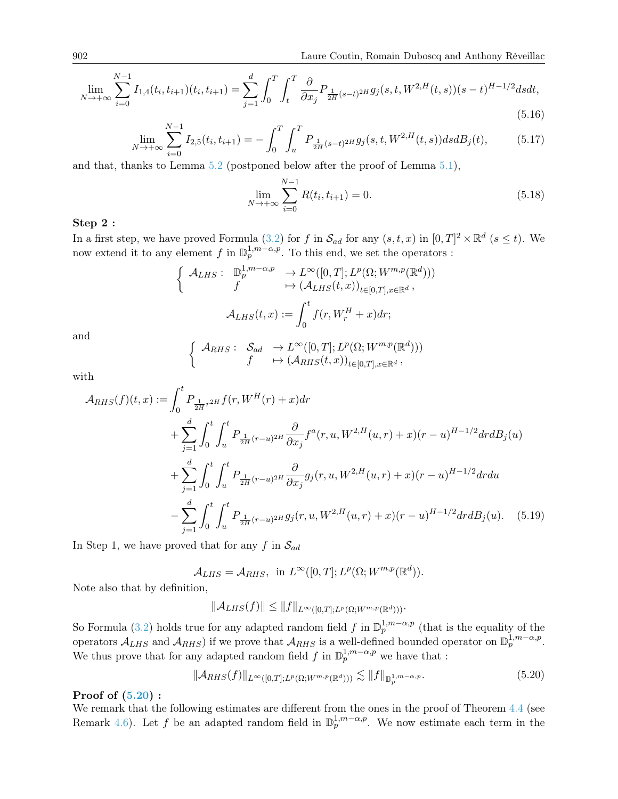$$
\lim_{N \to +\infty} \sum_{i=0}^{N-1} I_{1,4}(t_i, t_{i+1})(t_i, t_{i+1}) = \sum_{j=1}^d \int_0^T \int_t^T \frac{\partial}{\partial x_j} P_{\frac{1}{2H}(s-t)^{2H}} g_j(s, t, W^{2,H}(t, s))(s-t)^{H-1/2} ds dt,
$$
\n(5.16)

<span id="page-21-1"></span>
$$
\lim_{N \to +\infty} \sum_{i=0}^{N-1} I_{2,5}(t_i, t_{i+1}) = -\int_0^T \int_u^T P_{\frac{1}{2H}(s-t)^{2H}} g_j(s, t, W^{2,H}(t, s)) ds dB_j(t), \tag{5.17}
$$

and that, thanks to Lemma [5.2](#page-30-0) (postponed below after the proof of Lemma [5.1\)](#page-22-0),

$$
\lim_{N \to +\infty} \sum_{i=0}^{N-1} R(t_i, t_{i+1}) = 0.
$$
\n(5.18)

### Step 2 :

In a first step, we have proved Formula [\(3.2\)](#page-7-4) for f in  $\mathcal{S}_{ad}$  for any  $(s, t, x)$  in  $[0, T]^2 \times \mathbb{R}^d$   $(s \le t)$ . We now extend it to any element f in  $\mathbb{D}_p^{1,m-\alpha,p}$ . To this end, we set the operators :

$$
\begin{cases}\n\mathcal{A}_{LHS}: \mathbb{D}_p^{1,m-\alpha,p} &\to L^{\infty}([0,T]; L^p(\Omega; W^{m,p}(\mathbb{R}^d))) \\
f &\mapsto (\mathcal{A}_{LHS}(t,x))_{t\in[0,T], x\in\mathbb{R}^d}, \\
\mathcal{A}_{LHS}(t,x):= \int_0^t f(r, W_r^H + x) dr;\n\end{cases}
$$

and

$$
\begin{cases}\n\mathcal{A}_{RHS}: \quad \mathcal{S}_{ad} \quad \to L^{\infty}([0,T]; L^p(\Omega; W^{m,p}(\mathbb{R}^d))) \\
f \quad \mapsto (\mathcal{A}_{RHS}(t,x))_{t \in [0,T], x \in \mathbb{R}^d},\n\end{cases}
$$

with

$$
\mathcal{A}_{RHS}(f)(t,x) := \int_0^t P_{\frac{1}{2H}r^{2H}} f(r, W^H(r) + x) dr \n+ \sum_{j=1}^d \int_0^t \int_u^t P_{\frac{1}{2H}(r-u)^{2H}} \frac{\partial}{\partial x_j} f^a(r, u, W^{2,H}(u,r) + x)(r-u)^{H-1/2} dr dB_j(u) \n+ \sum_{j=1}^d \int_0^t \int_u^t P_{\frac{1}{2H}(r-u)^{2H}} \frac{\partial}{\partial x_j} g_j(r, u, W^{2,H}(u,r) + x)(r-u)^{H-1/2} dr du \n- \sum_{j=1}^d \int_0^t \int_u^t P_{\frac{1}{2H}(r-u)^{2H}} g_j(r, u, W^{2,H}(u,r) + x)(r-u)^{H-1/2} dr dB_j(u).
$$
 (5.19)

In Step 1, we have proved that for any f in  $S_{ad}$ 

$$
\mathcal{A}_{LHS} = \mathcal{A}_{RHS}, \text{ in } L^{\infty}([0,T]; L^p(\Omega; W^{m,p}(\mathbb{R}^d)).
$$

Note also that by definition,

$$
\|\mathcal{A}_{LHS}(f)\| \le \|f\|_{L^{\infty}([0,T];L^p(\Omega;W^{m,p}(\mathbb{R}^d)))}.
$$

So Formula [\(3.2\)](#page-7-4) holds true for any adapted random field f in  $\mathbb{D}_{p}^{1,m-\alpha,p}$  (that is the equality of the operators  $\mathcal{A}_{LHS}$  and  $\mathcal{A}_{RHS}$ ) if we prove that  $\mathcal{A}_{RHS}$  is a well-defined bounded operator on  $\mathbb{D}_{p}^{1,m-\alpha,p}$ . We thus prove that for any adapted random field f in  $\mathbb{D}_p^{1,m-\alpha,p}$  we have that :

<span id="page-21-0"></span>
$$
\|\mathcal{A}_{RHS}(f)\|_{L^{\infty}([0,T];L^{p}(\Omega;W^{m,p}(\mathbb{R}^d)))} \lesssim \|f\|_{\mathbb{D}_p^{1,m-\alpha,p}}.\tag{5.20}
$$

#### Proof of [\(5.20\)](#page-21-0) :

We remark that the following estimates are different from the ones in the proof of Theorem [4.4](#page-9-0) (see Remark [4.6\)](#page-9-4). Let f be an adapted random field in  $\mathbb{D}_p^{1,m-\alpha,p}$ . We now estimate each term in the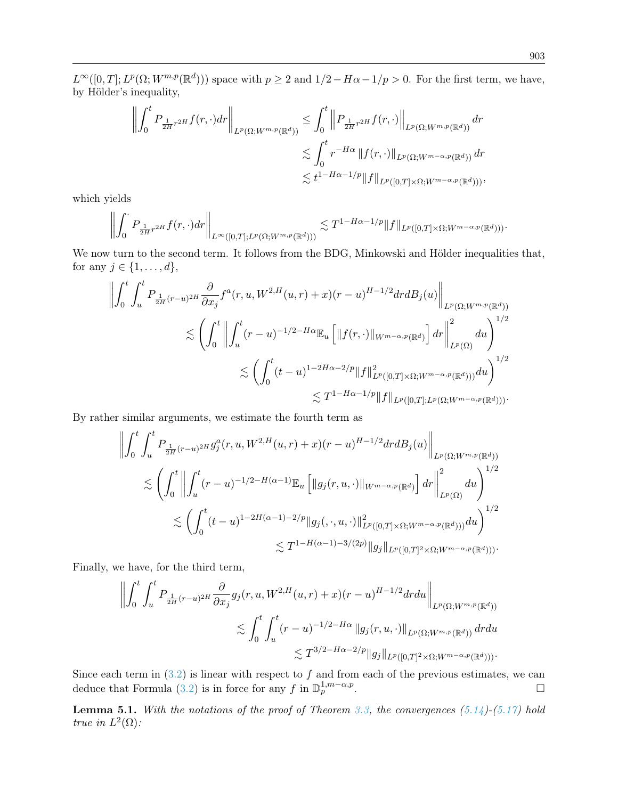$L^{\infty}([0,T]; L^p(\Omega; W^{m,p}(\mathbb{R}^d)))$  space with  $p \geq 2$  and  $1/2-H\alpha-1/p > 0$ . For the first term, we have, by Hölder's inequality,

$$
\left\| \int_0^t P_{\frac{1}{2H}r^{2H}} f(r,\cdot) dr \right\|_{L^p(\Omega;W^{m,p}(\mathbb{R}^d))} \leq \int_0^t \left\| P_{\frac{1}{2H}r^{2H}} f(r,\cdot) \right\|_{L^p(\Omega;W^{m,p}(\mathbb{R}^d))} dr
$$
  

$$
\lesssim \int_0^t r^{-H\alpha} \left\| f(r,\cdot) \right\|_{L^p(\Omega;W^{m-\alpha,p}(\mathbb{R}^d))} dr
$$
  

$$
\lesssim t^{1-H\alpha-1/p} \|f\|_{L^p([0,T]\times\Omega;W^{m-\alpha,p}(\mathbb{R}^d)))},
$$

which yields

$$
\left\| \int_0^{\cdot} P_{\frac{1}{2H}r^{2H}} f(r,\cdot) dr \right\|_{L^{\infty}([0,T];L^p(\Omega;W^{m,p}(\mathbb{R}^d)))} \lesssim T^{1-H\alpha-1/p} \|f\|_{L^p([0,T]\times\Omega;W^{m-\alpha,p}(\mathbb{R}^d)))}.
$$

We now turn to the second term. It follows from the BDG, Minkowski and Hölder inequalities that, for any  $j \in \{1, \ldots, d\},\$ 

$$
\left\| \int_0^t \int_u^t P_{\frac{1}{2H}(r-u)^{2H}} \frac{\partial}{\partial x_j} f^a(r, u, W^{2,H}(u, r) + x)(r-u)^{H-1/2} dr dB_j(u) \right\|_{L^p(\Omega; W^{m,p}(\mathbb{R}^d))}
$$
  

$$
\lesssim \left( \int_0^t \left\| \int_u^t (r-u)^{-1/2-H\alpha} \mathbb{E}_u \left[ \|f(r, \cdot)\|_{W^{m-\alpha,p}(\mathbb{R}^d)} \right] dr \right\|_{L^p(\Omega)}^2 du \right)^{1/2}
$$
  

$$
\lesssim \left( \int_0^t (t-u)^{1-2H\alpha-2/p} \|f\|_{L^p([0,T] \times \Omega; W^{m-\alpha,p}(\mathbb{R}^d)))}^2 du \right)^{1/2}
$$
  

$$
\lesssim T^{1-H\alpha-1/p} \|f\|_{L^p([0,T]; L^p(\Omega; W^{m-\alpha,p}(\mathbb{R}^d)))}.
$$

By rather similar arguments, we estimate the fourth term as

$$
\left\| \int_0^t \int_u^t P_{\frac{1}{2H}(r-u)^{2H}} g_j^a(r, u, W^{2,H}(u, r) + x)(r-u)^{H-1/2} dr dB_j(u) \right\|_{L^p(\Omega; W^{m,p}(\mathbb{R}^d))}
$$
  

$$
\lesssim \left( \int_0^t \left\| \int_u^t (r-u)^{-1/2-H(\alpha-1)} \mathbb{E}_u \left[ \|g_j(r, u, \cdot) \|_{W^{m-\alpha,p}(\mathbb{R}^d)} \right] dr \right\|_{L^p(\Omega)}^2 du \right)^{1/2}
$$
  

$$
\lesssim \left( \int_0^t (t-u)^{1-2H(\alpha-1)-2/p} \|g_j(\cdot, \cdot, u, \cdot) \|_{L^p([0,T] \times \Omega; W^{m-\alpha,p}(\mathbb{R}^d))}^2 du \right)^{1/2}
$$
  

$$
\lesssim T^{1-H(\alpha-1)-3/(2p)} \|g_j\|_{L^p([0,T] \times \Omega; W^{m-\alpha,p}(\mathbb{R}^d)))}.
$$

Finally, we have, for the third term,

$$
\left\| \int_0^t \int_u^t P_{\frac{1}{2H}(r-u)^{2H}} \frac{\partial}{\partial x_j} g_j(r, u, W^{2,H}(u, r) + x)(r-u)^{H-1/2} dr du \right\|_{L^p(\Omega; W^{m,p}(\mathbb{R}^d))}
$$
  
\$\lesssim \int\_0^t \int\_u^t (r-u)^{-1/2-H\alpha} \|g\_j(r, u, \cdot)\|\_{L^p(\Omega; W^{m,p}(\mathbb{R}^d))} dr du\$  
\$\lesssim T^{3/2-H\alpha-2/p} \|g\_j\|\_{L^p([0,T]^2 \times \Omega; W^{m-\alpha,p}(\mathbb{R}^d)))}.

Since each term in  $(3.2)$  is linear with respect to f and from each of the previous estimates, we can deduce that Formula [\(3.2\)](#page-7-4) is in force for any f in  $\mathbb{D}_{p}^{1,m-\alpha,p}$ .

<span id="page-22-0"></span>**Lemma 5.1.** With the notations of the proof of Theorem [3.3,](#page-7-2) the convergences  $(5.14)$ - $(5.17)$  hold *true in*  $L^2(\Omega)$ *:*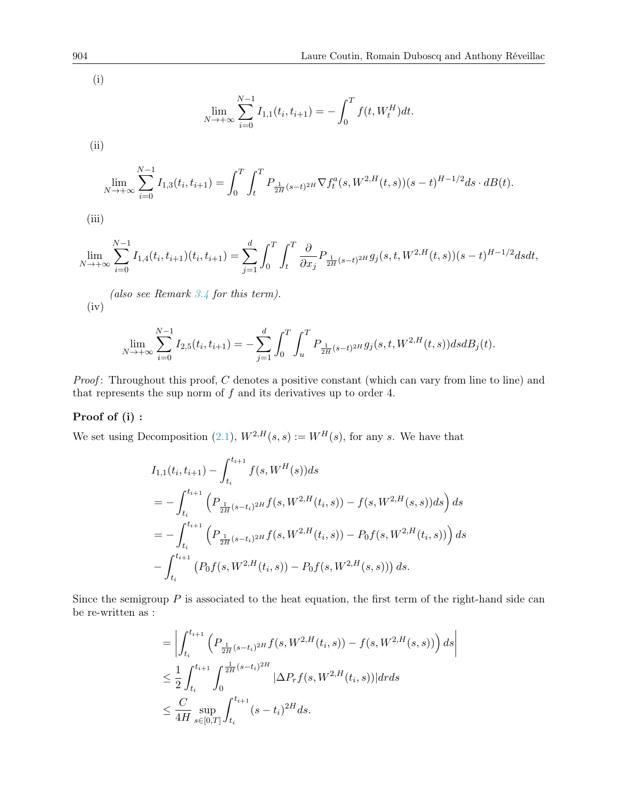(i)

$$
\lim_{N \to +\infty} \sum_{i=0}^{N-1} I_{1,1}(t_i, t_{i+1}) = -\int_0^T f(t, W_t^H) dt.
$$

(ii)

$$
\lim_{N \to +\infty} \sum_{i=0}^{N-1} I_{1,3}(t_i, t_{i+1}) = \int_0^T \int_t^T P_{\frac{1}{2H}(s-t)^{2H}} \nabla f_t^a(s, W^{2,H}(t,s))(s-t)^{H-1/2} ds \cdot dB(t).
$$

(iii)

$$
\lim_{N \to +\infty} \sum_{i=0}^{N-1} I_{1,4}(t_i, t_{i+1})(t_i, t_{i+1}) = \sum_{j=1}^d \int_0^T \int_t^T \frac{\partial}{\partial x_j} P_{\frac{1}{2H}(s-t)^{2H}} g_j(s, t, W^{2,H}(t, s)) (s-t)^{H-1/2} ds dt,
$$

(also see Remark [3.4](#page-7-6) for this term).  $(iv)$ 

$$
\lim_{N \to +\infty} \sum_{i=0}^{N-1} I_{2,5}(t_i, t_{i+1}) = -\sum_{j=1}^d \int_0^T \int_u^T P_{\frac{1}{2H}(s-t)^{2H}} g_j(s, t, W^{2,H}(t, s)) ds dB_j(t).
$$

*Proof*: Throughout this proof,  $C$  denotes a positive constant (which can vary from line to line) and that represents the sup norm of  $f$  and its derivatives up to order 4.

#### Proof of (i) :

We set using Decomposition [\(2.1\)](#page-4-0),  $W^{2,H}(s,s) := W^H(s)$ , for any s. We have that

$$
I_{1,1}(t_i, t_{i+1}) - \int_{t_i}^{t_{i+1}} f(s, W^H(s)) ds
$$
  
= 
$$
- \int_{t_i}^{t_{i+1}} \left( P_{\frac{1}{2H}(s-t_i)^{2H}} f(s, W^{2,H}(t_i, s)) - f(s, W^{2,H}(s, s)) ds \right) ds
$$
  
= 
$$
- \int_{t_i}^{t_{i+1}} \left( P_{\frac{1}{2H}(s-t_i)^{2H}} f(s, W^{2,H}(t_i, s)) - P_0 f(s, W^{2,H}(t_i, s)) \right) ds
$$
  

$$
- \int_{t_i}^{t_{i+1}} \left( P_0 f(s, W^{2,H}(t_i, s)) - P_0 f(s, W^{2,H}(s, s)) \right) ds.
$$

Since the semigroup  $P$  is associated to the heat equation, the first term of the right-hand side can be re-written as :

$$
= \left| \int_{t_i}^{t_{i+1}} \left( P_{\frac{1}{2H}(s-t_i)^{2H}} f(s, W^{2,H}(t_i, s)) - f(s, W^{2,H}(s, s)) \right) ds \right|
$$
  

$$
\leq \frac{1}{2} \int_{t_i}^{t_{i+1}} \int_0^{\frac{1}{2H}(s-t_i)^{2H}} |\Delta P_r f(s, W^{2,H}(t_i, s))| dr ds
$$
  

$$
\leq \frac{C}{4H} \sup_{s \in [0, T]} \int_{t_i}^{t_{i+1}} (s-t_i)^{2H} ds.
$$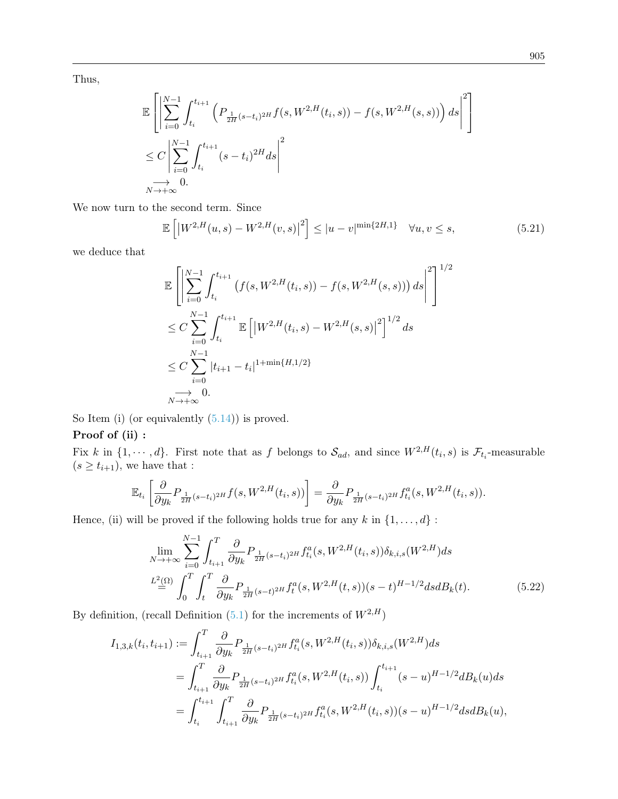Thus,

$$
\mathbb{E}\left[\left|\sum_{i=0}^{N-1} \int_{t_i}^{t_{i+1}} \left(P_{\frac{1}{2H}(s-t_i)^{2H}}f(s, W^{2,H}(t_i, s)) - f(s, W^{2,H}(s, s))\right)ds\right|^2\right] \n\leq C \left|\sum_{i=0}^{N-1} \int_{t_i}^{t_{i+1}} (s-t_i)^{2H}ds\right|^2 \n\to 0.
$$

We now turn to the second term. Since

<span id="page-24-1"></span>
$$
\mathbb{E}\left[\left|W^{2,H}(u,s) - W^{2,H}(v,s)\right|^2\right] \le |u-v|^{\min\{2H,1\}} \quad \forall u,v \le s,
$$
\n(5.21)

we deduce that

$$
\mathbb{E}\left[\left|\sum_{i=0}^{N-1} \int_{t_i}^{t_{i+1}} \left(f(s, W^{2,H}(t_i, s)) - f(s, W^{2,H}(s, s))\right) ds\right|^2\right]^{1/2} \n\leq C \sum_{i=0}^{N-1} \int_{t_i}^{t_{i+1}} \mathbb{E}\left[\left|W^{2,H}(t_i, s) - W^{2,H}(s, s)\right|^2\right]^{1/2} ds \n\leq C \sum_{i=0}^{N-1} |t_{i+1} - t_i|^{1 + \min\{H, 1/2\}} \n\to 0.
$$

So Item (i) (or equivalently  $(5.14)$ ) is proved.

## Proof of (ii) :

Fix k in  $\{1,\dots,d\}$ . First note that as f belongs to  $\mathcal{S}_{ad}$ , and since  $W^{2,H}(t_i,s)$  is  $\mathcal{F}_{t_i}$ -measurable  $(s \geq t_{i+1}),$  we have that :

$$
\mathbb{E}_{t_i}\left[\frac{\partial}{\partial y_k} P_{\frac{1}{2H}(s-t_i)^{2H}} f(s, W^{2,H}(t_i, s))\right] = \frac{\partial}{\partial y_k} P_{\frac{1}{2H}(s-t_i)^{2H}} f_{t_i}^a(s, W^{2,H}(t_i, s)).
$$

Hence, (ii) will be proved if the following holds true for any  $k$  in  $\{1, \ldots, d\}$ :

<span id="page-24-0"></span>
$$
\lim_{N \to +\infty} \sum_{i=0}^{N-1} \int_{t_{i+1}}^{T} \frac{\partial}{\partial y_k} P_{\frac{1}{2H}(s-t_i)^{2H}} f_{t_i}^a(s, W^{2,H}(t_i, s)) \delta_{k,i,s}(W^{2,H}) ds
$$
\n
$$
\stackrel{L^2(\Omega)}{=} \int_0^T \int_t^T \frac{\partial}{\partial y_k} P_{\frac{1}{2H}(s-t)^{2H}} f_t^a(s, W^{2,H}(t, s)) (s-t)^{H-1/2} ds dB_k(t).
$$
\n(5.22)

By definition, (recall Definition [\(5.1\)](#page-14-1) for the increments of  $W^{2,\mathcal{H}})$ 

$$
I_{1,3,k}(t_i, t_{i+1}) := \int_{t_{i+1}}^T \frac{\partial}{\partial y_k} P_{\frac{1}{2H}(s-t_i)^{2H}} f_{t_i}^a(s, W^{2,H}(t_i, s)) \delta_{k,i,s}(W^{2,H}) ds
$$
  
\n
$$
= \int_{t_{i+1}}^T \frac{\partial}{\partial y_k} P_{\frac{1}{2H}(s-t_i)^{2H}} f_{t_i}^a(s, W^{2,H}(t_i, s)) \int_{t_i}^{t_{i+1}} (s-u)^{H-1/2} dB_k(u) ds
$$
  
\n
$$
= \int_{t_i}^{t_{i+1}} \int_{t_{i+1}}^T \frac{\partial}{\partial y_k} P_{\frac{1}{2H}(s-t_i)^{2H}} f_{t_i}^a(s, W^{2,H}(t_i, s))(s-u)^{H-1/2} ds dB_k(u),
$$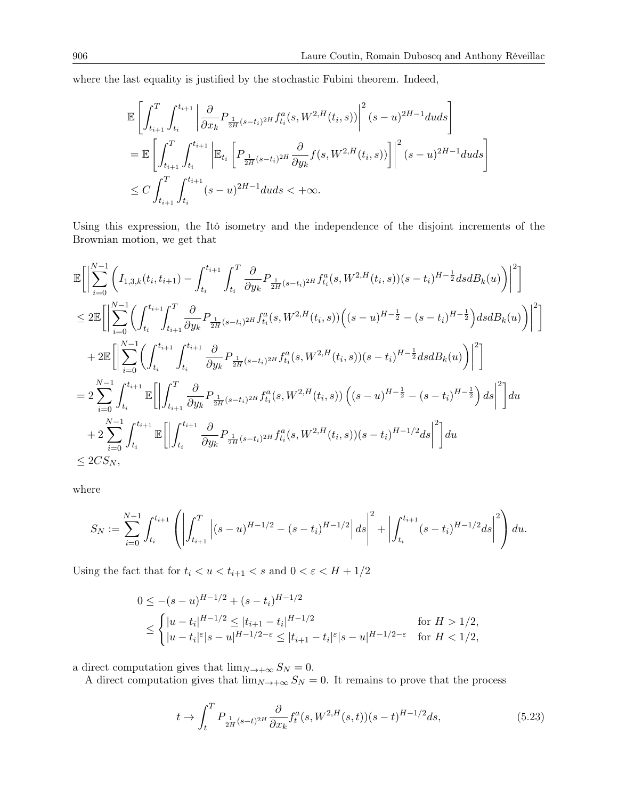where the last equality is justified by the stochastic Fubini theorem. Indeed,

$$
\begin{split} &\mathbb{E}\left[\int_{t_{i+1}}^{T}\int_{t_{i}}^{t_{i+1}}\left|\frac{\partial}{\partial x_{k}}P_{\frac{1}{2H}(s-t_{i})^{2H}}f_{t_{i}}^{a}(s,W^{2,H}(t_{i},s))\right|^{2}(s-u)^{2H-1}duds\right] \\ &=\mathbb{E}\left[\int_{t_{i+1}}^{T}\int_{t_{i}}^{t_{i+1}}\left|\mathbb{E}_{t_{i}}\left[P_{\frac{1}{2H}(s-t_{i})^{2H}}\frac{\partial}{\partial y_{k}}f(s,W^{2,H}(t_{i},s))\right]\right|^{2}(s-u)^{2H-1}duds\right] \\ &\leq C\int_{t_{i+1}}^{T}\int_{t_{i}}^{t_{i+1}}(s-u)^{2H-1}duds<+\infty. \end{split}
$$

Using this expression, the Itô isometry and the independence of the disjoint increments of the Brownian motion, we get that

$$
\begin{split} &\mathbb{E}\bigg[\bigg|\sum_{i=0}^{N-1}\bigg(I_{1,3,k}(t_i,t_{i+1})-\int_{t_i}^{t_{i+1}}\int_{t_i}^T\frac{\partial}{\partial y_k}P_{\frac{1}{2H}(s-t_i)^{2H}}f_{t_i}^a(s,W^{2,H}(t_i,s))(s-t_i)^{H-\frac{1}{2}}dsdB_k(u)\bigg)\bigg|^2\bigg]\\ &\leq 2\mathbb{E}\bigg[\bigg|\sum_{i=0}^{N-1}\bigg(\int_{t_i}^{t_{i+1}}\!\!\int_{t_{i+1}}^T\frac{\partial}{\partial y_k}P_{\frac{1}{2H}(s-t_i)^{2H}}f_{t_i}^a(s,W^{2,H}(t_i,s))\bigg((s-u)^{H-\frac{1}{2}}-(s-t_i)^{H-\frac{1}{2}}\bigg)dsdB_k(u)\bigg)\bigg|^2\bigg]\\ &+2\mathbb{E}\bigg[\bigg|\sum_{i=0}^{N-1}\bigg(\int_{t_i}^{t_{i+1}}\int_{t_i}^{t_{i+1}}\frac{\partial}{\partial y_k}P_{\frac{1}{2H}(s-t_i)^{2H}}f_{t_i}^a(s,W^{2,H}(t_i,s))(s-t_i)^{H-\frac{1}{2}}dsdB_k(u)\bigg)\bigg|^2\bigg]\\ &=2\sum_{i=0}^{N-1}\int_{t_i}^{t_{i+1}}\mathbb{E}\bigg[\bigg|\int_{t_{i+1}}^T\frac{\partial}{\partial y_k}P_{\frac{1}{2H}(s-t_i)^{2H}}f_{t_i}^a(s,W^{2,H}(t_i,s))\left((s-u)^{H-\frac{1}{2}}-(s-t_i)^{H-\frac{1}{2}}\right)ds\bigg|^2\bigg]du\\ &+2\sum_{i=0}^{N-1}\int_{t_i}^{t_{i+1}}\mathbb{E}\bigg[\bigg|\int_{t_i}^{t_{i+1}}\frac{\partial}{\partial y_k}P_{\frac{1}{2H}(s-t_i)^{2H}}f_{t_i}^a(s,W^{2,H}(t_i,s))(s-t_i)^{H-1/2}ds\bigg|^2\bigg]du\\ &\leq 2CS_N, \end{split}
$$

where

$$
S_N := \sum_{i=0}^{N-1} \int_{t_i}^{t_{i+1}} \left( \left| \int_{t_{i+1}}^T \left| (s-u)^{H-1/2} - (s-t_i)^{H-1/2} \right| ds \right|^2 + \left| \int_{t_i}^{t_{i+1}} (s-t_i)^{H-1/2} ds \right|^2 \right) du.
$$

Using the fact that for  $t_i < u < t_{i+1} < s$  and  $0 < \varepsilon < H + 1/2$ 

$$
0 \le -(s-u)^{H-1/2} + (s-t_i)^{H-1/2}
$$
  
\n
$$
\le \begin{cases} |u-t_i|^{H-1/2} \le |t_{i+1}-t_i|^{H-1/2} & \text{for } H > 1/2, \\ |u-t_i|^{\varepsilon}|s-u|^{H-1/2-\varepsilon} \le |t_{i+1}-t_i|^{\varepsilon}|s-u|^{H-1/2-\varepsilon} & \text{for } H < 1/2, \end{cases}
$$

a direct computation gives that  $\lim_{N\to+\infty}S_N=0$ .

A direct computation gives that  $\lim_{N\to+\infty}S_N=0$ . It remains to prove that the process

<span id="page-25-0"></span>
$$
t \to \int_{t}^{T} P_{\frac{1}{2H}(s-t)^{2H}} \frac{\partial}{\partial x_{k}} f_{t}^{a}(s, W^{2,H}(s,t))(s-t)^{H-1/2} ds, \tag{5.23}
$$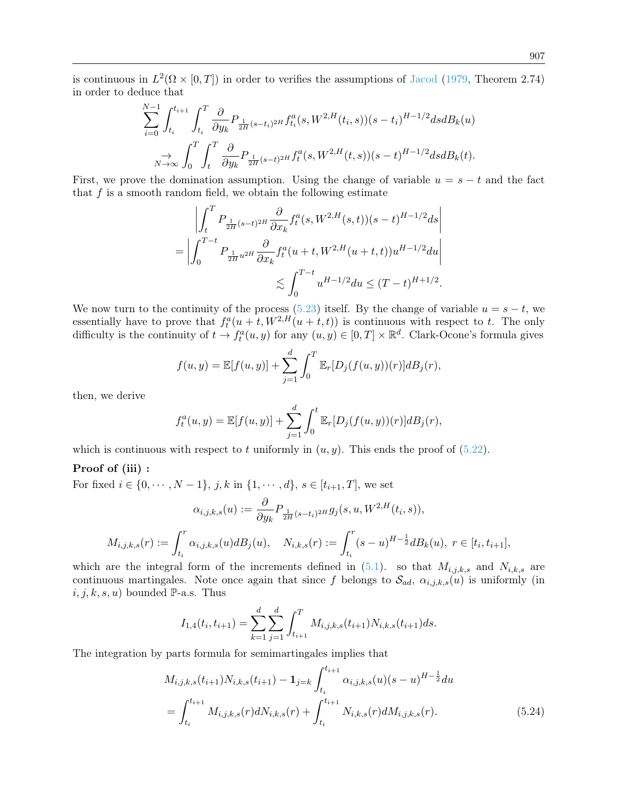is continuous in  $L^2(\Omega \times [0,T])$  in order to verifies the assumptions of [Jacod](#page-43-13) [\(1979,](#page-43-13) Theorem 2.74) in order to deduce that

$$
\sum_{i=0}^{N-1} \int_{t_i}^{t_{i+1}} \int_{t_i}^{T} \frac{\partial}{\partial y_k} P_{\frac{1}{2H}(s-t_i)^{2H}} f_{t_i}^a(s, W^{2,H}(t_i, s))(s-t_i)^{H-1/2} ds dB_k(u)
$$
  

$$
\sum_{N \to \infty} \int_0^T \int_t^T \frac{\partial}{\partial y_k} P_{\frac{1}{2H}(s-t)^{2H}} f_t^a(s, W^{2,H}(t, s))(s-t)^{H-1/2} ds dB_k(t).
$$

First, we prove the domination assumption. Using the change of variable  $u = s - t$  and the fact that  $f$  is a smooth random field, we obtain the following estimate

$$
\left| \int_{t}^{T} P_{\frac{1}{2H}(s-t)^{2H}} \frac{\partial}{\partial x_{k}} f_{t}^{a}(s, W^{2,H}(s,t))(s-t)^{H-1/2} ds \right|
$$
  
= 
$$
\left| \int_{0}^{T-t} P_{\frac{1}{2H}u^{2H}} \frac{\partial}{\partial x_{k}} f_{t}^{a}(u+t, W^{2,H}(u+t,t)) u^{H-1/2} du \right|
$$
  

$$
\lesssim \int_{0}^{T-t} u^{H-1/2} du \leq (T-t)^{H+1/2}.
$$

We now turn to the continuity of the process [\(5.23\)](#page-25-0) itself. By the change of variable  $u = s - t$ , we essentially have to prove that  $f_t^a(u+t, W^{2,H}(u+t,t))$  is continuous with respect to t. The only difficulty is the continuity of  $t \to f_t^a(u, y)$  for any  $(u, y) \in [0, T] \times \mathbb{R}^d$ . Clark-Ocone's formula gives

$$
f(u, y) = \mathbb{E}[f(u, y)] + \sum_{j=1}^{d} \int_{0}^{T} \mathbb{E}_{r}[D_{j}(f(u, y))(r)]dB_{j}(r),
$$

then, we derive

$$
f_t^a(u, y) = \mathbb{E}[f(u, y)] + \sum_{j=1}^d \int_0^t \mathbb{E}_r[D_j(f(u, y))(r)]dB_j(r),
$$

which is continuous with respect to t uniformly in  $(u, y)$ . This ends the proof of [\(5.22\)](#page-24-0).

#### Proof of (iii) :

For fixed  $i \in \{0, \dots, N-1\}, j, k \text{ in } \{1, \dots, d\}, s \in [t_{i+1}, T]$ , we set

$$
\alpha_{i,j,k,s}(u) := \frac{\partial}{\partial y_k} P_{\frac{1}{2H}(s-t_i)^{2H}} g_j(s, u, W^{2,H}(t_i, s)),
$$
  

$$
M_{i,j,k,s}(r) := \int_{t_i}^r \alpha_{i,j,k,s}(u) dB_j(u), \quad N_{i,k,s}(r) := \int_{t_i}^r (s-u)^{H-\frac{1}{2}} dB_k(u), \ r \in [t_i, t_{i+1}],
$$

which are the integral form of the increments defined in  $(5.1)$ . so that  $M_{i,j,k,s}$  and  $N_{i,k,s}$  are continuous martingales. Note once again that since f belongs to  $\mathcal{S}_{ad}$ ,  $\alpha_{i,j,k,s}(u)$  is uniformly (in  $i, j, k, s, u$  bounded P-a.s. Thus

<span id="page-26-0"></span>
$$
I_{1,4}(t_i, t_{i+1}) = \sum_{k=1}^d \sum_{j=1}^d \int_{t_{i+1}}^T M_{i,j,k,s}(t_{i+1}) N_{i,k,s}(t_{i+1}) ds.
$$

The integration by parts formula for semimartingales implies that

$$
M_{i,j,k,s}(t_{i+1})N_{i,k,s}(t_{i+1}) - \mathbf{1}_{j=k} \int_{t_i}^{t_{i+1}} \alpha_{i,j,k,s}(u)(s-u)^{H-\frac{1}{2}} du
$$
  
= 
$$
\int_{t_i}^{t_{i+1}} M_{i,j,k,s}(r) dN_{i,k,s}(r) + \int_{t_i}^{t_{i+1}} N_{i,k,s}(r) dM_{i,j,k,s}(r).
$$
 (5.24)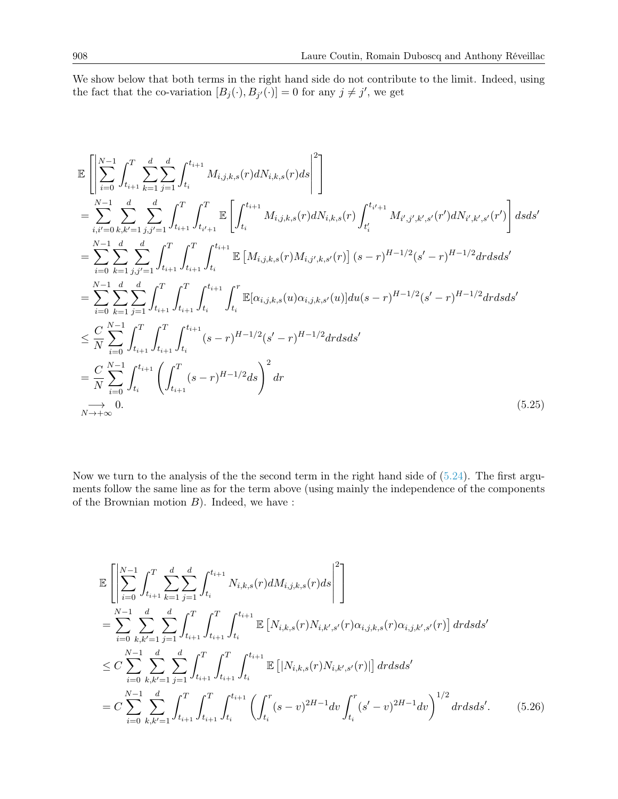We show below that both terms in the right hand side do not contribute to the limit. Indeed, using the fact that the co-variation  $[B_j(\cdot), B_{j'}(\cdot)] = 0$  for any  $j \neq j'$ , we get

$$
\mathbb{E}\left[\sum_{i=0}^{N-1} \int_{t_{i+1}}^{T} \sum_{k=1}^{d} \sum_{j=1}^{d} \int_{t_{i}}^{t_{i+1}} M_{i,j,k,s}(r) dN_{i,k,s}(r) ds \right]^{2}\right]
$$
\n
$$
= \sum_{i,i'=0}^{N-1} \sum_{k,k'=1}^{d} \sum_{j,j'=1}^{d} \int_{t_{i+1}}^{T} \int_{t_{i'+1}}^{T} \mathbb{E}\left[\int_{t_{i}}^{t_{i+1}} M_{i,j,k,s}(r) dN_{i,k,s}(r) \int_{t_{i}'}^{t_{i'+1}} M_{i',j',k',s'}(r') dN_{i',k',s'}(r')\right] ds ds'
$$
\n
$$
= \sum_{i=0}^{N-1} \sum_{k=1}^{d} \sum_{j,j'=1}^{d} \int_{t_{i+1}}^{T} \int_{t_{i+1}}^{T} \int_{t_{i}}^{t_{i+1}} \mathbb{E}\left[M_{i,j,k,s}(r) M_{i,j',k,s'}(r)\right] (s-r)^{H-1/2} (s'-r)^{H-1/2} dr ds ds'
$$
\n
$$
= \sum_{i=0}^{N-1} \sum_{k=1}^{d} \sum_{j=1}^{d} \int_{t_{i+1}}^{T} \int_{t_{i+1}}^{T} \int_{t_{i}}^{t_{i+1}} \int_{t_{i}}^{r} \mathbb{E}[\alpha_{i,j,k,s}(u) \alpha_{i,j,k,s'}(u)] du(s-r)^{H-1/2} (s'-r)^{H-1/2} dr ds ds'
$$
\n
$$
\leq \frac{C}{N} \sum_{i=0}^{N-1} \int_{t_{i+1}}^{T} \int_{t_{i+1}}^{T} \int_{t_{i}}^{t_{i+1}} (s-r)^{H-1/2} (s'-r)^{H-1/2} dr ds ds'
$$
\n
$$
= \frac{C}{N} \sum_{i=0}^{N-1} \int_{t_{i}}^{t_{i+1}} \left(\int_{t_{i+1}}^{T} (s-r)^{H-1/2} ds\right)^{2} dr
$$
\n(5.25)

Now we turn to the analysis of the the second term in the right hand side of  $(5.24)$ . The first arguments follow the same line as for the term above (using mainly the independence of the components of the Brownian motion  $B$ ). Indeed, we have :

<span id="page-27-1"></span><span id="page-27-0"></span>
$$
\mathbb{E}\left[\left|\sum_{i=0}^{N-1} \int_{t_{i+1}}^{T} \sum_{k=1}^{d} \sum_{j=1}^{d} \int_{t_i}^{t_{i+1}} N_{i,k,s}(r) dM_{i,j,k,s}(r) ds\right|^{2}\right]
$$
\n
$$
= \sum_{i=0}^{N-1} \sum_{k,k'=1}^{d} \sum_{j=1}^{d} \int_{t_{i+1}}^{T} \int_{t_{i+1}}^{T} \int_{t_i}^{t_{i+1}} \mathbb{E}\left[N_{i,k,s}(r)N_{i,k',s'}(r)\alpha_{i,j,k,s}(r)\alpha_{i,j,k',s'}(r)\right] dr ds ds'
$$
\n
$$
\leq C \sum_{i=0}^{N-1} \sum_{k,k'=1}^{d} \sum_{j=1}^{d} \int_{t_{i+1}}^{T} \int_{t_{i+1}}^{T} \int_{t_i}^{t_{i+1}} \mathbb{E}\left[|N_{i,k,s}(r)N_{i,k',s'}(r)|\right] dr ds ds'
$$
\n
$$
= C \sum_{i=0}^{N-1} \sum_{k,k'=1}^{d} \int_{t_{i+1}}^{T} \int_{t_{i+1}}^{T} \int_{t_i}^{t_{i+1}} \left(\int_{t_i}^{r} (s-v)^{2H-1} dv \int_{t_i}^{r} (s'-v)^{2H-1} dv\right)^{1/2} dr ds ds'.
$$
\n(5.26)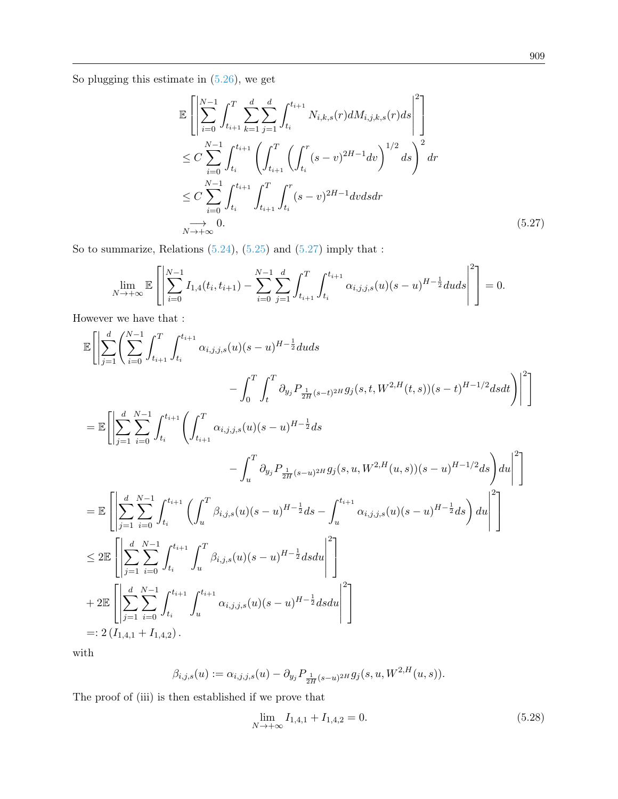So plugging this estimate in [\(5.26\)](#page-27-0), we get

<span id="page-28-0"></span>
$$
\mathbb{E}\left[\left|\sum_{i=0}^{N-1} \int_{t_{i+1}}^{T} \sum_{k=1}^{d} \sum_{j=1}^{d} \int_{t_i}^{t_{i+1}} N_{i,k,s}(r) dM_{i,j,k,s}(r) ds\right|^{2}\right]
$$
\n
$$
\leq C \sum_{i=0}^{N-1} \int_{t_i}^{t_{i+1}} \left(\int_{t_{i+1}}^{T} \left(\int_{t_i}^{r} (s-v)^{2H-1} dv\right)^{1/2} ds\right)^{2} dr
$$
\n
$$
\leq C \sum_{i=0}^{N-1} \int_{t_i}^{t_{i+1}} \int_{t_{i+1}}^{T} \int_{t_i}^{r} (s-v)^{2H-1} dv ds dr
$$
\n
$$
\xrightarrow[N \to +\infty]{} 0.
$$
\n(5.27)

So to summarize, Relations  $(5.24)$ ,  $(5.25)$  and  $(5.27)$  imply that :

$$
\lim_{N \to +\infty} \mathbb{E}\left[\left|\sum_{i=0}^{N-1} I_{1,4}(t_i, t_{i+1}) - \sum_{i=0}^{N-1} \sum_{j=1}^d \int_{t_{i+1}}^T \int_{t_i}^{t_{i+1}} \alpha_{i,j,j,s}(u)(s-u)^{H-\frac{1}{2}} du ds\right|^2\right] = 0.
$$

However we have that :

$$
\begin{split} \mathbb{E}\Bigg[\Bigg|\sum_{j=1}^{d}\Bigg(\sum_{i=0}^{N-1}\int_{t_{i+1}}^{T}\int_{t_{i}}^{t_{i+1}}\alpha_{i,j,j,s}(u)(s-u)^{H-\frac{1}{2}}duds \\ & \qquad \qquad -\int_{0}^{T}\int_{t}^{T}\partial_{y_{j}}P_{\frac{1}{2H}(s-t)^{2H}}g_{j}(s,t,W^{2,H}(t,s))(s-t)^{H-1/2}dsdt\Bigg)\Bigg|^{2}\Bigg]\\ =\mathbb{E}\Bigg[\Bigg|\sum_{j=1}^{d}\sum_{i=0}^{N-1}\int_{t_{i}}^{t_{i+1}}\Bigg(\int_{t_{i+1}}^{T}\alpha_{i,j,j,s}(u)(s-u)^{H-\frac{1}{2}}ds \\ & \qquad \qquad -\int_{u}^{T}\partial_{y_{j}}P_{\frac{1}{2H}(s-u)^{2H}}g_{j}(s,u,W^{2,H}(u,s))(s-u)^{H-1/2}ds\Bigg)du\Bigg|^{2}\Bigg]\\ =\mathbb{E}\Bigg[\Bigg|\sum_{j=1}^{d}\sum_{i=0}^{N-1}\int_{t_{i}}^{t_{i+1}}\Bigg(\int_{u}^{T}\beta_{i,j,s}(u)(s-u)^{H-\frac{1}{2}}ds-\int_{u}^{t_{i+1}}\alpha_{i,j,j,s}(u)(s-u)^{H-\frac{1}{2}}ds\Bigg)du\Bigg|^{2}\Bigg]\\ \leq 2\mathbb{E}\Bigg[\Bigg|\sum_{j=1}^{d}\sum_{i=0}^{N-1}\int_{t_{i}}^{t_{i+1}}\int_{u}^{T}\beta_{i,j,s}(u)(s-u)^{H-\frac{1}{2}}dsdu\Bigg|^{2}\Bigg]\\ +2\mathbb{E}\Bigg[\Bigg|\sum_{j=1}^{d}\sum_{i=0}^{N-1}\int_{t_{i}}^{t_{i+1}}\int_{u}^{t_{i+1}}\alpha_{i,j,j,s}(u)(s-u)^{H-\frac{1}{2}}dsdu\Bigg|^{2}\Bigg]\\ =:2\left(I_{1,4,1}+I_{1,4,2}\right). \end{split}
$$

with

$$
\beta_{i,j,s}(u) := \alpha_{i,j,j,s}(u) - \partial_{y_j} P_{\frac{1}{2H}(s-u)^{2H}} g_j(s,u,W^{2,H}(u,s)).
$$

The proof of (iii) is then established if we prove that

<span id="page-28-1"></span>
$$
\lim_{N \to +\infty} I_{1,4,1} + I_{1,4,2} = 0. \tag{5.28}
$$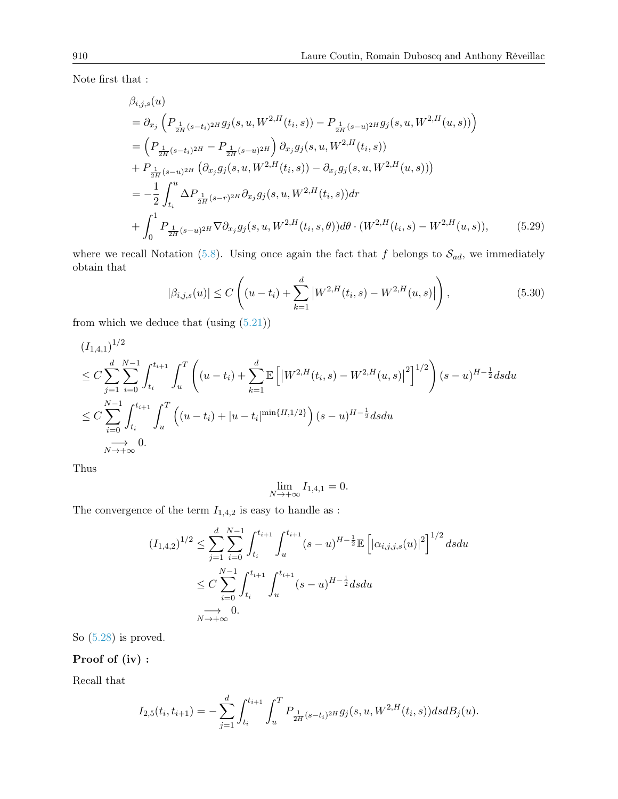Note first that :

$$
\beta_{i,j,s}(u) = \partial_{x_j} \left( P_{\frac{1}{2H}(s-t_i)^{2H}} g_j(s, u, W^{2,H}(t_i, s)) - P_{\frac{1}{2H}(s-u)^{2H}} g_j(s, u, W^{2,H}(u, s)) \right) \n= \left( P_{\frac{1}{2H}(s-t_i)^{2H}} - P_{\frac{1}{2H}(s-u)^{2H}} \right) \partial_{x_j} g_j(s, u, W^{2,H}(t_i, s)) \n+ P_{\frac{1}{2H}(s-u)^{2H}} \left( \partial_{x_j} g_j(s, u, W^{2,H}(t_i, s)) - \partial_{x_j} g_j(s, u, W^{2,H}(u, s)) \right) \n= -\frac{1}{2} \int_{t_i}^{u} \Delta P_{\frac{1}{2H}(s-r)^{2H}} \partial_{x_j} g_j(s, u, W^{2,H}(t_i, s)) dr \n+ \int_{0}^{1} P_{\frac{1}{2H}(s-u)^{2H}} \nabla \partial_{x_j} g_j(s, u, W^{2,H}(t_i, s, \theta)) d\theta \cdot (W^{2,H}(t_i, s) - W^{2,H}(u, s)), \tag{5.29}
$$

where we recall Notation [\(5.8\)](#page-16-1). Using once again the fact that f belongs to  $S_{ad}$ , we immediately obtain that

<span id="page-29-1"></span><span id="page-29-0"></span>
$$
|\beta_{i,j,s}(u)| \le C\left((u-t_i) + \sum_{k=1}^d |W^{2,H}(t_i,s) - W^{2,H}(u,s)|\right),\tag{5.30}
$$

from which we deduce that (using  $(5.21)$ )

$$
(I_{1,4,1})^{1/2}
$$
  
\n
$$
\leq C \sum_{j=1}^{d} \sum_{i=0}^{N-1} \int_{t_i}^{t_{i+1}} \int_u^T \left( (u-t_i) + \sum_{k=1}^d \mathbb{E} \left[ \left| W^{2,H}(t_i,s) - W^{2,H}(u,s) \right|^2 \right]^{1/2} \right) (s-u)^{H-\frac{1}{2}} ds du
$$
  
\n
$$
\leq C \sum_{i=0}^{N-1} \int_{t_i}^{t_{i+1}} \int_u^T \left( (u-t_i) + |u-t_i|^{\min\{H,1/2\}} \right) (s-u)^{H-\frac{1}{2}} ds du
$$
  
\n
$$
\xrightarrow[N \to +\infty]{N}
$$

Thus

$$
\lim_{N \to +\infty} I_{1,4,1} = 0.
$$

The convergence of the term  ${\cal I}_{1,4,2}$  is easy to handle as :

$$
(I_{1,4,2})^{1/2} \leq \sum_{j=1}^{d} \sum_{i=0}^{N-1} \int_{t_i}^{t_{i+1}} \int_{u}^{t_{i+1}} (s-u)^{H-\frac{1}{2}} \mathbb{E} \left[ |\alpha_{i,j,j,s}(u)|^2 \right]^{1/2} ds du
$$
  

$$
\leq C \sum_{i=0}^{N-1} \int_{t_i}^{t_{i+1}} \int_{u}^{t_{i+1}} (s-u)^{H-\frac{1}{2}} ds du
$$
  

$$
\to 0.
$$

So [\(5.28\)](#page-28-1) is proved.

# Proof of (iv) :

Recall that

$$
I_{2,5}(t_i, t_{i+1}) = -\sum_{j=1}^d \int_{t_i}^{t_{i+1}} \int_u^T P_{\frac{1}{2H}(s-t_i)^{2H}} g_j(s, u, W^{2,H}(t_i, s)) ds dB_j(u).
$$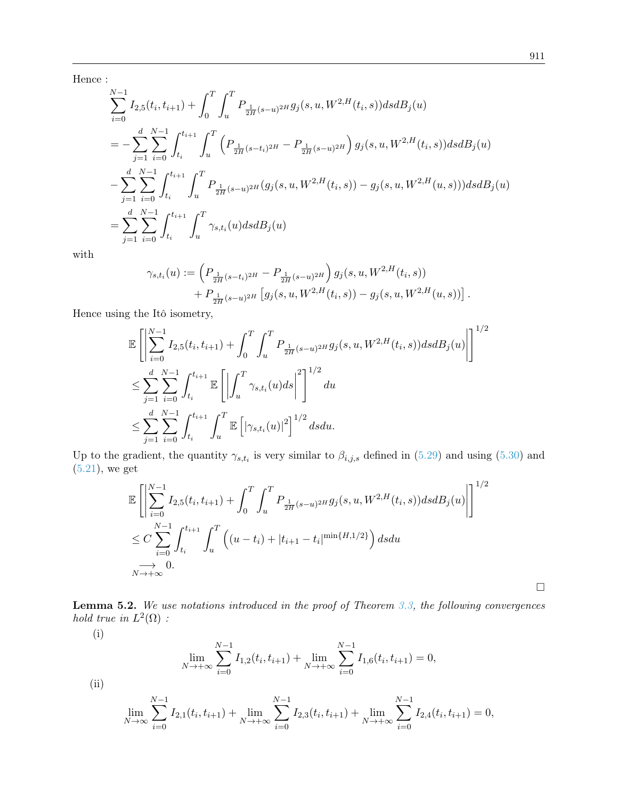Hence :

$$
\sum_{i=0}^{N-1} I_{2,5}(t_i, t_{i+1}) + \int_0^T \int_u^T P_{\frac{1}{2H}(s-u)^{2H}} g_j(s, u, W^{2,H}(t_i, s)) ds dB_j(u)
$$
\n
$$
= - \sum_{j=1}^d \sum_{i=0}^{N-1} \int_{t_i}^{t_{i+1}} \int_u^T \left( P_{\frac{1}{2H}(s-t_i)^{2H}} - P_{\frac{1}{2H}(s-u)^{2H}} \right) g_j(s, u, W^{2,H}(t_i, s)) ds dB_j(u)
$$
\n
$$
- \sum_{j=1}^d \sum_{i=0}^{N-1} \int_{t_i}^{t_{i+1}} \int_u^T P_{\frac{1}{2H}(s-u)^{2H}} (g_j(s, u, W^{2,H}(t_i, s)) - g_j(s, u, W^{2,H}(u, s))) ds dB_j(u)
$$
\n
$$
= \sum_{j=1}^d \sum_{i=0}^{N-1} \int_{t_i}^{t_{i+1}} \int_u^T \gamma_{s, t_i}(u) ds dB_j(u)
$$

with

$$
\gamma_{s,t_i}(u) := \left( P_{\frac{1}{2H}(s-t_i)^{2H}} - P_{\frac{1}{2H}(s-u)^{2H}} \right) g_j(s, u, W^{2,H}(t_i, s)) + P_{\frac{1}{2H}(s-u)^{2H}} \left[ g_j(s, u, W^{2,H}(t_i, s)) - g_j(s, u, W^{2,H}(u, s)) \right].
$$

Hence using the Itô isometry,

$$
\mathbb{E}\left[\left|\sum_{i=0}^{N-1} I_{2,5}(t_i, t_{i+1}) + \int_0^T \int_u^T P_{\frac{1}{2H}(s-u)^{2H}} g_j(s, u, W^{2,H}(t_i, s)) ds dB_j(u)\right|\right]^{1/2} \n\leq \sum_{j=1}^d \sum_{i=0}^{N-1} \int_{t_i}^{t_{i+1}} \mathbb{E}\left[\left|\int_u^T \gamma_{s,t_i}(u) ds\right|^2\right]^{1/2} du \n\leq \sum_{j=1}^d \sum_{i=0}^{N-1} \int_{t_i}^{t_{i+1}} \int_u^T \mathbb{E}\left[|\gamma_{s,t_i}(u)|^2\right]^{1/2} ds du.
$$

Up to the gradient, the quantity  $\gamma_{s,t_i}$  is very similar to  $\beta_{i,j,s}$  defined in [\(5.29\)](#page-29-0) and using [\(5.30\)](#page-29-1) and [\(5.21\)](#page-24-1), we get

$$
\mathbb{E}\left[\left|\sum_{i=0}^{N-1} I_{2,5}(t_i, t_{i+1}) + \int_0^T \int_u^T P_{\frac{1}{2H}(s-u)^{2H}} g_j(s, u, W^{2,H}(t_i, s)) ds dB_j(u)\right|\right]^{1/2} \n\leq C \sum_{i=0}^{N-1} \int_{t_i}^{t_{i+1}} \int_u^T \left( (u - t_i) + |t_{i+1} - t_i|^{\min\{H, 1/2\}} \right) ds du \n\to 0.
$$

<span id="page-30-0"></span>Lemma 5.2. We use notations introduced in the proof of Theorem [3.3,](#page-7-2) the following convergences hold true in  $L^2(\Omega)$ :

(i)

$$
\lim_{N \to +\infty} \sum_{i=0}^{N-1} I_{1,2}(t_i, t_{i+1}) + \lim_{N \to +\infty} \sum_{i=0}^{N-1} I_{1,6}(t_i, t_{i+1}) = 0,
$$

$$
\rm(ii)
$$

$$
\lim_{N \to \infty} \sum_{i=0}^{N-1} I_{2,1}(t_i, t_{i+1}) + \lim_{N \to +\infty} \sum_{i=0}^{N-1} I_{2,3}(t_i, t_{i+1}) + \lim_{N \to +\infty} \sum_{i=0}^{N-1} I_{2,4}(t_i, t_{i+1}) = 0,
$$

 $\Box$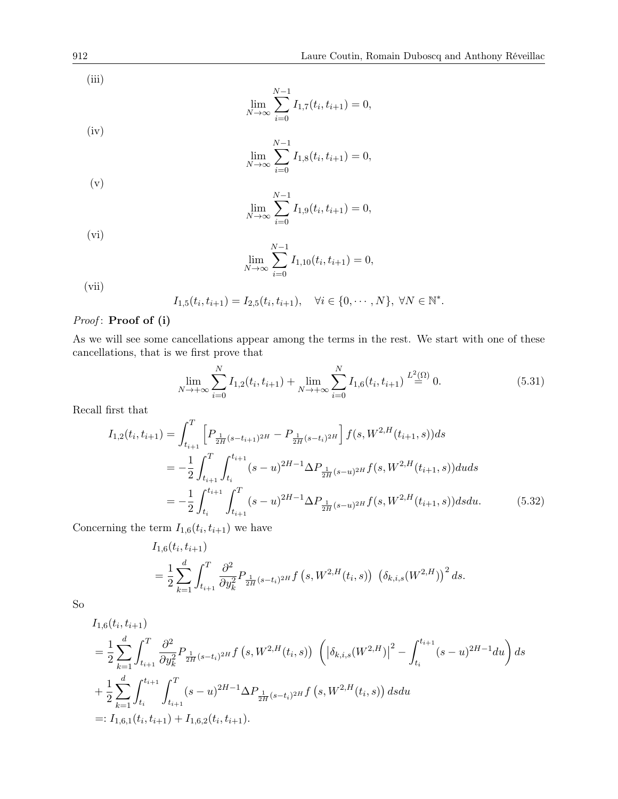(iii)

$$
\lim_{N \to \infty} \sum_{i=0}^{N-1} I_{1,7}(t_i, t_{i+1}) = 0,
$$

(iv)

$$
\lim_{N \to \infty} \sum_{i=0}^{N-1} I_{1,8}(t_i, t_{i+1}) = 0,
$$

$$
\big(\mathrm{v}\big)
$$

$$
\lim_{N \to \infty} \sum_{i=0}^{N-1} I_{1,9}(t_i, t_{i+1}) = 0,
$$

(vi)

$$
\lim_{N \to \infty} \sum_{i=0}^{N-1} I_{1,10}(t_i, t_{i+1}) = 0,
$$

(vii)

$$
I_{1,5}(t_i, t_{i+1}) = I_{2,5}(t_i, t_{i+1}), \quad \forall i \in \{0, \cdots, N\}, \ \forall N \in \mathbb{N}^*.
$$

# Proof: Proof of (i)

As we will see some cancellations appear among the terms in the rest. We start with one of these cancellations, that is we first prove that

<span id="page-31-1"></span><span id="page-31-0"></span>
$$
\lim_{N \to +\infty} \sum_{i=0}^{N} I_{1,2}(t_i, t_{i+1}) + \lim_{N \to +\infty} \sum_{i=0}^{N} I_{1,6}(t_i, t_{i+1}) \stackrel{L^2(\Omega)}{=} 0.
$$
\n(5.31)

Recall first that

$$
I_{1,2}(t_i, t_{i+1}) = \int_{t_{i+1}}^T \left[ P_{\frac{1}{2H}(s-t_{i+1})^{2H}} - P_{\frac{1}{2H}(s-t_{i})^{2H}} \right] f(s, W^{2,H}(t_{i+1}, s)) ds
$$
  
\n
$$
= -\frac{1}{2} \int_{t_{i+1}}^T \int_{t_i}^{t_{i+1}} (s-u)^{2H-1} \Delta P_{\frac{1}{2H}(s-u)^{2H}} f(s, W^{2,H}(t_{i+1}, s)) du ds
$$
  
\n
$$
= -\frac{1}{2} \int_{t_i}^{t_{i+1}} \int_{t_{i+1}}^T (s-u)^{2H-1} \Delta P_{\frac{1}{2H}(s-u)^{2H}} f(s, W^{2,H}(t_{i+1}, s)) ds du.
$$
 (5.32)

Concerning the term  $I_{1,6}(t_i,t_{i+1})$  we have

$$
I_{1,6}(t_i, t_{i+1})
$$
  
=  $\frac{1}{2} \sum_{k=1}^d \int_{t_{i+1}}^T \frac{\partial^2}{\partial y_k^2} P_{\frac{1}{2H}(s-t_i)^{2H}} f(s, W^{2,H}(t_i, s)) (\delta_{k,i,s}(W^{2,H}))^2 ds.$ 

So

$$
I_{1,6}(t_i, t_{i+1})
$$
\n
$$
= \frac{1}{2} \sum_{k=1}^d \int_{t_{i+1}}^T \frac{\partial^2}{\partial y_k^2} P_{\frac{1}{2H}(s-t_i)^{2H}} f(s, W^{2,H}(t_i, s)) \left( \left| \delta_{k,i,s}(W^{2,H}) \right|^2 - \int_{t_i}^{t_{i+1}} (s-u)^{2H-1} du \right) ds
$$
\n
$$
+ \frac{1}{2} \sum_{k=1}^d \int_{t_i}^{t_{i+1}} \int_{t_{i+1}}^T (s-u)^{2H-1} \Delta P_{\frac{1}{2H}(s-t_i)^{2H}} f(s, W^{2,H}(t_i, s)) ds du
$$
\n
$$
=: I_{1,6,1}(t_i, t_{i+1}) + I_{1,6,2}(t_i, t_{i+1}).
$$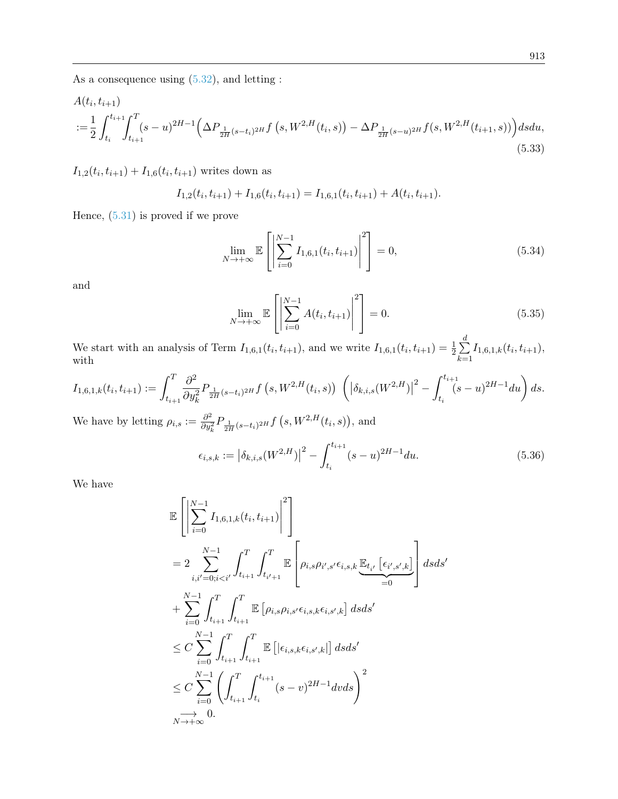As a consequence using [\(5.32\)](#page-31-0), and letting :

$$
A(t_i, t_{i+1})
$$
  

$$
:=\frac{1}{2} \int_{t_i}^{t_{i+1}} \int_{t_{i+1}}^T (s-u)^{2H-1} \left(\Delta P_{\frac{1}{2H}(s-t_i)^{2H}} f(s, W^{2,H}(t_i, s)) - \Delta P_{\frac{1}{2H}(s-u)^{2H}} f(s, W^{2,H}(t_{i+1}, s))\right) ds du,
$$
\n(5.33)

 $I_{1,2}(t_i,t_{i+1}) + I_{1,6}(t_i,t_{i+1})$  writes down as

$$
I_{1,2}(t_i,t_{i+1}) + I_{1,6}(t_i,t_{i+1}) = I_{1,6,1}(t_i,t_{i+1}) + A(t_i,t_{i+1}).
$$

Hence, [\(5.31\)](#page-31-1) is proved if we prove

<span id="page-32-0"></span>
$$
\lim_{N \to +\infty} \mathbb{E}\left[\left|\sum_{i=0}^{N-1} I_{1,6,1}(t_i, t_{i+1})\right|^2\right] = 0,\tag{5.34}
$$

and

<span id="page-32-1"></span>
$$
\lim_{N \to +\infty} \mathbb{E}\left[\left|\sum_{i=0}^{N-1} A(t_i, t_{i+1})\right|^2\right] = 0.
$$
\n(5.35)

We start with an analysis of Term  $I_{1,6,1}(t_i,t_{i+1})$ , and we write  $I_{1,6,1}(t_i,t_{i+1}) = \frac{1}{2} \sum_{i=1}^d$  $k=1$  $I_{1,6,1,k}(t_i,t_{i+1}),$ with

$$
I_{1,6,1,k}(t_i, t_{i+1}) := \int_{t_{i+1}}^T \frac{\partial^2}{\partial y_k^2} P_{\frac{1}{2H}(s-t_i)^{2H}} f(s, W^{2,H}(t_i, s)) \left( \left| \delta_{k,i,s}(W^{2,H}) \right|^2 - \int_{t_i}^{t_{i+1}} (s-u)^{2H-1} du \right) ds.
$$

We have by letting  $\rho_{i,s} := \frac{\partial^2}{\partial u^2}$  $\frac{\partial^2}{\partial y_k^2} P_{\frac{1}{2H}(s-t_i)^{2H}} f\left(s, W^{2,H}(t_i,s)\right)$ , and

<span id="page-32-2"></span>
$$
\epsilon_{i,s,k} := \left| \delta_{k,i,s}(W^{2,H}) \right|^2 - \int_{t_i}^{t_{i+1}} (s-u)^{2H-1} du. \tag{5.36}
$$

We have

$$
\mathbb{E}\left[\left|\sum_{i=0}^{N-1} I_{1,6,1,k}(t_i, t_{i+1})\right|^2\right] \n= 2 \sum_{i,i'=0; i\n+ \sum_{i=0}^{N-1} \int_{t_{i+1}}^T \int_{t_{i+1}}^T \mathbb{E}\left[\rho_{i,s}\rho_{i,s'}\epsilon_{i,s,k}\epsilon_{i,s',k}\right] ds ds' \n\leq C \sum_{i=0}^{N-1} \int_{t_{i+1}}^T \int_{t_{i+1}}^T \mathbb{E}\left[\left|\epsilon_{i,s,k}\epsilon_{i,s',k}\right|\right] ds ds' \n\leq C \sum_{i=0}^{N-1} \left(\int_{t_{i+1}}^T \int_{t_i}^{t_{i+1}} (s-v)^{2H-1} dv ds\right)^2 \n\rightarrow 0.
$$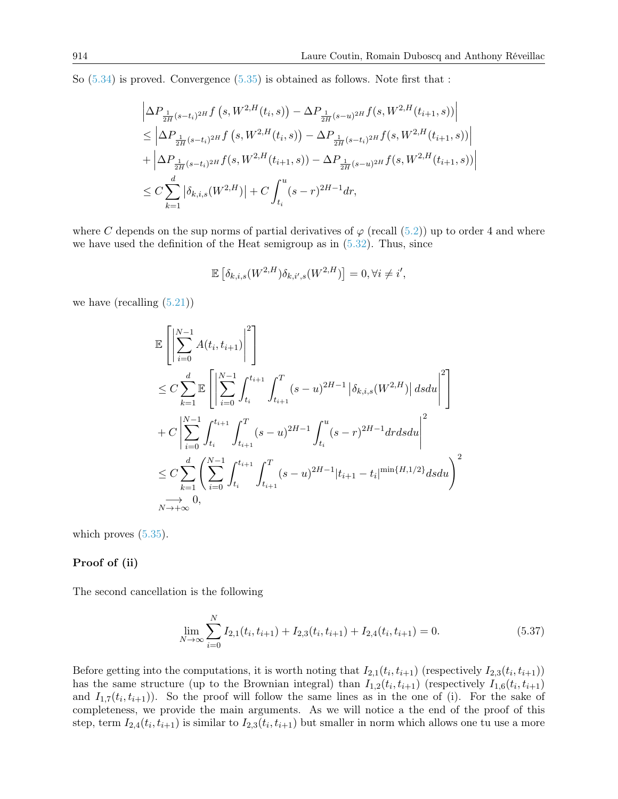So [\(5.34\)](#page-32-0) is proved. Convergence [\(5.35\)](#page-32-1) is obtained as follows. Note first that :

$$
\left| \Delta P_{\frac{1}{2H}(s-t_i)^{2H}} f(s, W^{2,H}(t_i, s)) - \Delta P_{\frac{1}{2H}(s-u)^{2H}} f(s, W^{2,H}(t_{i+1}, s)) \right|
$$
  
\n
$$
\leq \left| \Delta P_{\frac{1}{2H}(s-t_i)^{2H}} f(s, W^{2,H}(t_i, s)) - \Delta P_{\frac{1}{2H}(s-t_i)^{2H}} f(s, W^{2,H}(t_{i+1}, s)) \right|
$$
  
\n
$$
+ \left| \Delta P_{\frac{1}{2H}(s-t_i)^{2H}} f(s, W^{2,H}(t_{i+1}, s)) - \Delta P_{\frac{1}{2H}(s-u)^{2H}} f(s, W^{2,H}(t_{i+1}, s)) \right|
$$
  
\n
$$
\leq C \sum_{k=1}^{d} \left| \delta_{k,i,s}(W^{2,H}) \right| + C \int_{t_i}^{u} (s-r)^{2H-1} dr,
$$

where C depends on the sup norms of partial derivatives of  $\varphi$  (recall [\(5.2\)](#page-15-2)) up to order 4 and where we have used the definition of the Heat semigroup as in  $(5.32)$ . Thus, since

$$
\mathbb{E}\left[\delta_{k,i,s}(W^{2,H})\delta_{k,i',s}(W^{2,H})\right] = 0, \forall i \neq i',
$$

we have (recalling  $(5.21)$ )

$$
\mathbb{E}\left[\left|\sum_{i=0}^{N-1} A(t_i, t_{i+1})\right|^2\right] \n\leq C \sum_{k=1}^d \mathbb{E}\left[\left|\sum_{i=0}^{N-1} \int_{t_i}^{t_{i+1}} \int_{t_{i+1}}^T (s-u)^{2H-1} \left|\delta_{k,i,s}(W^{2,H})\right| ds du\right|^2\right] \n+ C \left|\sum_{i=0}^{N-1} \int_{t_i}^{t_{i+1}} \int_{t_{i+1}}^T (s-u)^{2H-1} \int_{t_i}^u (s-r)^{2H-1} dr ds du\right|^2 \n\leq C \sum_{k=1}^d \left(\sum_{i=0}^{N-1} \int_{t_i}^{t_{i+1}} \int_{t_{i+1}}^T (s-u)^{2H-1} |t_{i+1} - t_i|^{\min\{H,1/2\}} ds du\right)^2 \n\longrightarrow 0, \n\longrightarrow 0,
$$

which proves  $(5.35)$ .

#### Proof of (ii)

The second cancellation is the following

<span id="page-33-0"></span>
$$
\lim_{N \to \infty} \sum_{i=0}^{N} I_{2,1}(t_i, t_{i+1}) + I_{2,3}(t_i, t_{i+1}) + I_{2,4}(t_i, t_{i+1}) = 0.
$$
\n(5.37)

Before getting into the computations, it is worth noting that  $I_{2,1}(t_i,t_{i+1})$  (respectively  $I_{2,3}(t_i,t_{i+1})$ ) has the same structure (up to the Brownian integral) than  $I_{1,2}(t_i,t_{i+1})$  (respectively  $I_{1,6}(t_i,t_{i+1})$ ) and  $I_{1,7}(t_i,t_{i+1})$ . So the proof will follow the same lines as in the one of (i). For the sake of completeness, we provide the main arguments. As we will notice a the end of the proof of this step, term  $I_{2,4}(t_i,t_{i+1})$  is similar to  $I_{2,3}(t_i,t_{i+1})$  but smaller in norm which allows one tu use a more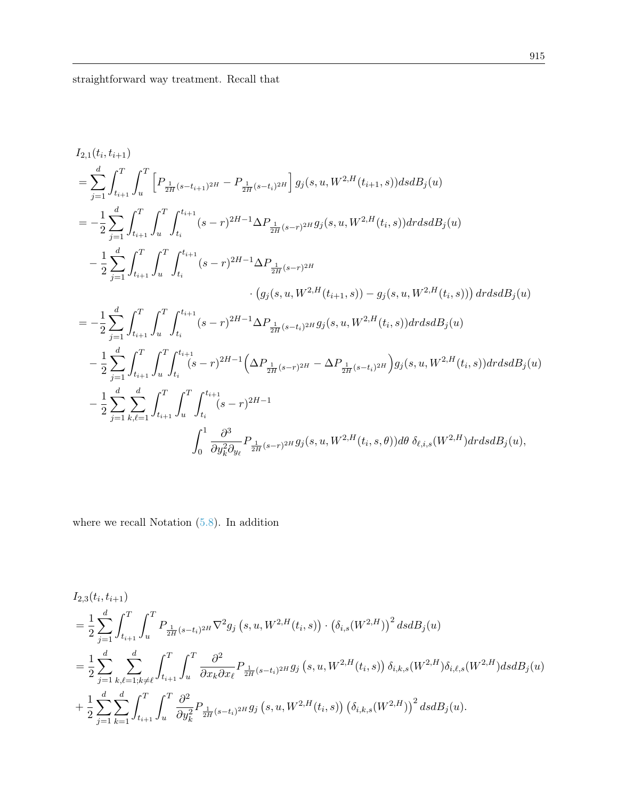I2,1(t<sup>i</sup> , ti+1) = X d j=1 Z <sup>T</sup> ti+1 Z <sup>T</sup> u h P <sup>1</sup> 2H (s−ti+1) <sup>2</sup><sup>H</sup> − P <sup>1</sup> 2H (s−ti) 2H i g<sup>j</sup> (s, u, W2,H(ti+1, s))dsdB<sup>j</sup> (u) = − 1 2 X d j=1 Z <sup>T</sup> ti+1 Z <sup>T</sup> u Z <sup>t</sup>i+1 ti (s − r) <sup>2</sup>H−1∆P <sup>1</sup> 2H (s−r) <sup>2</sup><sup>H</sup> g<sup>j</sup> (s, u, W2,H(t<sup>i</sup> , s))drdsdB<sup>j</sup> (u) − 1 2 X d j=1 Z <sup>T</sup> ti+1 Z <sup>T</sup> u Z <sup>t</sup>i+1 ti (s − r) <sup>2</sup>H−1∆P <sup>1</sup> 2H (s−r) 2H · g<sup>j</sup> (s, u, W2,H(ti+1, s)) − g<sup>j</sup> (s, u, W2,H(t<sup>i</sup> , s)) drdsdB<sup>j</sup> (u) = − 1 2 X d j=1 Z <sup>T</sup> ti+1 Z <sup>T</sup> u Z <sup>t</sup>i+1 ti (s − r) <sup>2</sup>H−1∆P <sup>1</sup> 2H (s−ti) <sup>2</sup><sup>H</sup> g<sup>j</sup> (s, u, W2,H(t<sup>i</sup> , s))drdsdB<sup>j</sup> (u) − 1 2 X d j=1 Z <sup>T</sup> ti+1 Z <sup>T</sup> u Z <sup>t</sup>i+1 ti (s − r) 2H−1 ∆P <sup>1</sup> 2H (s−r) <sup>2</sup><sup>H</sup> − ∆P <sup>1</sup> 2H (s−ti) 2H g<sup>j</sup> (s, u, W2,H(t<sup>i</sup> , s))drdsdB<sup>j</sup> (u) − 1 2 X d j=1 X d k,`=1 Z <sup>T</sup> ti+1 Z <sup>T</sup> u Z <sup>t</sup>i+1 ti (s − r) 2H−1 Z <sup>1</sup> 0 ∂ 3 ∂y<sup>2</sup> k ∂y` P <sup>1</sup> 2H (s−r) <sup>2</sup><sup>H</sup> g<sup>j</sup> (s, u, W2,H(t<sup>i</sup> , s, θ))dθ δ`,i,s(W2,H)drdsdB<sup>j</sup> (u),

where we recall Notation  $(5.8)$ . In addition

$$
I_{2,3}(t_i, t_{i+1})
$$
\n
$$
= \frac{1}{2} \sum_{j=1}^d \int_{t_{i+1}}^T \int_u^T P_{\frac{1}{2H}(s-t_i)^{2H}} \nabla^2 g_j \left(s, u, W^{2,H}(t_i, s)\right) \cdot \left(\delta_{i,s}(W^{2,H})\right)^2 ds dB_j(u)
$$
\n
$$
= \frac{1}{2} \sum_{j=1}^d \sum_{k,\ell=1; k \neq \ell}^d \int_{t_{i+1}}^T \int_u^T \frac{\partial^2}{\partial x_k \partial x_\ell} P_{\frac{1}{2H}(s-t_i)^{2H}} g_j \left(s, u, W^{2,H}(t_i, s)\right) \delta_{i,k,s}(W^{2,H}) \delta_{i,\ell,s}(W^{2,H}) ds dB_j(u)
$$
\n
$$
+ \frac{1}{2} \sum_{j=1}^d \sum_{k=1}^d \int_{t_{i+1}}^T \int_u^T \frac{\partial^2}{\partial y_k^2} P_{\frac{1}{2H}(s-t_i)^{2H}} g_j \left(s, u, W^{2,H}(t_i, s)\right) \left(\delta_{i,k,s}(W^{2,H})\right)^2 ds dB_j(u).
$$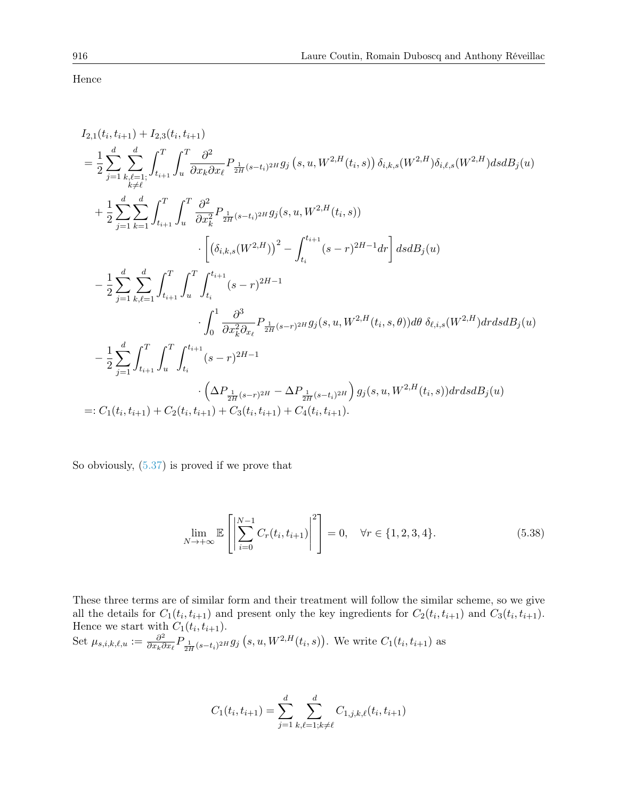Hence

$$
I_{2,1}(t_i, t_{i+1}) + I_{2,3}(t_i, t_{i+1})
$$
\n
$$
= \frac{1}{2} \sum_{j=1}^d \sum_{k,\ell=1}^d \int_{t_{i+1}}^T \int_u^T \frac{\partial^2}{\partial x_k \partial x_\ell} P_{\frac{1}{2H}(s-t_i)^{2H}} g_j(s, u, W^{2,H}(t_i, s)) \delta_{i,k,s}(W^{2,H}) \delta_{i,\ell,s}(W^{2,H}) ds dB_j(u)
$$
\n
$$
+ \frac{1}{2} \sum_{j=1}^d \sum_{k=1}^d \int_{t_{i+1}}^T \int_u^T \frac{\partial^2}{\partial x_k^2} P_{\frac{1}{2H}(s-t_i)^{2H}} g_j(s, u, W^{2,H}(t_i, s))
$$
\n
$$
\cdot \left[ \left( \delta_{i,k,s}(W^{2,H}) \right)^2 - \int_{t_i}^{t_{i+1}} (s-r)^{2H-1} dr \right] ds dB_j(u)
$$
\n
$$
- \frac{1}{2} \sum_{j=1}^d \sum_{k,\ell=1}^d \int_{t_{i+1}}^T \int_u^T \int_{t_i}^{t_{i+1}} (s-r)^{2H-1}
$$
\n
$$
\cdot \int_0^1 \frac{\partial^3}{\partial x_k^2 \partial_{x_\ell}} P_{\frac{1}{2H}(s-r)^{2H}} g_j(s, u, W^{2,H}(t_i, s, \theta)) d\theta \delta_{\ell,i,s}(W^{2,H}) dr ds dB_j(u)
$$
\n
$$
- \frac{1}{2} \sum_{j=1}^d \int_{t_{i+1}}^T \int_u^T \int_{t_i}^{t_{i+1}} (s-r)^{2H-1}
$$
\n
$$
\cdot \left( \Delta P_{\frac{1}{2H}(s-r)^{2H}} - \Delta P_{\frac{1}{2H}(s-t_i)^{2H}} \right) g_j(s, u, W^{2,H}(t_i, s)) dr ds dB_j(u)
$$
\n
$$
=: C_1(t_i, t_{i+1}) + C_2(t_i, t_{i+1}) + C_3(t_i, t_{i+1}) + C_4(t_i, t_{i+1}).
$$

So obviously, [\(5.37\)](#page-33-0) is proved if we prove that

$$
\lim_{N \to +\infty} \mathbb{E}\left[\left|\sum_{i=0}^{N-1} C_r(t_i, t_{i+1})\right|^2\right] = 0, \quad \forall r \in \{1, 2, 3, 4\}.
$$
\n(5.38)

These three terms are of similar form and their treatment will follow the similar scheme, so we give all the details for  $C_1(t_i,t_{i+1})$  and present only the key ingredients for  $C_2(t_i,t_{i+1})$  and  $C_3(t_i,t_{i+1})$ . Hence we start with  $C_1(t_i, t_{i+1})$ . Set  $\mu_{s,i,k,\ell,u} := \frac{\partial^2}{\partial x_k \partial \ell}$  $\frac{\partial^2}{\partial x_k \partial x_\ell} P_{\frac{1}{2H}(s-t_i)^{2H}} g_j(s, u, W^{2,H}(t_i, s)).$  We write  $C_1(t_i, t_{i+1})$  as

$$
C_1(t_i, t_{i+1}) = \sum_{j=1}^d \sum_{k,\ell=1; k \neq \ell}^d C_{1,j,k,\ell}(t_i, t_{i+1})
$$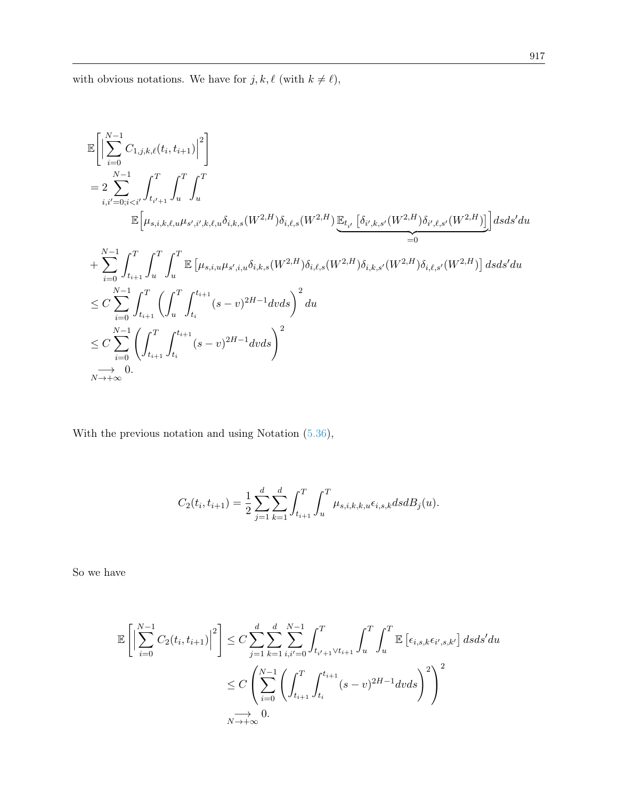with obvious notations. We have for  $j, k, \ell$  (with  $k \neq \ell),$ 

$$
\label{eq:4.10} \begin{split} &\mathbb{E}\bigg[\bigg|\sum_{i=0}^{N-1}C_{1,j,k,\ell}(t_i,t_{i+1})\bigg|^2\bigg]\\ &=2\sum_{i,i'=0;i< i'}^{N-1}\int_{t_{i'+1}}^T\int_u^T\int_u^T\\ &\mathbb{E}\Big[\mu_{s,i,k,\ell,u}\mu_{s',i',k,\ell,u}\delta_{i,k,s}(W^{2,H})\delta_{i,\ell,s}(W^{2,H})\underbrace{\mathbb{E}_{t_{i'}}\left[\delta_{i',k,s'}(W^{2,H})\delta_{i',\ell,s'}(W^{2,H})\right]}_{=0}\big]dsds'du\\ &+\sum_{i=0}^{N-1}\int_{t_{i+1}}^T\int_u^T\int_u^T\mathbb{E}\left[\mu_{s,i,u}\mu_{s',i,u}\delta_{i,k,s}(W^{2,H})\delta_{i,\ell,s}(W^{2,H})\delta_{i,k,s'}(W^{2,H})\delta_{i,\ell,s'}(W^{2,H})\right]dsds'du\\ &\leq C\sum_{i=0}^{N-1}\int_{t_{i+1}}^T\left(\int_u^T\int_{t_i}^{t_{i+1}}(s-v)^{2H-1}dvds\right)^2du\\ &\leq C\sum_{i=0}^{N-1}\left(\int_{t_{i+1}}^T\int_{t_i}^{t_{i+1}}(s-v)^{2H-1}dvds\right)^2\\ &\underset{N\rightarrow+\infty}{\longrightarrow}0. \end{split}
$$

With the previous notation and using Notation [\(5.36\)](#page-32-2),

$$
C_2(t_i, t_{i+1}) = \frac{1}{2} \sum_{j=1}^d \sum_{k=1}^d \int_{t_{i+1}}^T \int_u^T \mu_{s,i,k,k,u} \epsilon_{i,s,k} ds dB_j(u).
$$

So we have

$$
\mathbb{E}\left[\left|\sum_{i=0}^{N-1}C_2(t_i,t_{i+1})\right|^2\right] \leq C\sum_{j=1}^d\sum_{k=1}^d\sum_{i,i'=0}^{N-1}\int_{t_{i'+1}\vee t_{i+1}}^T\int_u^T\int_u^T\mathbb{E}\left[\epsilon_{i,s,k}\epsilon_{i',s,k'}\right]dsds'du
$$
  

$$
\leq C\left(\sum_{i=0}^{N-1}\left(\int_{t_{i+1}}^T\int_{t_i}^{t_{i+1}}(s-v)^{2H-1}dvds\right)^2\right)^2
$$
  

$$
\xrightarrow[N\to+\infty]{\longrightarrow}0.
$$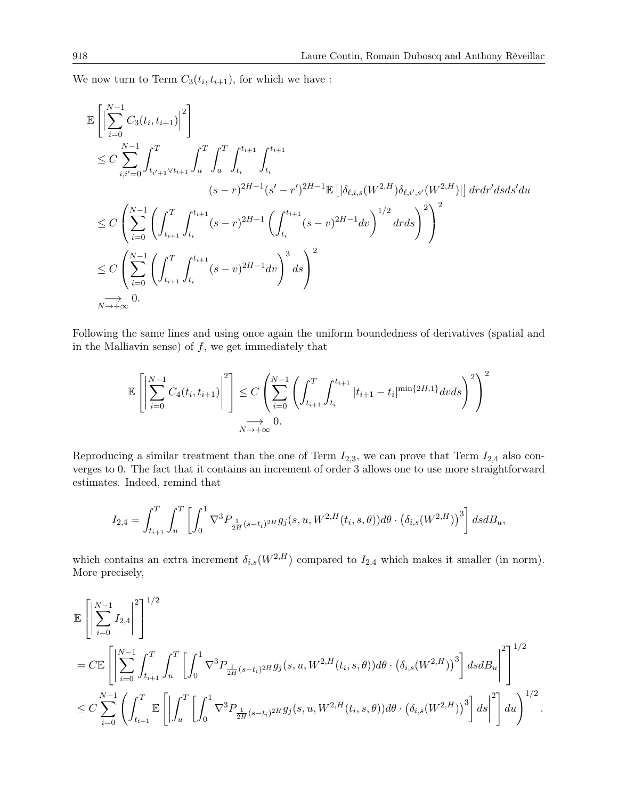We now turn to Term  $C_3(t_i,t_{i+1})$ , for which we have :

$$
\mathbb{E}\left[\left|\sum_{i=0}^{N-1} C_{3}(t_{i}, t_{i+1})\right|^{2}\right] \n\leq C \sum_{i,i'=0}^{N-1} \int_{t_{i'+1}\vee t_{i+1}}^{T} \int_{u}^{T} \int_{t_{i}}^{t_{i+1}} \int_{t_{i}}^{t_{i+1}} \int_{t_{i}}^{t_{i+1}} \left| \int_{t_{i}}^{t_{i+1}} \frac{(s-r)^{2H-1}(\delta'-r')^{2H-1} \mathbb{E}\left[\left|\delta_{\ell,i,s}(W^{2,H})\delta_{\ell,i',s'}(W^{2,H})\right|\right] dr dr' ds ds' du}{\leq C \left(\sum_{i=0}^{N-1} \left(\int_{t_{i+1}}^{T} \int_{t_{i}}^{t_{i+1}} (s-r)^{2H-1} \left(\int_{t_{i}}^{t_{i+1}} (s-v)^{2H-1} dv\right)^{1/2} dr ds\right)^{2}\right)^{2} \n\leq C \left(\sum_{i=0}^{N-1} \left(\int_{t_{i+1}}^{T} \int_{t_{i}}^{t_{i+1}} (s-v)^{2H-1} dv\right)^{3} ds\right)^{2} \n\Rightarrow 0. \n\tag{N \to +\infty}
$$

Following the same lines and using once again the uniform boundedness of derivatives (spatial and in the Malliavin sense) of  $f$ , we get immediately that

$$
\mathbb{E}\left[\left|\sum_{i=0}^{N-1} C_4(t_i, t_{i+1})\right|^2\right] \le C \left(\sum_{i=0}^{N-1} \left(\int_{t_{i+1}}^T \int_{t_i}^{t_{i+1}} |t_{i+1} - t_i|^{\min\{2H, 1\}} dv ds\right)^2\right)^2
$$
  

$$
\xrightarrow[N \to +\infty]{} 0.
$$

Reproducing a similar treatment than the one of Term  $I_{2,3}$ , we can prove that Term  $I_{2,4}$  also converges to 0. The fact that it contains an increment of order 3 allows one to use more straightforward estimates. Indeed, remind that

$$
I_{2,4} = \int_{t_{i+1}}^{T} \int_{u}^{T} \left[ \int_{0}^{1} \nabla^{3} P_{\frac{1}{2H}(s-t_{i})^{2H}} g_{j}(s, u, W^{2,H}(t_{i}, s, \theta)) d\theta \cdot (\delta_{i,s}(W^{2,H}))^{3} \right] ds dB_{u},
$$

which contains an extra increment  $\delta_{i,s}(W^{2,H})$  compared to  $I_{2,4}$  which makes it smaller (in norm). More precisely,

$$
\label{eq:3.10} \begin{split} &\mathbb{E}\left[\left|\sum_{i=0}^{N-1}I_{2,4}\right|^{2}\right]^{1/2}\\ &=C\mathbb{E}\left[\left|\sum_{i=0}^{N-1}\int_{t_{i+1}}^{T}\int_{u}^{T}\left[\int_{0}^{1}\nabla^{3}P_{\frac{1}{2H}(s-t_{i})^{2H}}g_{j}(s,u,W^{2,H}(t_{i},s,\theta))d\theta\cdot\left(\delta_{i,s}(W^{2,H})\right)^{3}\right]dsdB_{u}\right|^{2}\right]^{1/2}\\ &\leq C\sum_{i=0}^{N-1}\left(\int_{t_{i+1}}^{T}\mathbb{E}\left[\left|\int_{u}^{T}\left[\int_{0}^{1}\nabla^{3}P_{\frac{1}{2H}(s-t_{i})^{2H}}g_{j}(s,u,W^{2,H}(t_{i},s,\theta))d\theta\cdot\left(\delta_{i,s}(W^{2,H})\right)^{3}\right]ds\right|^{2}\right]du\right)^{1/2}. \end{split}
$$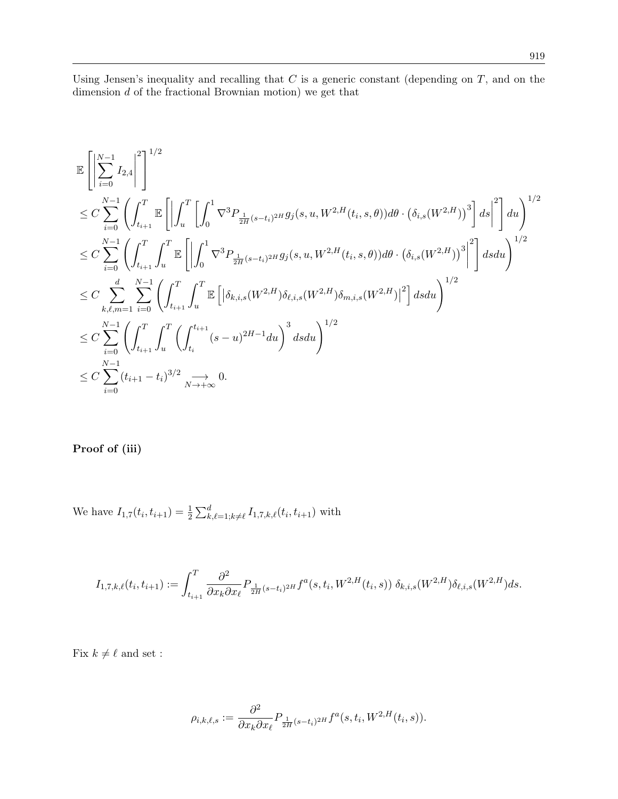Using Jensen's inequality and recalling that  $C$  is a generic constant (depending on  $T$ , and on the dimension  $d$  of the fractional Brownian motion) we get that

$$
\label{eq:4.13} \begin{split} &\mathbb{E}\left[\left|\sum_{i=0}^{N-1}I_{2,4}\right|^2\right]^{1/2}\\ &\leq C\sum_{i=0}^{N-1}\left(\int_{t_{i+1}}^T\mathbb{E}\left[\left|\int_u^T\left[\int_0^1\nabla^3P_{\frac{1}{2H}(s-t_i)^{2H}}g_j(s,u,W^{2,H}(t_i,s,\theta))d\theta\cdot\left(\delta_{i,s}(W^{2,H})\right)^3\right]ds\right|^2\right]du\right)^{1/2}\\ &\leq C\sum_{i=0}^{N-1}\left(\int_{t_{i+1}}^T\int_u^T\mathbb{E}\left[\left|\int_0^1\nabla^3P_{\frac{1}{2H}(s-t_i)^{2H}}g_j(s,u,W^{2,H}(t_i,s,\theta))d\theta\cdot\left(\delta_{i,s}(W^{2,H})\right)^3\right|^2\right]dsdu\right)^{1/2}\\ &\leq C\sum_{k,\ell,m=1}^d\sum_{i=0}^{N-1}\left(\int_{t_{i+1}}^T\int_u^T\mathbb{E}\left[\left|\delta_{k,i,s}(W^{2,H})\delta_{\ell,i,s}(W^{2,H})\delta_{m,i,s}(W^{2,H})\right|^2\right]dsdu\right)^{1/2}\\ &\leq C\sum_{i=0}^{N-1}\left(\int_{t_{i+1}}^T\int_u^T\left(\int_{t_i}^{t_{i+1}}(s-u)^{2H-1}du\right)^3dsdu\right)^{1/2}\\ &\leq C\sum_{i=0}^{N-1}(t_{i+1}-t_i)^{3/2}\sum_{N\rightarrow+\infty}0. \end{split}
$$

Proof of (iii)

We have  $I_{1,7}(t_i, t_{i+1}) = \frac{1}{2} \sum_{k,\ell=1; k \neq \ell}^{d} I_{1,7,k,\ell}(t_i, t_{i+1})$  with

$$
I_{1,7,k,\ell}(t_i,t_{i+1}) := \int_{t_{i+1}}^T \frac{\partial^2}{\partial x_k \partial x_\ell} P_{\frac{1}{2H}(s-t_i)^{2H}} f^a(s,t_i,W^{2,H}(t_i,s)) \, \delta_{k,i,s}(W^{2,H}) \delta_{\ell,i,s}(W^{2,H}) ds.
$$

Fix  $k \neq \ell$  and set :

$$
\rho_{i,k,\ell,s} := \frac{\partial^2}{\partial x_k \partial x_\ell} P_{\frac{1}{2H}(s-t_i)^{2H}} f^a(s,t_i,W^{2,H}(t_i,s)).
$$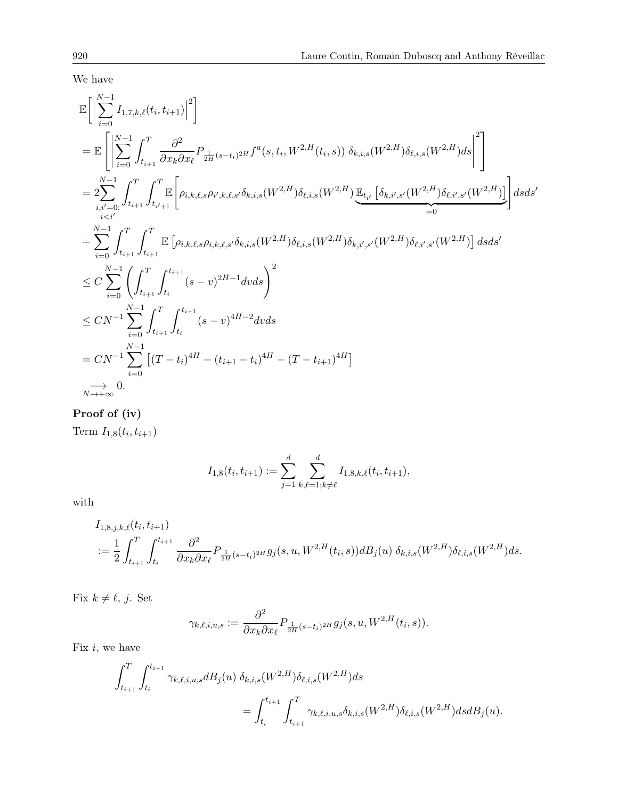We have

E N X−1 i=0 I1,7,k,`(t<sup>i</sup> , ti+1) 2 = E N X−1 i=0 Z <sup>T</sup> ti+1 ∂ 2 ∂xk∂x` P <sup>1</sup> 2H (s−ti) <sup>2</sup><sup>H</sup> f a (s, t<sup>i</sup> , W2,H(t<sup>i</sup> , s)) δk,i,s(W2,H)δ`,i,s(W2,H)ds 2 = 2 N X−1 i,i0=0; i<i<sup>0</sup> Z <sup>T</sup> ti+1 Z <sup>T</sup> t i 0+1 E " ρi,k,`,sρ<sup>i</sup> 0 ,k,`,s<sup>0</sup>δk,i,s(W2,H)δ`,i,s(W2,H) E<sup>t</sup> i 0 δk,i<sup>0</sup> ,s<sup>0</sup>(W2,H)δ`,i<sup>0</sup> ,s<sup>0</sup>(W2,H) | {z } =0 # dsds<sup>0</sup> + N X−1 i=0 Z <sup>T</sup> ti+1 Z <sup>T</sup> ti+1 E ρi,k,`,sρi,k,`,s<sup>0</sup>δk,i,s(W2,H)δ`,i,s(W2,H)δk,i<sup>0</sup> ,s<sup>0</sup>(W2,H)δ`,i<sup>0</sup> ,s<sup>0</sup>(W2,H) dsds<sup>0</sup> ≤ C N X−1 i=0<sup>Z</sup> <sup>T</sup> ti+1 Z <sup>t</sup>i+1 ti (s − v) 2H−1 dvds!<sup>2</sup> ≤ CN <sup>−</sup><sup>1</sup> N X−1 i=0 Z <sup>T</sup> ti+1 Z <sup>t</sup>i+1 ti (s − v) 4H−2 dvds = CN <sup>−</sup><sup>1</sup> N X−1 i=0 -(T − ti) <sup>4</sup><sup>H</sup> − (ti+1 − ti) <sup>4</sup><sup>H</sup> − (T − ti+1) 4H −→ N→+∞ 0.

# Proof of (iv)

Term  $I_{1,8}(t_i,t_{i+1})$ 

$$
I_{1,8}(t_i, t_{i+1}) := \sum_{j=1}^d \sum_{k,\ell=1; k \neq \ell}^d I_{1,8,k,\ell}(t_i, t_{i+1}),
$$

with

$$
I_{1,8,j,k,\ell}(t_i, t_{i+1})
$$
  

$$
:= \frac{1}{2} \int_{t_{i+1}}^T \int_{t_i}^{t_{i+1}} \frac{\partial^2}{\partial x_k \partial x_\ell} P_{\frac{1}{2H}(s-t_i)^{2H}} g_j(s, u, W^{2,H}(t_i, s)) dB_j(u) \, \delta_{k,i,s}(W^{2,H}) \delta_{\ell,i,s}(W^{2,H}) ds.
$$

Fix  $k \neq \ell, j$ . Set

$$
\gamma_{k,\ell,i,u,s} := \frac{\partial^2}{\partial x_k \partial x_\ell} P_{\frac{1}{2H}(s-t_i)^{2H}} g_j(s,u,W^{2,H}(t_i,s)).
$$

Fix  $i$ , we have

$$
\int_{t_{i+1}}^{T} \int_{t_i}^{t_{i+1}} \gamma_{k,\ell,i,u,s} dB_j(u) \ \delta_{k,i,s}(W^{2,H}) \delta_{\ell,i,s}(W^{2,H}) ds \n= \int_{t_i}^{t_{i+1}} \int_{t_{i+1}}^{T} \gamma_{k,\ell,i,u,s} \delta_{k,i,s}(W^{2,H}) \delta_{\ell,i,s}(W^{2,H}) ds dB_j(u).
$$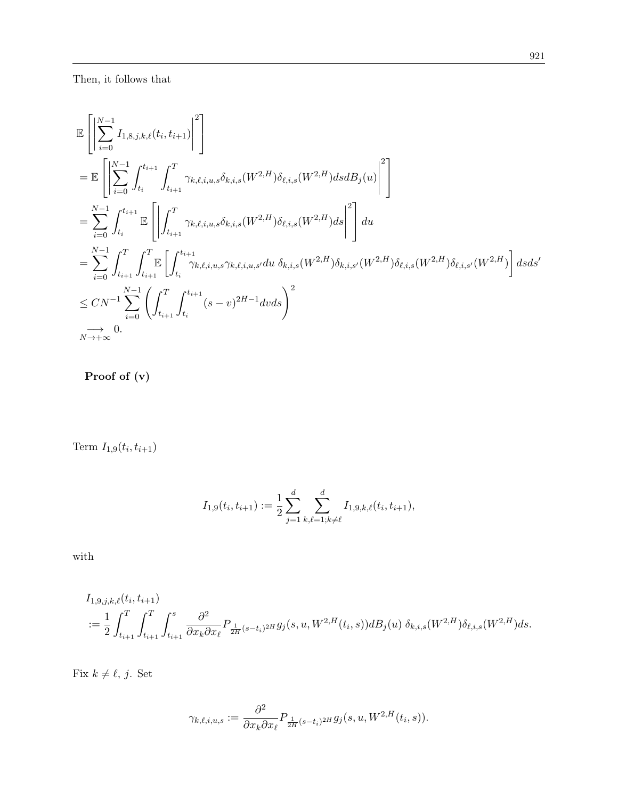$$
\begin{split} &\mathbb{E}\left[\left|\sum_{i=0}^{N-1}I_{1,8,j,k,\ell}(t_i,t_{i+1})\right|^2\right] \\ &=\mathbb{E}\left[\left|\sum_{i=0}^{N-1}\int_{t_i}^{t_{i+1}}\int_{t_{i+1}}^T\gamma_{k,\ell,i,u,s}\delta_{k,i,s}(W^{2,H})\delta_{\ell,i,s}(W^{2,H})dsdB_j(u)\right|^2\right]\\ &=\sum_{i=0}^{N-1}\int_{t_i}^{t_{i+1}}\mathbb{E}\left[\left|\int_{t_{i+1}}^T\gamma_{k,\ell,i,u,s}\delta_{k,i,s}(W^{2,H})\delta_{\ell,i,s}(W^{2,H})ds\right|^2\right]du\\ &=\sum_{i=0}^{N-1}\int_{t_{i+1}}^T\int_{t_{i+1}}^T\mathbb{E}\left[\int_{t_i}^{t_{i+1}}\gamma_{k,\ell,i,u,s}\gamma_{k,\ell,i,u,s'}du\ \delta_{k,i,s}(W^{2,H})\delta_{k,i,s'}(W^{2,H})\delta_{\ell,i,s}(W^{2,H})\delta_{\ell,i,s'}(W^{2,H})\right]dsds'\\ &\leq CN^{-1}\sum_{i=0}^{N-1}\left(\int_{t_{i+1}}^T\int_{t_i}^{t_{i+1}}(s-v)^{2H-1}dvds\right)^2\\ &\underset{N\rightarrow+\infty}{\longrightarrow} 0. \end{split}
$$

Proof of (v)

Term  $I_{1,9}(t_i, t_{i+1})$ 

$$
I_{1,9}(t_i, t_{i+1}) := \frac{1}{2} \sum_{j=1}^d \sum_{k,\ell=1; k \neq \ell}^d I_{1,9,k,\ell}(t_i, t_{i+1}),
$$

with

$$
I_{1,9,j,k,\ell}(t_i, t_{i+1})
$$
  

$$
:= \frac{1}{2} \int_{t_{i+1}}^T \int_{t_{i+1}}^T \int_{t_{i+1}}^s \frac{\partial^2}{\partial x_k \partial x_\ell} P_{\frac{1}{2H}(s-t_i)^{2H}} g_j(s, u, W^{2,H}(t_i, s)) dB_j(u) \ \delta_{k,i,s}(W^{2,H}) \delta_{\ell,i,s}(W^{2,H}) ds.
$$

Fix  $k \neq \ell, j$ . Set

$$
\gamma_{k,\ell,i,u,s} := \frac{\partial^2}{\partial x_k \partial x_\ell} P_{\frac{1}{2H}(s-t_i)^{2H}} g_j(s,u,W^{2,H}(t_i,s)).
$$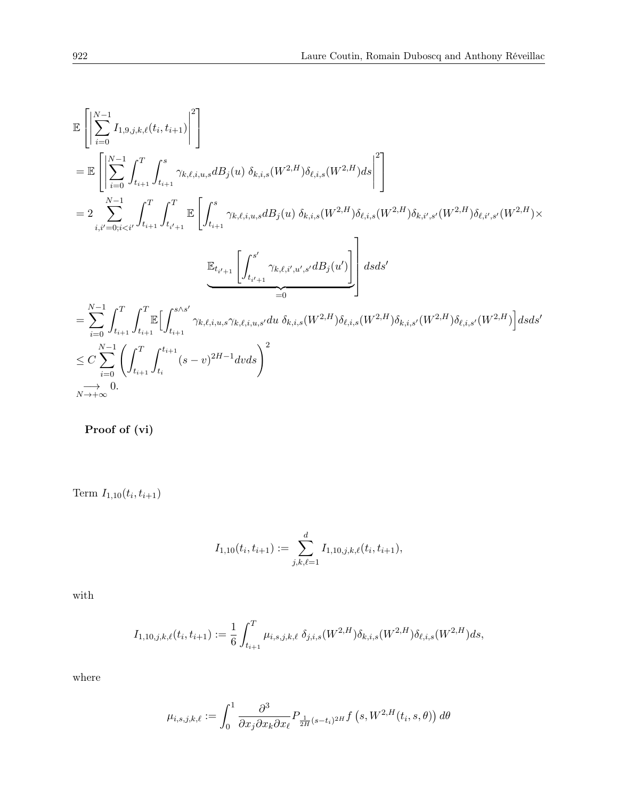$$
\begin{split} &\mathbb{E}\left[\left|\sum_{i=0}^{N-1}I_{1,9,j,k,\ell}(t_i,t_{i+1})\right|^2\right]\\ &=\mathbb{E}\left[\left|\sum_{i=0}^{N-1}\int_{t_{i+1}}^T\int_{t_{i+1}}^s\gamma_{k,\ell,i,u,s}dB_j(u)\;\delta_{k,i,s}(W^{2,H})\delta_{\ell,i,s}(W^{2,H})ds\right|^2\right]\\ &=2\sum_{i,i'=0;i< i'}^{N-1}\int_{t_{i+1}}^T\int_{t_{i'+1}}^T\mathbb{E}\left[\int_{t_{i+1}}^s\gamma_{k,\ell,i,u,s}dB_j(u)\;\delta_{k,i,s}(W^{2,H})\delta_{\ell,i,s}(W^{2,H})\delta_{k,i',s'}(W^{2,H})\delta_{\ell,i',s'}(W^{2,H})\times\\ &\underbrace{\mathbb{E}_{t_{i'+1}}\left[\int_{t_{i'+1}}^{s'}\gamma_{k,\ell,i',u',s'}dB_j(u')\right]}_{=0}\right]dsds'\\ &=\sum_{i=0}^{N-1}\int_{t_{i+1}}^T\int_{t_{i+1}}^T\mathbb{E}\Big[\int_{t_{i+1}}^{s\wedge s'}\gamma_{k,\ell,i,u,s}\gamma_{k,\ell,i,u,s'}du\;\delta_{k,i,s}(W^{2,H})\delta_{\ell,i,s}(W^{2,H})\delta_{k,i,s'}(W^{2,H})\delta_{\ell,i,s'}(W^{2,H})\Big]dsds'\\ &\leq C\sum_{i=0}^{N-1}\left(\int_{t_{i+1}}^T\int_{t_i}^{t_{i+1}}(s-v)^{2H-1}dvds\right)^2\\ &\xrightarrow[N\to+\infty} 0. \end{split}
$$

Proof of (vi)

Term  $I_{1,10}(t_i,t_{i+1})$ 

$$
I_{1,10}(t_i,t_{i+1}) := \sum_{j,k,\ell=1}^d I_{1,10,j,k,\ell}(t_i,t_{i+1}),
$$

with

$$
I_{1,10,j,k,\ell}(t_i,t_{i+1}) := \frac{1}{6} \int_{t_{i+1}}^T \mu_{i,s,j,k,\ell} \, \delta_{j,i,s}(W^{2,H}) \delta_{k,i,s}(W^{2,H}) \delta_{\ell,i,s}(W^{2,H}) ds,
$$

where

$$
\mu_{i,s,j,k,\ell} := \int_0^1 \frac{\partial^3}{\partial x_j \partial x_k \partial x_\ell} P_{\frac{1}{2H}(s-t_i)^{2H}} f\left(s, W^{2,H}(t_i, s, \theta)\right) d\theta
$$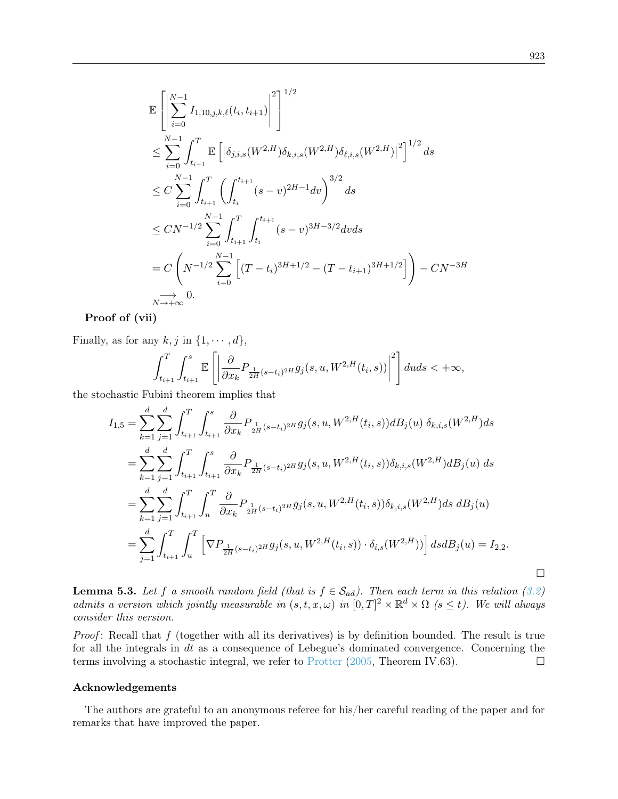$$
\mathbb{E}\left[\left|\sum_{i=0}^{N-1} I_{1,10,j,k,\ell}(t_i, t_{i+1})\right|^2\right]^{1/2} \n\leq \sum_{i=0}^{N-1} \int_{t_{i+1}}^T \mathbb{E}\left[\left|\delta_{j,i,s}(W^{2,H})\delta_{k,i,s}(W^{2,H})\delta_{\ell,i,s}(W^{2,H})\right|^2\right]^{1/2} ds \n\leq C \sum_{i=0}^{N-1} \int_{t_{i+1}}^T \left(\int_{t_i}^{t_{i+1}} (s-v)^{2H-1} dv\right)^{3/2} ds \n\leq CN^{-1/2} \sum_{i=0}^{N-1} \int_{t_{i+1}}^T \int_{t_i}^{t_{i+1}} (s-v)^{3H-3/2} dv ds \n= C \left(N^{-1/2} \sum_{i=0}^{N-1} \left[(T-t_i)^{3H+1/2} - (T-t_{i+1})^{3H+1/2}\right]\right) - CN^{-3H} \n\to 0.
$$

Proof of (vii)

Finally, as for any  $k, j$  in  $\{1, \dots, d\}$ ,

$$
\int_{t_{i+1}}^T \int_{t_{i+1}}^s \mathbb{E}\left[ \left| \frac{\partial}{\partial x_k} P_{\frac{1}{2H}(s-t_i)^{2H}} g_j(s,u,W^{2,H}(t_i,s)) \right|^2 \right] duds < +\infty,
$$

the stochastic Fubini theorem implies that

$$
I_{1,5} = \sum_{k=1}^{d} \sum_{j=1}^{d} \int_{t_{i+1}}^{T} \int_{t_{i+1}}^{s} \frac{\partial}{\partial x_k} P_{\frac{1}{2H}(s-t_i)^{2H}} g_j(s, u, W^{2,H}(t_i, s)) dB_j(u) \, \delta_{k,i,s}(W^{2,H}) ds
$$
  
\n
$$
= \sum_{k=1}^{d} \sum_{j=1}^{d} \int_{t_{i+1}}^{T} \int_{t_{i+1}}^{s} \frac{\partial}{\partial x_k} P_{\frac{1}{2H}(s-t_i)^{2H}} g_j(s, u, W^{2,H}(t_i, s)) \delta_{k,i,s}(W^{2,H}) dB_j(u) ds
$$
  
\n
$$
= \sum_{k=1}^{d} \sum_{j=1}^{d} \int_{t_{i+1}}^{T} \int_{u}^{T} \frac{\partial}{\partial x_k} P_{\frac{1}{2H}(s-t_i)^{2H}} g_j(s, u, W^{2,H}(t_i, s)) \delta_{k,i,s}(W^{2,H}) ds dB_j(u)
$$
  
\n
$$
= \sum_{j=1}^{d} \int_{t_{i+1}}^{T} \int_{u}^{T} \left[ \nabla P_{\frac{1}{2H}(s-t_i)^{2H}} g_j(s, u, W^{2,H}(t_i, s)) \cdot \delta_{i,s}(W^{2,H})) \right] ds dB_j(u) = I_{2,2}.
$$

**Lemma 5.3.** Let f a smooth random field (that is  $f \in S_{ad}$ ). Then each term in this relation [\(3.2\)](#page-7-4) admits a version which jointly measurable in  $(s,t,x,\omega)$  in  $[0,T]^2 \times \mathbb{R}^d \times \Omega$  ( $s \leq t$ ). We will always consider this version.

*Proof*: Recall that  $f$  (together with all its derivatives) is by definition bounded. The result is true for all the integrals in dt as a consequence of Lebegue's dominated convergence. Concerning the terms involving a stochastic integral, we refer to [Protter](#page-43-14)  $(2005,$  Theorem IV.63).

#### Acknowledgements

The authors are grateful to an anonymous referee for his/her careful reading of the paper and for remarks that have improved the paper.

 $\Box$